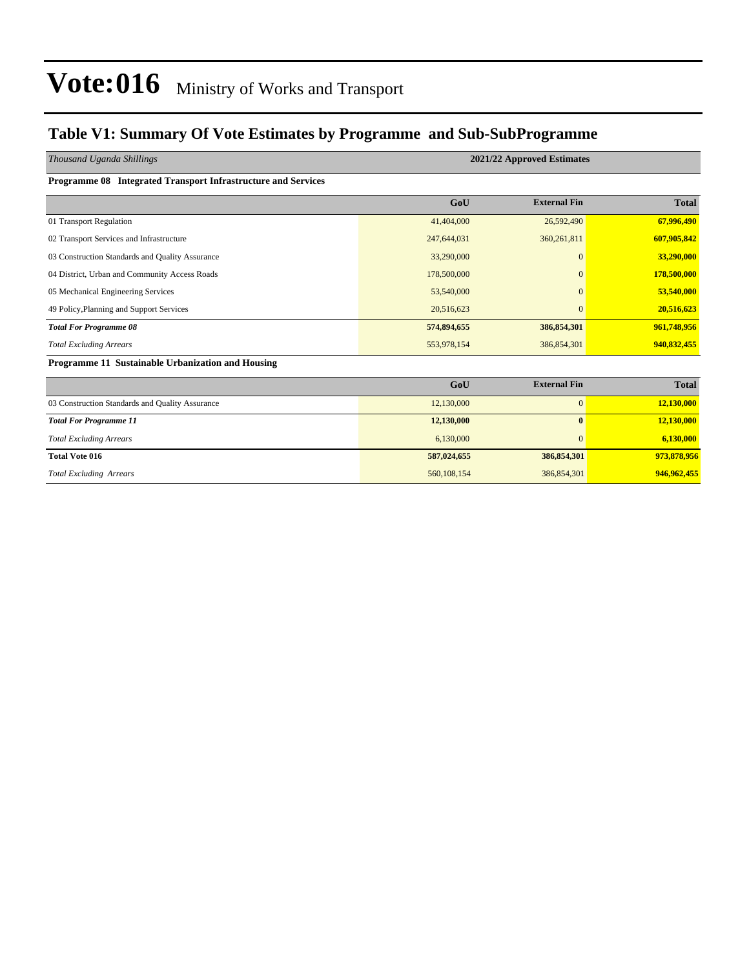#### **Table V1: Summary Of Vote Estimates by Programme and Sub-SubProgramme**

| Thousand Uganda Shillings                                     | 2021/22 Approved Estimates |                     |              |  |  |  |  |
|---------------------------------------------------------------|----------------------------|---------------------|--------------|--|--|--|--|
| Programme 08 Integrated Transport Infrastructure and Services |                            |                     |              |  |  |  |  |
|                                                               | GoU                        | <b>External Fin</b> | <b>Total</b> |  |  |  |  |
| 01 Transport Regulation                                       | 41,404,000                 | 26,592,490          | 67,996,490   |  |  |  |  |
| 02 Transport Services and Infrastructure                      | 247,644,031                | 360,261,811         | 607,905,842  |  |  |  |  |
| 03 Construction Standards and Quality Assurance               | 33,290,000                 | $\overline{0}$      | 33,290,000   |  |  |  |  |
| 04 District, Urban and Community Access Roads                 | 178,500,000                | $\Omega$            | 178,500,000  |  |  |  |  |
| 05 Mechanical Engineering Services                            | 53,540,000                 | $\Omega$            | 53,540,000   |  |  |  |  |
| 49 Policy, Planning and Support Services                      | 20,516,623                 | $\Omega$            | 20,516,623   |  |  |  |  |
| <b>Total For Programme 08</b>                                 | 574,894,655                | 386, 854, 301       | 961,748,956  |  |  |  |  |
| <b>Total Excluding Arrears</b>                                | 553,978,154                | 386,854,301         | 940,832,455  |  |  |  |  |
| Programme 11 Sustainable Urbanization and Housing             |                            |                     |              |  |  |  |  |
|                                                               | GoU                        | <b>External Fin</b> | <b>Total</b> |  |  |  |  |
| 03 Construction Standards and Quality Assurance               | 12,130,000                 | $\mathbf{0}$        | 12,130,000   |  |  |  |  |
| <b>Total For Programme 11</b>                                 | 12,130,000                 | $\mathbf{0}$        | 12,130,000   |  |  |  |  |
| <b>Total Excluding Arrears</b>                                | 6,130,000                  | $\mathbf{0}$        | 6,130,000    |  |  |  |  |
| <b>Total Vote 016</b>                                         | 587,024,655                | 386, 854, 301       | 973,878,956  |  |  |  |  |
| <b>Total Excluding Arrears</b>                                | 560,108,154                | 386,854,301         | 946,962,455  |  |  |  |  |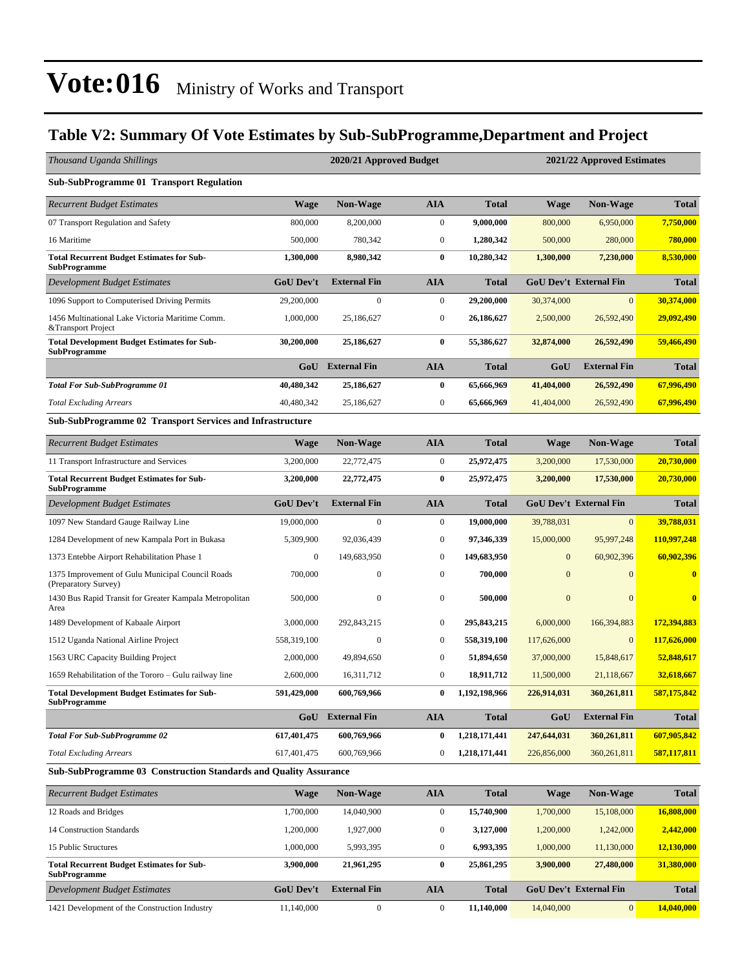#### **Table V2: Summary Of Vote Estimates by Sub-SubProgramme,Department and Project**

| Thousand Uganda Shillings                                                 |                  | 2020/21 Approved Budget |                  |               |              | 2021/22 Approved Estimates    |              |
|---------------------------------------------------------------------------|------------------|-------------------------|------------------|---------------|--------------|-------------------------------|--------------|
| <b>Sub-SubProgramme 01 Transport Regulation</b>                           |                  |                         |                  |               |              |                               |              |
| <b>Recurrent Budget Estimates</b>                                         | Wage             | <b>Non-Wage</b>         | AIA              | <b>Total</b>  | <b>Wage</b>  | <b>Non-Wage</b>               | <b>Total</b> |
| 07 Transport Regulation and Safety                                        | 800,000          | 8,200,000               | $\boldsymbol{0}$ | 9,000,000     | 800,000      | 6,950,000                     | 7.750,000    |
| 16 Maritime                                                               | 500,000          | 780,342                 | $\boldsymbol{0}$ | 1,280,342     | 500,000      | 280,000                       | 780,000      |
| <b>Total Recurrent Budget Estimates for Sub-</b><br><b>SubProgramme</b>   | 1,300,000        | 8,980,342               | $\bf{0}$         | 10,280,342    | 1,300,000    | 7,230,000                     | 8,530,000    |
| Development Budget Estimates                                              | <b>GoU Dev't</b> | <b>External Fin</b>     | <b>AIA</b>       | <b>Total</b>  |              | <b>GoU Dev't External Fin</b> | <b>Total</b> |
| 1096 Support to Computerised Driving Permits                              | 29,200,000       | $\mathbf{0}$            | $\boldsymbol{0}$ | 29,200,000    | 30,374,000   | $\mathbf{0}$                  | 30,374,000   |
| 1456 Multinational Lake Victoria Maritime Comm.<br>&Transport Project     | 1,000,000        | 25,186,627              | $\boldsymbol{0}$ | 26,186,627    | 2,500,000    | 26,592,490                    | 29,092,490   |
| <b>Total Development Budget Estimates for Sub-</b><br><b>SubProgramme</b> | 30,200,000       | 25,186,627              | $\bf{0}$         | 55,386,627    | 32,874,000   | 26,592,490                    | 59,466,490   |
|                                                                           | GoU              | <b>External Fin</b>     | <b>AIA</b>       | <b>Total</b>  | GoU          | <b>External Fin</b>           | <b>Total</b> |
| <b>Total For Sub-SubProgramme 01</b>                                      | 40,480,342       | 25,186,627              | $\bf{0}$         | 65,666,969    | 41,404,000   | 26,592,490                    | 67,996,490   |
| <b>Total Excluding Arrears</b>                                            | 40,480,342       | 25,186,627              | $\boldsymbol{0}$ | 65,666,969    | 41,404,000   | 26,592,490                    | 67,996,490   |
| Sub-SubProgramme 02 Transport Services and Infrastructure                 |                  |                         |                  |               |              |                               |              |
| <b>Recurrent Budget Estimates</b>                                         | <b>Wage</b>      | Non-Wage                | AIA              | <b>Total</b>  | <b>Wage</b>  | <b>Non-Wage</b>               | <b>Total</b> |
| 11 Transport Infrastructure and Services                                  | 3,200,000        | 22,772,475              | $\boldsymbol{0}$ | 25,972,475    | 3,200,000    | 17,530,000                    | 20,730,000   |
| <b>Total Recurrent Budget Estimates for Sub-</b><br><b>SubProgramme</b>   | 3,200,000        | 22,772,475              | $\bf{0}$         | 25,972,475    | 3,200,000    | 17,530,000                    | 20,730,000   |
| Development Budget Estimates                                              | <b>GoU Dev't</b> | <b>External Fin</b>     | <b>AIA</b>       | <b>Total</b>  |              | <b>GoU Dev't External Fin</b> | <b>Total</b> |
| 1097 New Standard Gauge Railway Line                                      | 19,000,000       | $\mathbf{0}$            | $\boldsymbol{0}$ | 19,000,000    | 39,788,031   | $\mathbf{0}$                  | 39,788,031   |
| 1284 Development of new Kampala Port in Bukasa                            | 5,309,900        | 92,036,439              | $\mathbf{0}$     | 97,346,339    | 15,000,000   | 95,997,248                    | 110,997,248  |
| 1373 Entebbe Airport Rehabilitation Phase 1                               | $\bf{0}$         | 149,683,950             | $\mathbf{0}$     | 149,683,950   | $\mathbf{0}$ | 60,902,396                    | 60,902,396   |
| 1375 Improvement of Gulu Municipal Council Roads<br>(Preparatory Survey)  | 700,000          | $\boldsymbol{0}$        | $\boldsymbol{0}$ | 700,000       | $\mathbf{0}$ | $\mathbf{0}$                  | $\bf{0}$     |
| 1430 Bus Rapid Transit for Greater Kampala Metropolitan<br>Area           | 500,000          | $\mathbf{0}$            | $\boldsymbol{0}$ | 500,000       | $\mathbf{0}$ | $\mathbf{0}$                  | $\bf{0}$     |
| 1489 Development of Kabaale Airport                                       | 3,000,000        | 292,843,215             | $\boldsymbol{0}$ | 295, 843, 215 | 6,000,000    | 166,394,883                   | 172,394,883  |
| 1512 Uganda National Airline Project                                      | 558,319,100      | $\mathbf{0}$            | $\boldsymbol{0}$ | 558,319,100   | 117,626,000  | $\mathbf{0}$                  | 117,626,000  |
| 1563 URC Capacity Building Project                                        | 2,000,000        | 49,894,650              | $\boldsymbol{0}$ | 51,894,650    | 37,000,000   | 15,848,617                    | 52,848,617   |
| 1659 Rehabilitation of the Tororo – Gulu railway line                     | 2,600,000        | 16,311,712              | $\boldsymbol{0}$ | 18,911,712    | 11,500,000   | 21,118,667                    | 32,618,667   |
| <b>Total Development Budget Estimates for Sub-</b><br>SubProgramme        | 591,429,000      | 600,769,966             | 0                | 1,192,198,966 | 226,914,031  | 360,261,811                   | 587,175,842  |
|                                                                           |                  | <b>GoU</b> External Fin | AIA              | <b>Total</b>  | GoU          | <b>External Fin</b>           | <b>Total</b> |
| <b>Total For Sub-SubProgramme 02</b>                                      | 617,401,475      | 600,769,966             | $\bf{0}$         | 1,218,171,441 | 247,644,031  | 360,261,811                   | 607,905,842  |
| <b>Total Excluding Arrears</b>                                            | 617,401,475      | 600,769,966             | 0                | 1,218,171,441 | 226,856,000  | 360,261,811                   | 587,117,811  |
| Sub-SubProgramme 03 Construction Standards and Quality Assurance          |                  |                         |                  |               |              |                               |              |
| Recurrent Budget Estimates                                                | <b>Wage</b>      | Non-Wage                | AIA              | <b>Total</b>  | <b>Wage</b>  | <b>Non-Wage</b>               | <b>Total</b> |
| 12 Roads and Bridges                                                      | 1,700,000        | 14,040,900              | $\boldsymbol{0}$ | 15,740,900    | 1,700,000    | 15,108,000                    | 16,808,000   |
| 14 Construction Standards                                                 | 1,200,000        | 1,927,000               | $\boldsymbol{0}$ | 3,127,000     | 1,200,000    | 1,242,000                     | 2,442,000    |
| 15 Public Structures                                                      | 1,000,000        | 5,993,395               | $\boldsymbol{0}$ | 6,993,395     | 1,000,000    | 11,130,000                    | 12,130,000   |
| <b>Total Recurrent Budget Estimates for Sub-</b>                          | 3,900,000        | 21,961,295              | $\bf{0}$         | 25,861,295    | 3,900,000    | 27,480,000                    | 31,380,000   |

**SubProgramme** *Development Budget Estimates* **GoU Dev't External Fin AIA Total GoU Dev't External Fin Total** 1421 Development of the Construction Industry 11,140,000 0 0 0 11,140,000 0 14,040,000 0 14,040,000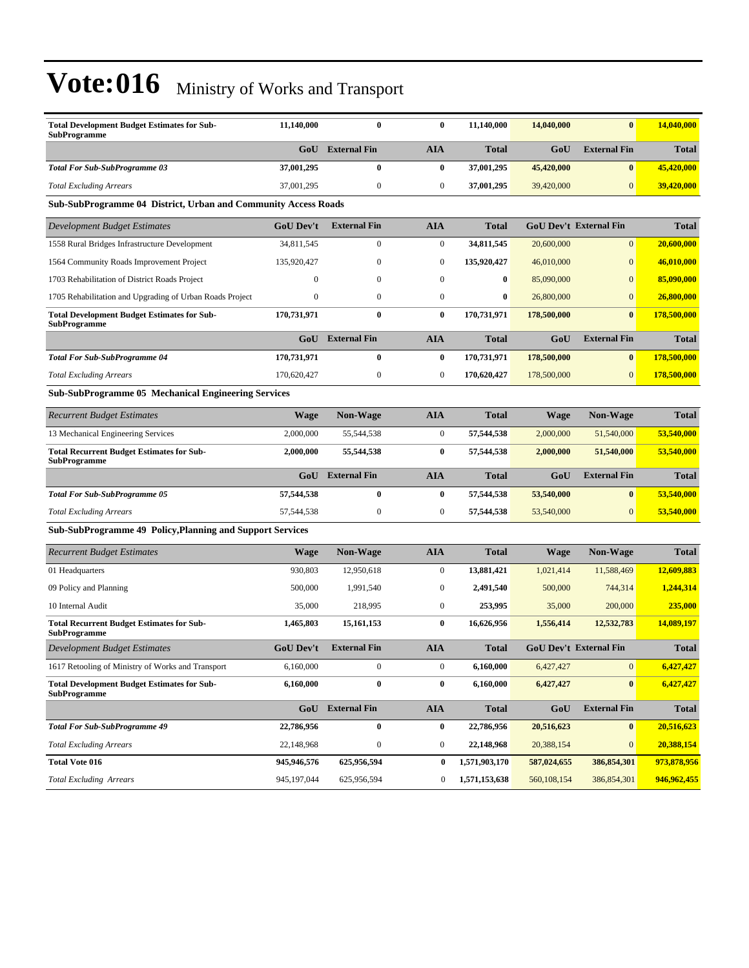| <b>Total Development Budget Estimates for Sub-</b><br><b>SubProgramme</b> | 11,140,000       | $\mathbf{0}$        | $\bf{0}$         | 11,140,000    | 14,040,000  | $\bf{0}$                      | 14,040,000   |
|---------------------------------------------------------------------------|------------------|---------------------|------------------|---------------|-------------|-------------------------------|--------------|
|                                                                           | GoU              | <b>External Fin</b> | <b>AIA</b>       | <b>Total</b>  | GoU         | <b>External Fin</b>           | <b>Total</b> |
| <b>Total For Sub-SubProgramme 03</b>                                      | 37,001,295       | $\bf{0}$            | $\bf{0}$         | 37,001,295    | 45,420,000  | $\bf{0}$                      | 45,420,000   |
| <b>Total Excluding Arrears</b>                                            | 37,001,295       | $\boldsymbol{0}$    | 0                | 37,001,295    | 39,420,000  | $\mathbf{0}$                  | 39,420,000   |
| Sub-SubProgramme 04 District, Urban and Community Access Roads            |                  |                     |                  |               |             |                               |              |
| Development Budget Estimates                                              | <b>GoU Dev't</b> | <b>External Fin</b> | <b>AIA</b>       | <b>Total</b>  |             | <b>GoU Dev't External Fin</b> | <b>Total</b> |
| 1558 Rural Bridges Infrastructure Development                             | 34,811,545       | $\overline{0}$      | $\boldsymbol{0}$ | 34,811,545    | 20,600,000  | $\mathbf{0}$                  | 20,600,000   |
| 1564 Community Roads Improvement Project                                  | 135,920,427      | $\theta$            | 0                | 135,920,427   | 46,010,000  | $\mathbf{0}$                  | 46,010,000   |
| 1703 Rehabilitation of District Roads Project                             | $\Omega$         | $\mathbf{0}$        | $\boldsymbol{0}$ | $\bf{0}$      | 85,090,000  | $\mathbf{0}$                  | 85,090,000   |
| 1705 Rehabilitation and Upgrading of Urban Roads Project                  | $\overline{0}$   | $\mathbf{0}$        | $\overline{0}$   | $\bf{0}$      | 26,800,000  | $\overline{0}$                | 26,800,000   |
| <b>Total Development Budget Estimates for Sub-</b><br>SubProgramme        | 170,731,971      | $\bf{0}$            | $\bf{0}$         | 170,731,971   | 178,500,000 | $\bf{0}$                      | 178,500,000  |
|                                                                           | GoU              | <b>External Fin</b> | <b>AIA</b>       | <b>Total</b>  | GoU         | <b>External Fin</b>           | <b>Total</b> |
| <b>Total For Sub-SubProgramme 04</b>                                      | 170,731,971      | $\bf{0}$            | 0                | 170,731,971   | 178,500,000 | $\bf{0}$                      | 178,500,000  |
| <b>Total Excluding Arrears</b>                                            | 170,620,427      | $\boldsymbol{0}$    | $\boldsymbol{0}$ | 170,620,427   | 178,500,000 | $\mathbf{0}$                  | 178,500,000  |
| Sub-SubProgramme 05 Mechanical Engineering Services                       |                  |                     |                  |               |             |                               |              |
| Recurrent Budget Estimates                                                | <b>Wage</b>      | <b>Non-Wage</b>     | <b>AIA</b>       | <b>Total</b>  | Wage        | <b>Non-Wage</b>               | <b>Total</b> |
| 13 Mechanical Engineering Services                                        | 2,000,000        | 55,544,538          | $\boldsymbol{0}$ | 57,544,538    | 2,000,000   | 51,540,000                    | 53,540,000   |
| <b>Total Recurrent Budget Estimates for Sub-</b><br>SubProgramme          | 2,000,000        | 55,544,538          | $\bf{0}$         | 57,544,538    | 2,000,000   | 51,540,000                    | 53,540,000   |
|                                                                           | GoU              | <b>External Fin</b> | <b>AIA</b>       | <b>Total</b>  | GoU         | <b>External Fin</b>           | <b>Total</b> |
| Total For Sub-SubProgramme 05                                             | 57,544,538       | $\bf{0}$            | 0                | 57,544,538    | 53,540,000  | $\bf{0}$                      | 53,540,000   |
| <b>Total Excluding Arrears</b>                                            | 57,544,538       | $\boldsymbol{0}$    | $\boldsymbol{0}$ | 57,544,538    | 53,540,000  | $\mathbf{0}$                  | 53,540,000   |
| Sub-SubProgramme 49 Policy, Planning and Support Services                 |                  |                     |                  |               |             |                               |              |
| Recurrent Budget Estimates                                                | Wage             | Non-Wage            | <b>AIA</b>       | <b>Total</b>  | Wage        | <b>Non-Wage</b>               | <b>Total</b> |
| 01 Headquarters                                                           | 930,803          | 12,950,618          | $\boldsymbol{0}$ | 13,881,421    | 1,021,414   | 11,588,469                    | 12,609,883   |
| 09 Policy and Planning                                                    | 500,000          | 1,991,540           | 0                | 2,491,540     | 500,000     | 744,314                       | 1,244,314    |
| 10 Internal Audit                                                         | 35,000           | 218,995             | $\boldsymbol{0}$ | 253,995       | 35,000      | 200,000                       | 235,000      |
| <b>Total Recurrent Budget Estimates for Sub-</b><br>SubProgramme          | 1,465,803        | 15, 161, 153        | 0                | 16,626,956    | 1,556,414   | 12,532,783                    | 14,089,197   |
| Development Budget Estimates                                              | <b>GoU Dev't</b> | <b>External Fin</b> | AIA              | <b>Total</b>  |             | <b>GoU Dev't External Fin</b> | <b>Total</b> |
| 1617 Retooling of Ministry of Works and Transport                         | 6,160,000        | $\boldsymbol{0}$    | $\boldsymbol{0}$ | 6,160,000     | 6,427,427   | $\mathbf{0}$                  | 6,427,427    |
| <b>Total Development Budget Estimates for Sub-</b><br><b>SubProgramme</b> | 6,160,000        | $\bf{0}$            | $\bf{0}$         | 6,160,000     | 6,427,427   | $\bf{0}$                      | 6,427,427    |
|                                                                           | GoU              | <b>External Fin</b> | <b>AIA</b>       | <b>Total</b>  | GoU         | <b>External Fin</b>           | <b>Total</b> |
| <b>Total For Sub-SubProgramme 49</b>                                      | 22,786,956       | $\bf{0}$            | $\bf{0}$         | 22,786,956    | 20,516,623  | $\bf{0}$                      | 20,516,623   |
| <b>Total Excluding Arrears</b>                                            | 22,148,968       | $\boldsymbol{0}$    | 0                | 22,148,968    | 20,388,154  | $\boldsymbol{0}$              | 20,388,154   |
| <b>Total Vote 016</b>                                                     | 945,946,576      | 625,956,594         | $\bf{0}$         | 1,571,903,170 | 587,024,655 | 386,854,301                   | 973,878,956  |
| <b>Total Excluding Arrears</b>                                            | 945,197,044      | 625,956,594         | 0                | 1,571,153,638 | 560,108,154 | 386,854,301                   | 946,962,455  |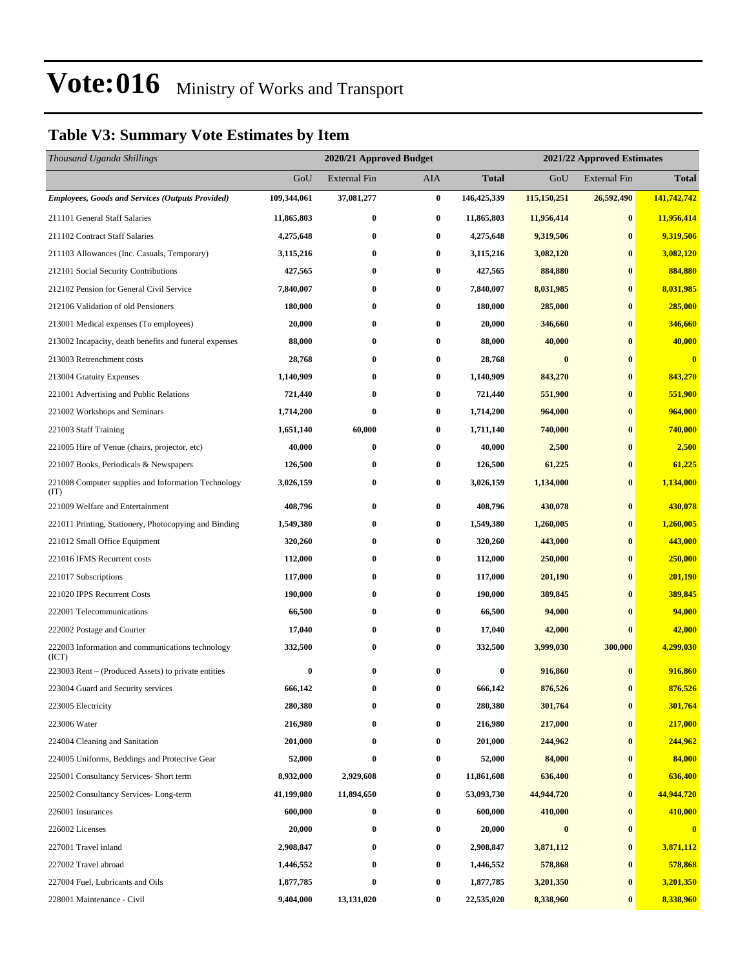#### **Table V3: Summary Vote Estimates by Item**

| Thousand Uganda Shillings                                   |             | 2020/21 Approved Budget<br>2021/22 Approved Estimates |                  |              |             |                  |              |
|-------------------------------------------------------------|-------------|-------------------------------------------------------|------------------|--------------|-------------|------------------|--------------|
|                                                             | GoU         | External Fin                                          | AIA              | <b>Total</b> | GoU         | External Fin     | <b>Total</b> |
| <b>Employees, Goods and Services (Outputs Provided)</b>     | 109,344,061 | 37,081,277                                            | $\bf{0}$         | 146,425,339  | 115,150,251 | 26,592,490       | 141,742,742  |
| 211101 General Staff Salaries                               | 11,865,803  | 0                                                     | $\bf{0}$         | 11,865,803   | 11,956,414  | $\bf{0}$         | 11,956,414   |
| 211102 Contract Staff Salaries                              | 4,275,648   | $\bf{0}$                                              | $\bf{0}$         | 4,275,648    | 9,319,506   | $\bf{0}$         | 9,319,506    |
| 211103 Allowances (Inc. Casuals, Temporary)                 | 3,115,216   | 0                                                     | $\bf{0}$         | 3,115,216    | 3,082,120   | $\bf{0}$         | 3,082,120    |
| 212101 Social Security Contributions                        | 427,565     | $\bf{0}$                                              | $\bf{0}$         | 427,565      | 884,880     | $\bf{0}$         | 884,880      |
| 212102 Pension for General Civil Service                    | 7,840,007   | $\bf{0}$                                              | $\bf{0}$         | 7,840,007    | 8,031,985   | $\bf{0}$         | 8,031,985    |
| 212106 Validation of old Pensioners                         | 180,000     | 0                                                     | $\bf{0}$         | 180,000      | 285,000     | $\bf{0}$         | 285,000      |
| 213001 Medical expenses (To employees)                      | 20,000      | $\bf{0}$                                              | $\bf{0}$         | 20,000       | 346,660     | $\bf{0}$         | 346,660      |
| 213002 Incapacity, death benefits and funeral expenses      | 88,000      | $\bf{0}$                                              | $\bf{0}$         | 88,000       | 40,000      | $\bf{0}$         | 40,000       |
| 213003 Retrenchment costs                                   | 28,768      | $\bf{0}$                                              | $\bf{0}$         | 28,768       | $\bf{0}$    | $\bf{0}$         | $\bf{0}$     |
| 213004 Gratuity Expenses                                    | 1,140,909   | $\bf{0}$                                              | $\bf{0}$         | 1,140,909    | 843,270     | $\bf{0}$         | 843,270      |
| 221001 Advertising and Public Relations                     | 721,440     | 0                                                     | $\bf{0}$         | 721,440      | 551,900     | $\bf{0}$         | 551,900      |
| 221002 Workshops and Seminars                               | 1,714,200   | $\bf{0}$                                              | $\bf{0}$         | 1,714,200    | 964,000     | $\bf{0}$         | 964,000      |
| 221003 Staff Training                                       | 1,651,140   | 60,000                                                | $\bf{0}$         | 1,711,140    | 740,000     | $\bf{0}$         | 740,000      |
| 221005 Hire of Venue (chairs, projector, etc)               | 40,000      | $\bf{0}$                                              | $\bf{0}$         | 40,000       | 2,500       | $\bf{0}$         | 2,500        |
| 221007 Books, Periodicals & Newspapers                      | 126,500     | 0                                                     | $\bf{0}$         | 126,500      | 61,225      | $\bf{0}$         | 61,225       |
| 221008 Computer supplies and Information Technology<br>(TT) | 3,026,159   | 0                                                     | $\bf{0}$         | 3,026,159    | 1,134,000   | $\bf{0}$         | 1,134,000    |
| 221009 Welfare and Entertainment                            | 408,796     | $\bf{0}$                                              | $\bf{0}$         | 408,796      | 430,078     | $\bf{0}$         | 430,078      |
| 221011 Printing, Stationery, Photocopying and Binding       | 1,549,380   | $\bf{0}$                                              | $\bf{0}$         | 1,549,380    | 1,260,005   | $\bf{0}$         | 1,260,005    |
| 221012 Small Office Equipment                               | 320,260     | $\bf{0}$                                              | $\bf{0}$         | 320,260      | 443,000     | $\bf{0}$         | 443,000      |
| 221016 IFMS Recurrent costs                                 | 112,000     | $\bf{0}$                                              | $\boldsymbol{0}$ | 112,000      | 250,000     | $\bf{0}$         | 250,000      |
| 221017 Subscriptions                                        | 117,000     | $\bf{0}$                                              | $\bf{0}$         | 117,000      | 201,190     | $\bf{0}$         | 201,190      |
| 221020 IPPS Recurrent Costs                                 | 190,000     | $\bf{0}$                                              | $\boldsymbol{0}$ | 190,000      | 389,845     | $\bf{0}$         | 389,845      |
| 222001 Telecommunications                                   | 66,500      | $\bf{0}$                                              | $\bf{0}$         | 66,500       | 94,000      | $\bf{0}$         | 94,000       |
| 222002 Postage and Courier                                  | 17,040      | $\bf{0}$                                              | 0                | 17,040       | 42,000      | $\bf{0}$         | 42,000       |
| 222003 Information and communications technology<br>(ICT)   | 332,500     | $\bf{0}$                                              | $\boldsymbol{0}$ | 332,500      | 3,999,030   | 300,000          | 4,299,030    |
| 223003 Rent – (Produced Assets) to private entities         | $\bf{0}$    | $\bf{0}$                                              | $\bf{0}$         | $\bf{0}$     | 916,860     | $\bf{0}$         | 916,860      |
| 223004 Guard and Security services                          | 666,142     | $\bf{0}$                                              | 0                | 666,142      | 876,526     | $\bf{0}$         | 876,526      |
| 223005 Electricity                                          | 280,380     | 0                                                     | $\bf{0}$         | 280,380      | 301,764     | $\bf{0}$         | 301,764      |
| 223006 Water                                                | 216,980     | 0                                                     | $\bf{0}$         | 216,980      | 217,000     | $\boldsymbol{0}$ | 217,000      |
| 224004 Cleaning and Sanitation                              | 201,000     | $\bf{0}$                                              | $\bf{0}$         | 201,000      | 244,962     | $\bf{0}$         | 244,962      |
| 224005 Uniforms, Beddings and Protective Gear               | 52,000      | $\bf{0}$                                              | $\bf{0}$         | 52,000       | 84,000      | $\bf{0}$         | 84,000       |
| 225001 Consultancy Services- Short term                     | 8,932,000   | 2,929,608                                             | $\bf{0}$         | 11,861,608   | 636,400     | $\bf{0}$         | 636,400      |
| 225002 Consultancy Services-Long-term                       | 41,199,080  | 11,894,650                                            | $\bf{0}$         | 53,093,730   | 44,944,720  | $\bf{0}$         | 44,944,720   |
| 226001 Insurances                                           | 600,000     | $\bf{0}$                                              | $\bf{0}$         | 600,000      | 410,000     | $\bf{0}$         | 410,000      |
| 226002 Licenses                                             | 20,000      | $\bf{0}$                                              | $\bf{0}$         | 20,000       | $\pmb{0}$   | $\boldsymbol{0}$ | $\bf{0}$     |
| 227001 Travel inland                                        | 2,908,847   | 0                                                     | $\bf{0}$         | 2,908,847    | 3,871,112   | $\bf{0}$         | 3,871,112    |
| 227002 Travel abroad                                        | 1,446,552   | $\bf{0}$                                              | $\bf{0}$         | 1,446,552    | 578,868     | $\bf{0}$         | 578,868      |
| 227004 Fuel, Lubricants and Oils                            | 1,877,785   | $\bf{0}$                                              | $\bf{0}$         | 1,877,785    | 3,201,350   | $\bf{0}$         | 3,201,350    |
| 228001 Maintenance - Civil                                  | 9,404,000   | 13,131,020                                            | $\bf{0}$         | 22,535,020   | 8,338,960   | $\bf{0}$         | 8,338,960    |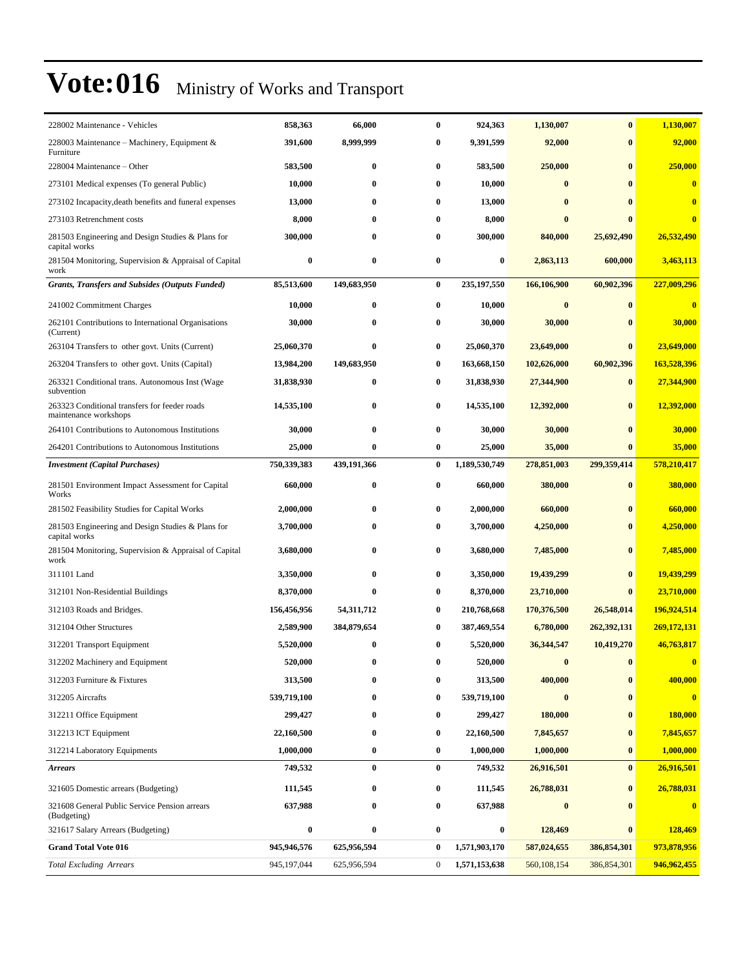| 228002 Maintenance - Vehicles                                          | 858,363     | 66,000       | $\bf{0}$         | 924,363          | 1,130,007    | $\bf{0}$      | 1,130,007   |
|------------------------------------------------------------------------|-------------|--------------|------------------|------------------|--------------|---------------|-------------|
| 228003 Maintenance – Machinery, Equipment &<br>Furniture               | 391,600     | 8,999,999    | 0                | 9,391,599        | 92,000       | $\bf{0}$      | 92,000      |
| 228004 Maintenance – Other                                             | 583,500     | $\bf{0}$     | 0                | 583,500          | 250,000      | $\bf{0}$      | 250,000     |
| 273101 Medical expenses (To general Public)                            | 10,000      | $\bf{0}$     | 0                | 10,000           | $\mathbf{0}$ |               | $\bf{0}$    |
| 273102 Incapacity, death benefits and funeral expenses                 | 13,000      | 0            | 0                | 13,000           | 0            |               | $\bf{0}$    |
| 273103 Retrenchment costs                                              | 8,000       | 0            | 0                | 8,000            | $\bf{0}$     |               | $\bf{0}$    |
| 281503 Engineering and Design Studies & Plans for<br>capital works     | 300,000     | 0            | 0                | 300,000          | 840,000      | 25,692,490    | 26,532,490  |
| 281504 Monitoring, Supervision & Appraisal of Capital<br>work          | $\bf{0}$    | $\bf{0}$     | 0                | $\bf{0}$         | 2,863,113    | 600,000       | 3,463,113   |
| <b>Grants, Transfers and Subsides (Outputs Funded)</b>                 | 85,513,600  | 149,683,950  | $\bf{0}$         | 235,197,550      | 166,106,900  | 60,902,396    | 227,009,296 |
| 241002 Commitment Charges                                              | 10,000      | $\bf{0}$     | 0                | 10,000           | $\bf{0}$     | $\mathbf{0}$  | $\bf{0}$    |
| 262101 Contributions to International Organisations<br>(Current)       | 30,000      | $\bf{0}$     | 0                | 30,000           | 30,000       |               | 30,000      |
| 263104 Transfers to other govt. Units (Current)                        | 25,060,370  | $\bf{0}$     | 0                | 25,060,370       | 23,649,000   | $\bf{0}$      | 23,649,000  |
| 263204 Transfers to other govt. Units (Capital)                        | 13,984,200  | 149,683,950  | 0                | 163,668,150      | 102,626,000  | 60,902,396    | 163,528,396 |
| 263321 Conditional trans. Autonomous Inst (Wage<br>subvention          | 31,838,930  | $\bf{0}$     | 0                | 31,838,930       | 27,344,900   | $\bf{0}$      | 27,344,900  |
| 263323 Conditional transfers for feeder roads<br>maintenance workshops | 14,535,100  | $\bf{0}$     | 0                | 14,535,100       | 12,392,000   | $\bf{0}$      | 12,392,000  |
| 264101 Contributions to Autonomous Institutions                        | 30,000      | $\bf{0}$     | $\bf{0}$         | 30,000           | 30,000       | $\bf{0}$      | 30,000      |
| 264201 Contributions to Autonomous Institutions                        | 25,000      | $\bf{0}$     | 0                | 25,000           | 35,000       | $\bf{0}$      | 35,000      |
| <b>Investment</b> (Capital Purchases)                                  | 750,339,383 | 439,191,366  | 0                | 1,189,530,749    | 278,851,003  | 299,359,414   | 578,210,417 |
| 281501 Environment Impact Assessment for Capital<br>Works              | 660,000     | $\bf{0}$     | 0                | 660,000          | 380,000      | $\bf{0}$      | 380,000     |
| 281502 Feasibility Studies for Capital Works                           | 2,000,000   | 0            | 0                | 2,000,000        | 660,000      | $\bf{0}$      | 660,000     |
| 281503 Engineering and Design Studies & Plans for<br>capital works     | 3,700,000   | $\bf{0}$     | 0                | 3,700,000        | 4,250,000    | 0             | 4,250,000   |
| 281504 Monitoring, Supervision & Appraisal of Capital<br>work          | 3,680,000   | $\bf{0}$     | 0                | 3,680,000        | 7,485,000    | $\bf{0}$      | 7,485,000   |
| 311101 Land                                                            | 3,350,000   | $\bf{0}$     | 0                | 3,350,000        | 19,439,299   | $\bf{0}$      | 19,439,299  |
| 312101 Non-Residential Buildings                                       | 8,370,000   | $\bf{0}$     | 0                | 8,370,000        | 23,710,000   | $\bf{0}$      | 23,710,000  |
| 312103 Roads and Bridges.                                              | 156,456,956 | 54, 311, 712 | 0                | 210,768,668      | 170,376,500  | 26,548,014    | 196,924,514 |
| 312104 Other Structures                                                | 2,589,900   | 384,879,654  | 0                | 387,469,554      | 6,780,000    | 262,392,131   | 269,172,131 |
| 312201 Transport Equipment                                             | 5,520,000   | 0            | 0                | 5,520,000        | 36,344,547   | 10,419,270    | 46,763,817  |
| 312202 Machinery and Equipment                                         | 520,000     |              |                  | 520,000          | $\bf{0}$     | $\bf{0}$      |             |
| 312203 Furniture & Fixtures                                            | 313,500     | $\bf{0}$     | 0                | 313,500          | 400,000      | $\bf{0}$      | 400,000     |
| 312205 Aircrafts                                                       | 539,719,100 | $\bf{0}$     | 0                | 539,719,100      | $\bf{0}$     | $\bf{0}$      | $\bf{0}$    |
| 312211 Office Equipment                                                | 299,427     | $\bf{0}$     | 0                | 299,427          | 180,000      | $\bf{0}$      | 180,000     |
| 312213 ICT Equipment                                                   | 22,160,500  | $\bf{0}$     | 0                | 22,160,500       | 7,845,657    | $\bf{0}$      | 7,845,657   |
| 312214 Laboratory Equipments                                           | 1,000,000   | $\bf{0}$     | 0                | 1,000,000        | 1,000,000    | $\bf{0}$      | 1,000,000   |
| <b>Arrears</b>                                                         | 749,532     | $\bf{0}$     | $\bf{0}$         | 749,532          | 26,916,501   | $\bf{0}$      | 26,916,501  |
| 321605 Domestic arrears (Budgeting)                                    | 111,545     | $\bf{0}$     | $\bf{0}$         | 111,545          | 26,788,031   | $\bf{0}$      | 26,788,031  |
| 321608 General Public Service Pension arrears<br>(Budgeting)           | 637,988     | $\bf{0}$     | $\bf{0}$         | 637,988          | $\bf{0}$     | $\mathbf{0}$  | $\bf{0}$    |
| 321617 Salary Arrears (Budgeting)                                      | $\bf{0}$    | $\bf{0}$     | 0                | $\boldsymbol{0}$ | 128,469      | $\bf{0}$      | 128,469     |
| <b>Grand Total Vote 016</b>                                            | 945,946,576 | 625,956,594  | $\bf{0}$         | 1,571,903,170    | 587,024,655  | 386, 854, 301 | 973,878,956 |
| <b>Total Excluding Arrears</b>                                         | 945,197,044 | 625,956,594  | $\boldsymbol{0}$ | 1,571,153,638    | 560,108,154  | 386,854,301   | 946,962,455 |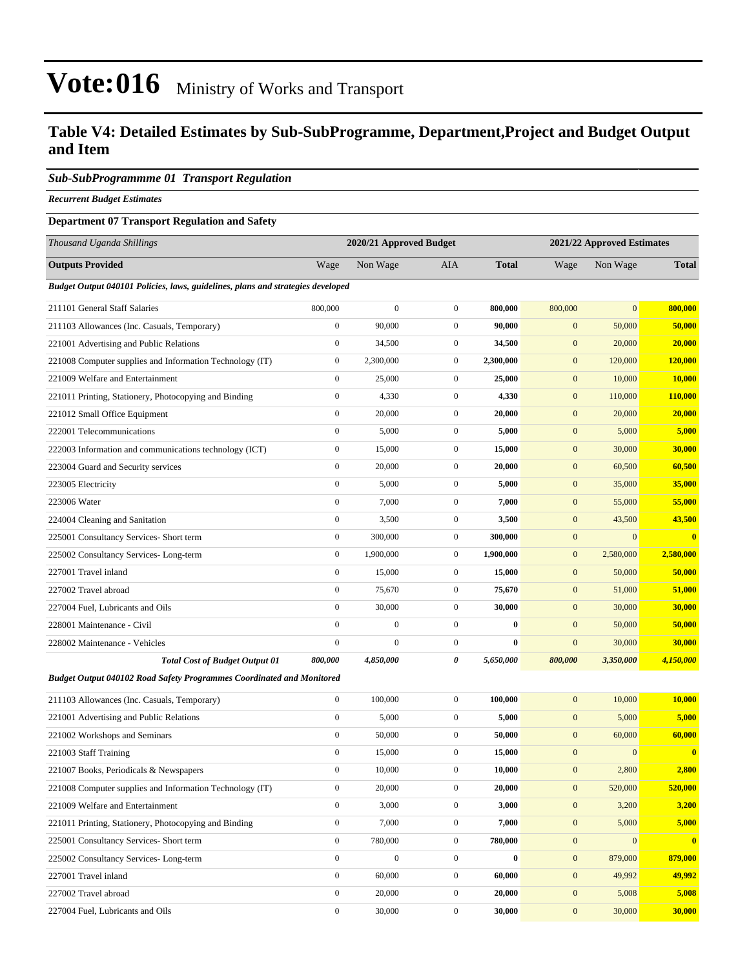#### **Table V4: Detailed Estimates by Sub-SubProgramme, Department,Project and Budget Output and Item**

#### *Sub-SubProgrammme 01 Transport Regulation*

*Recurrent Budget Estimates*

#### **Department 07 Transport Regulation and Safety**

| Thousand Uganda Shillings                                                       |                  | 2020/21 Approved Budget |                  |              |                  | 2021/22 Approved Estimates |               |  |
|---------------------------------------------------------------------------------|------------------|-------------------------|------------------|--------------|------------------|----------------------------|---------------|--|
| <b>Outputs Provided</b>                                                         | Wage             | Non Wage                | AIA              | <b>Total</b> | Wage             | Non Wage                   | <b>Total</b>  |  |
| Budget Output 040101 Policies, laws, guidelines, plans and strategies developed |                  |                         |                  |              |                  |                            |               |  |
| 211101 General Staff Salaries                                                   | 800,000          | $\boldsymbol{0}$        | $\boldsymbol{0}$ | 800,000      | 800,000          | $\mathbf{0}$               | 800,000       |  |
| 211103 Allowances (Inc. Casuals, Temporary)                                     | $\boldsymbol{0}$ | 90,000                  | $\boldsymbol{0}$ | 90,000       | $\mathbf{0}$     | 50,000                     | 50,000        |  |
| 221001 Advertising and Public Relations                                         | $\boldsymbol{0}$ | 34,500                  | $\boldsymbol{0}$ | 34,500       | $\boldsymbol{0}$ | 20,000                     | 20,000        |  |
| 221008 Computer supplies and Information Technology (IT)                        | $\boldsymbol{0}$ | 2,300,000               | $\boldsymbol{0}$ | 2,300,000    | $\mathbf{0}$     | 120,000                    | 120,000       |  |
| 221009 Welfare and Entertainment                                                | $\boldsymbol{0}$ | 25,000                  | $\boldsymbol{0}$ | 25,000       | $\mathbf{0}$     | 10,000                     | <b>10,000</b> |  |
| 221011 Printing, Stationery, Photocopying and Binding                           | $\boldsymbol{0}$ | 4,330                   | $\boldsymbol{0}$ | 4,330        | $\boldsymbol{0}$ | 110,000                    | 110,000       |  |
| 221012 Small Office Equipment                                                   | $\boldsymbol{0}$ | 20,000                  | $\boldsymbol{0}$ | 20,000       | $\mathbf{0}$     | 20,000                     | 20,000        |  |
| 222001 Telecommunications                                                       | $\boldsymbol{0}$ | 5,000                   | $\boldsymbol{0}$ | 5,000        | $\mathbf{0}$     | 5,000                      | 5,000         |  |
| 222003 Information and communications technology (ICT)                          | $\boldsymbol{0}$ | 15,000                  | $\boldsymbol{0}$ | 15,000       | $\mathbf{0}$     | 30,000                     | 30,000        |  |
| 223004 Guard and Security services                                              | $\boldsymbol{0}$ | 20,000                  | $\boldsymbol{0}$ | 20,000       | $\mathbf{0}$     | 60,500                     | 60,500        |  |
| 223005 Electricity                                                              | $\boldsymbol{0}$ | 5,000                   | $\boldsymbol{0}$ | 5,000        | $\boldsymbol{0}$ | 35,000                     | 35,000        |  |
| 223006 Water                                                                    | $\boldsymbol{0}$ | 7,000                   | $\boldsymbol{0}$ | 7,000        | $\mathbf{0}$     | 55,000                     | 55,000        |  |
| 224004 Cleaning and Sanitation                                                  | $\boldsymbol{0}$ | 3,500                   | $\boldsymbol{0}$ | 3,500        | $\mathbf{0}$     | 43,500                     | 43,500        |  |
| 225001 Consultancy Services- Short term                                         | $\boldsymbol{0}$ | 300,000                 | $\boldsymbol{0}$ | 300,000      | $\mathbf{0}$     | $\boldsymbol{0}$           | $\bf{0}$      |  |
| 225002 Consultancy Services-Long-term                                           | $\boldsymbol{0}$ | 1,900,000               | $\boldsymbol{0}$ | 1,900,000    | $\mathbf{0}$     | 2,580,000                  | 2,580,000     |  |
| 227001 Travel inland                                                            | $\boldsymbol{0}$ | 15,000                  | $\boldsymbol{0}$ | 15,000       | $\boldsymbol{0}$ | 50,000                     | 50,000        |  |
| 227002 Travel abroad                                                            | $\boldsymbol{0}$ | 75,670                  | $\boldsymbol{0}$ | 75,670       | $\mathbf{0}$     | 51,000                     | 51,000        |  |
| 227004 Fuel, Lubricants and Oils                                                | $\boldsymbol{0}$ | 30,000                  | $\boldsymbol{0}$ | 30,000       | $\mathbf{0}$     | 30,000                     | 30,000        |  |
| 228001 Maintenance - Civil                                                      | $\boldsymbol{0}$ | $\mathbf{0}$            | $\boldsymbol{0}$ | $\bf{0}$     | $\mathbf{0}$     | 50,000                     | 50,000        |  |
| 228002 Maintenance - Vehicles                                                   | $\boldsymbol{0}$ | $\overline{0}$          | $\boldsymbol{0}$ | $\bf{0}$     | $\boldsymbol{0}$ | 30,000                     | 30,000        |  |
| <b>Total Cost of Budget Output 01</b>                                           | 800,000          | 4,850,000               | 0                | 5,650,000    | 800,000          | 3,350,000                  | 4,150,000     |  |
| <b>Budget Output 040102 Road Safety Programmes Coordinated and Monitored</b>    |                  |                         |                  |              |                  |                            |               |  |
| 211103 Allowances (Inc. Casuals, Temporary)                                     | $\boldsymbol{0}$ | 100,000                 | $\boldsymbol{0}$ | 100,000      | $\mathbf{0}$     | 10,000                     | 10,000        |  |
| 221001 Advertising and Public Relations                                         | $\boldsymbol{0}$ | 5,000                   | $\boldsymbol{0}$ | 5,000        | $\mathbf{0}$     | 5,000                      | 5,000         |  |
| 221002 Workshops and Seminars                                                   | $\boldsymbol{0}$ | 50,000                  | $\boldsymbol{0}$ | 50,000       | $\mathbf{0}$     | 60,000                     | 60,000        |  |
| 221003 Staff Training                                                           | $\boldsymbol{0}$ | 15,000                  | $\boldsymbol{0}$ | 15,000       | $\boldsymbol{0}$ | $\boldsymbol{0}$           | $\bf{0}$      |  |
| 221007 Books, Periodicals & Newspapers                                          | $\boldsymbol{0}$ | 10,000                  | $\boldsymbol{0}$ | 10,000       | $\mathbf{0}$     | 2,800                      | 2,800         |  |
| 221008 Computer supplies and Information Technology (IT)                        | $\boldsymbol{0}$ | 20,000                  | $\boldsymbol{0}$ | 20,000       | $\boldsymbol{0}$ | 520,000                    | 520,000       |  |
| 221009 Welfare and Entertainment                                                | $\boldsymbol{0}$ | 3,000                   | $\boldsymbol{0}$ | 3,000        | $\mathbf{0}$     | 3,200                      | 3,200         |  |
| 221011 Printing, Stationery, Photocopying and Binding                           | $\boldsymbol{0}$ | 7,000                   | $\boldsymbol{0}$ | 7,000        | $\mathbf{0}$     | 5,000                      | 5,000         |  |
| 225001 Consultancy Services- Short term                                         | $\boldsymbol{0}$ | 780,000                 | $\boldsymbol{0}$ | 780,000      | $\boldsymbol{0}$ | $\boldsymbol{0}$           | $\bf{0}$      |  |
| 225002 Consultancy Services-Long-term                                           | $\boldsymbol{0}$ | $\boldsymbol{0}$        | $\boldsymbol{0}$ | $\pmb{0}$    | $\boldsymbol{0}$ | 879,000                    | 879,000       |  |
| 227001 Travel inland                                                            | $\boldsymbol{0}$ | 60,000                  | $\boldsymbol{0}$ | 60,000       | $\mathbf{0}$     | 49,992                     | 49,992        |  |
| 227002 Travel abroad                                                            | $\boldsymbol{0}$ | 20,000                  | $\boldsymbol{0}$ | 20,000       | $\mathbf{0}$     | 5,008                      | 5,008         |  |
| 227004 Fuel, Lubricants and Oils                                                | $\boldsymbol{0}$ | 30,000                  | $\boldsymbol{0}$ | 30,000       | $\mathbf{0}$     | 30,000                     | 30,000        |  |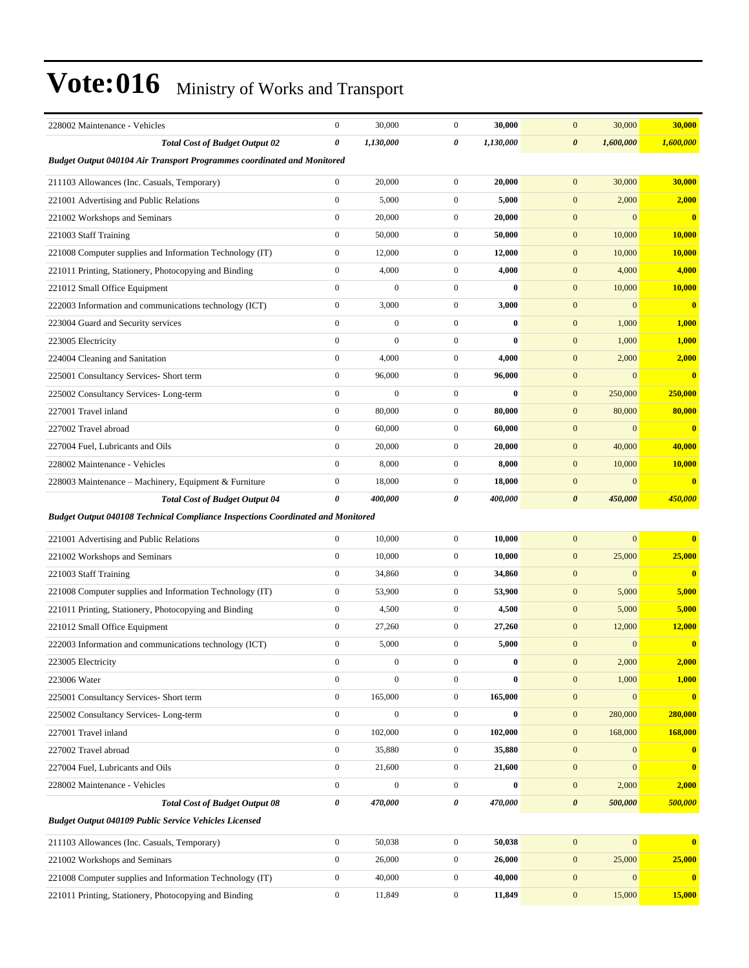| 228002 Maintenance - Vehicles                                                          | $\boldsymbol{0}$      | 30,000           | $\boldsymbol{0}$ | 30,000    | $\mathbf{0}$<br>30,000             | 30,000        |
|----------------------------------------------------------------------------------------|-----------------------|------------------|------------------|-----------|------------------------------------|---------------|
| <b>Total Cost of Budget Output 02</b>                                                  | $\boldsymbol{\theta}$ | 1,130,000        | 0                | 1,130,000 | $\boldsymbol{\theta}$<br>1,600,000 | 1,600,000     |
| <b>Budget Output 040104 Air Transport Programmes coordinated and Monitored</b>         |                       |                  |                  |           |                                    |               |
| 211103 Allowances (Inc. Casuals, Temporary)                                            | $\boldsymbol{0}$      | 20,000           | $\mathbf{0}$     | 20,000    | $\mathbf{0}$<br>30,000             | 30,000        |
| 221001 Advertising and Public Relations                                                | $\mathbf{0}$          | 5,000            | $\mathbf{0}$     | 5,000     | $\mathbf{0}$<br>2,000              | 2,000         |
| 221002 Workshops and Seminars                                                          | $\boldsymbol{0}$      | 20,000           | $\mathbf{0}$     | 20,000    | $\mathbf{0}$<br>$\mathbf{0}$       | $\bf{0}$      |
| 221003 Staff Training                                                                  | $\boldsymbol{0}$      | 50,000           | $\mathbf{0}$     | 50,000    | $\mathbf{0}$<br>10,000             | 10,000        |
| 221008 Computer supplies and Information Technology (IT)                               | $\boldsymbol{0}$      | 12,000           | $\mathbf{0}$     | 12,000    | $\mathbf{0}$<br>10,000             | 10,000        |
| 221011 Printing, Stationery, Photocopying and Binding                                  | $\boldsymbol{0}$      | 4,000            | $\mathbf{0}$     | 4,000     | $\mathbf{0}$<br>4,000              | 4,000         |
| 221012 Small Office Equipment                                                          | $\mathbf{0}$          | $\boldsymbol{0}$ | $\mathbf{0}$     | $\bf{0}$  | $\mathbf{0}$<br>10,000             | <b>10,000</b> |
| 222003 Information and communications technology (ICT)                                 | $\boldsymbol{0}$      | 3,000            | $\overline{0}$   | 3,000     | $\boldsymbol{0}$<br>$\mathbf{0}$   | $\bf{0}$      |
| 223004 Guard and Security services                                                     | $\mathbf{0}$          | $\boldsymbol{0}$ | $\overline{0}$   | $\bf{0}$  | $\mathbf{0}$<br>1,000              | 1,000         |
| 223005 Electricity                                                                     | $\mathbf{0}$          | $\boldsymbol{0}$ | $\overline{0}$   | $\bf{0}$  | $\mathbf{0}$<br>1,000              | 1,000         |
| 224004 Cleaning and Sanitation                                                         | $\boldsymbol{0}$      | 4,000            | $\mathbf{0}$     | 4,000     | $\mathbf{0}$<br>2,000              | 2,000         |
| 225001 Consultancy Services- Short term                                                | $\boldsymbol{0}$      | 96,000           | $\mathbf{0}$     | 96,000    | $\mathbf{0}$<br>$\mathbf{0}$       | $\bf{0}$      |
| 225002 Consultancy Services-Long-term                                                  | $\boldsymbol{0}$      | $\boldsymbol{0}$ | $\mathbf{0}$     | $\bf{0}$  | $\mathbf{0}$<br>250,000            | 250,000       |
| 227001 Travel inland                                                                   | $\boldsymbol{0}$      | 80,000           | $\mathbf{0}$     | 80,000    | $\mathbf{0}$<br>80,000             | 80,000        |
| 227002 Travel abroad                                                                   | $\mathbf{0}$          | 60,000           | $\mathbf{0}$     | 60,000    | $\mathbf{0}$<br>$\mathbf{0}$       | $\bf{0}$      |
| 227004 Fuel, Lubricants and Oils                                                       | $\boldsymbol{0}$      | 20,000           | $\mathbf{0}$     | 20,000    | $\mathbf{0}$<br>40,000             | 40,000        |
| 228002 Maintenance - Vehicles                                                          | $\mathbf{0}$          | 8,000            | $\mathbf{0}$     | 8,000     | $\mathbf{0}$<br>10,000             | <b>10,000</b> |
| 228003 Maintenance – Machinery, Equipment & Furniture                                  | $\boldsymbol{0}$      | 18,000           | $\mathbf{0}$     | 18,000    | $\mathbf{0}$<br>$\mathbf{0}$       | $\bf{0}$      |
| <b>Total Cost of Budget Output 04</b>                                                  | 0                     | 400,000          | 0                | 400,000   | $\boldsymbol{\theta}$<br>450,000   | 450,000       |
| <b>Budget Output 040108 Technical Compliance Inspections Coordinated and Monitored</b> |                       |                  |                  |           |                                    |               |
| 221001 Advertising and Public Relations                                                | $\boldsymbol{0}$      | 10,000           | $\mathbf{0}$     | 10,000    | $\mathbf{0}$<br>$\mathbf{0}$       | $\bf{0}$      |
| 221002 Workshops and Seminars                                                          | $\boldsymbol{0}$      | 10,000           | $\mathbf{0}$     | 10,000    | $\mathbf{0}$<br>25,000             | 25,000        |
| 221003 Staff Training                                                                  | $\mathbf{0}$          | 34,860           | $\mathbf{0}$     | 34,860    | $\mathbf{0}$<br>$\mathbf{0}$       | $\bf{0}$      |
| 221008 Computer supplies and Information Technology (IT)                               | $\boldsymbol{0}$      | 53,900           | $\mathbf{0}$     | 53,900    | $\mathbf{0}$<br>5,000              | 5,000         |
| 221011 Printing, Stationery, Photocopying and Binding                                  | $\boldsymbol{0}$      | 4,500            | $\mathbf{0}$     | 4,500     | $\mathbf{0}$<br>5,000              | 5,000         |
| 221012 Small Office Equipment                                                          | $\boldsymbol{0}$      | 27,260           | $\mathbf{0}$     | 27,260    | $\mathbf{0}$<br>12,000             |               |
| 222003 Information and communications technology (ICT)                                 |                       |                  |                  |           |                                    | 12,000        |
|                                                                                        | $\boldsymbol{0}$      | 5,000            | $\mathbf{0}$     | 5,000     | $\mathbf{0}$<br>$\mathbf{0}$       | $\bf{0}$      |
| 223005 Electricity                                                                     | $\boldsymbol{0}$      | $\bf{0}$         | $\overline{0}$   |           | $\mathbf{0}$<br>2,000              | 2,000         |
| 223006 Water                                                                           | $\boldsymbol{0}$      | $\boldsymbol{0}$ | $\mathbf{0}$     | $\bf{0}$  | 1,000<br>$\mathbf{0}$              | 1,000         |
| 225001 Consultancy Services- Short term                                                | $\boldsymbol{0}$      | 165,000          | $\boldsymbol{0}$ | 165,000   | $\boldsymbol{0}$<br>$\mathbf{0}$   | $\bf{0}$      |
| 225002 Consultancy Services-Long-term                                                  | $\boldsymbol{0}$      | $\boldsymbol{0}$ | $\boldsymbol{0}$ | $\bf{0}$  | $\mathbf{0}$<br>280,000            | 280,000       |
| 227001 Travel inland                                                                   | $\boldsymbol{0}$      | 102,000          | $\boldsymbol{0}$ | 102,000   | $\mathbf{0}$<br>168,000            | 168,000       |
| 227002 Travel abroad                                                                   | $\boldsymbol{0}$      | 35,880           | $\boldsymbol{0}$ | 35,880    | $\mathbf{0}$<br>$\mathbf{0}$       | $\bf{0}$      |
| 227004 Fuel, Lubricants and Oils                                                       | $\boldsymbol{0}$      | 21,600           | $\boldsymbol{0}$ | 21,600    | $\mathbf{0}$<br>$\mathbf{0}$       | $\bf{0}$      |
| 228002 Maintenance - Vehicles                                                          | $\boldsymbol{0}$      | $\boldsymbol{0}$ | $\boldsymbol{0}$ | $\bf{0}$  | $\mathbf{0}$<br>2,000              | 2,000         |
| <b>Total Cost of Budget Output 08</b>                                                  | $\pmb{\theta}$        | 470,000          | 0                | 470,000   | $\boldsymbol{\theta}$<br>500,000   | 500,000       |
| <b>Budget Output 040109 Public Service Vehicles Licensed</b>                           |                       |                  |                  |           |                                    |               |
| 211103 Allowances (Inc. Casuals, Temporary)                                            | $\boldsymbol{0}$      | 50,038           | $\boldsymbol{0}$ | 50,038    | $\mathbf{0}$<br>$\mathbf{0}$       | $\bf{0}$      |
| 221002 Workshops and Seminars                                                          | $\boldsymbol{0}$      | 26,000           | $\boldsymbol{0}$ | 26,000    | $\mathbf{0}$<br>25,000             | 25,000        |
| 221008 Computer supplies and Information Technology (IT)                               | $\boldsymbol{0}$      | 40,000           | $\boldsymbol{0}$ | 40,000    | $\mathbf{0}$<br>$\mathbf{0}$       | $\bf{0}$      |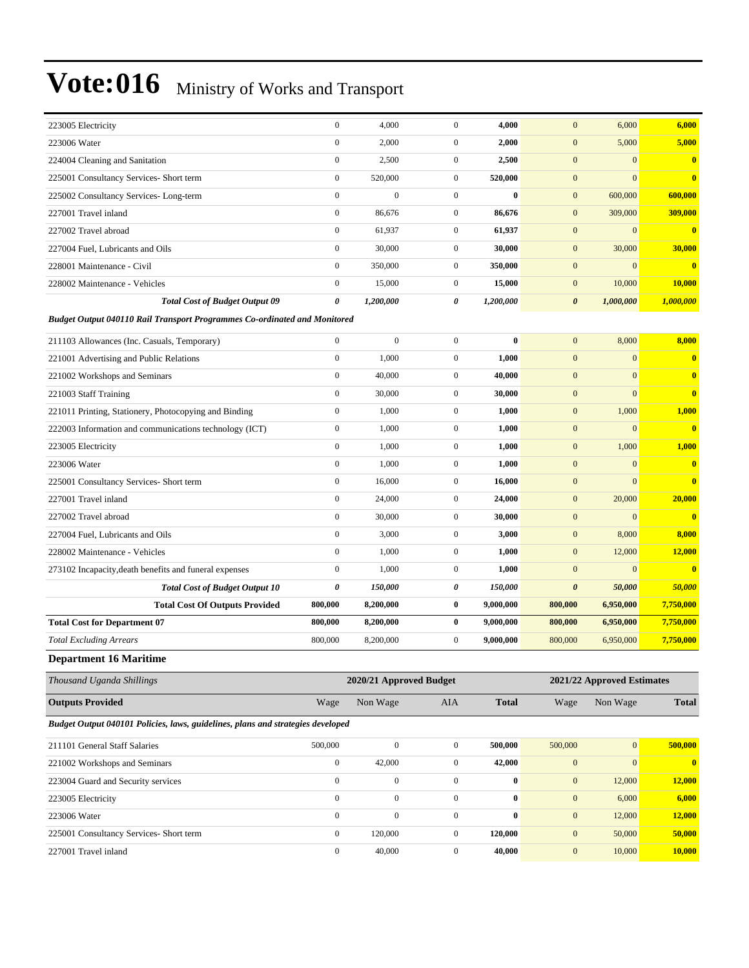| <b>Total Cost of Budget Output 09</b><br><b>Budget Output 040110 Rail Transport Programmes Co-ordinated and Monitored</b> | 0            | 1,200,000    | 0              | 1,200,000 | $\boldsymbol{\theta}$ | 1,000,000    | 1,000,000    |
|---------------------------------------------------------------------------------------------------------------------------|--------------|--------------|----------------|-----------|-----------------------|--------------|--------------|
| 228002 Maintenance - Vehicles                                                                                             | $\mathbf{0}$ | 15,000       | $\overline{0}$ | 15,000    | $\mathbf{0}$          | 10,000       | 10,000       |
| 228001 Maintenance - Civil                                                                                                | $\mathbf{0}$ | 350,000      | $\overline{0}$ | 350,000   | $\mathbf{0}$          | $\Omega$     | $\mathbf{0}$ |
| 227004 Fuel, Lubricants and Oils                                                                                          | $\mathbf{0}$ | 30,000       | $\overline{0}$ | 30,000    | $\mathbf{0}$          | 30,000       | 30,000       |
| 227002 Travel abroad                                                                                                      | $\mathbf{0}$ | 61,937       | $\overline{0}$ | 61,937    | $\mathbf{0}$          | $\Omega$     | $\mathbf{0}$ |
| 227001 Travel inland                                                                                                      | $\mathbf{0}$ | 86,676       | $\overline{0}$ | 86,676    | $\mathbf{0}$          | 309,000      | 309,000      |
| 225002 Consultancy Services-Long-term                                                                                     | $\mathbf{0}$ | $\mathbf{0}$ | $\overline{0}$ | $\bf{0}$  | $\mathbf{0}$          | 600,000      | 600,000      |
| 225001 Consultancy Services- Short term                                                                                   | $\mathbf{0}$ | 520,000      | $\overline{0}$ | 520,000   | $\overline{0}$        | $\mathbf{0}$ | $\mathbf{0}$ |
| 224004 Cleaning and Sanitation                                                                                            | $\mathbf{0}$ | 2,500        | $\overline{0}$ | 2,500     | $\overline{0}$        | $\mathbf{0}$ | $\mathbf{0}$ |
| 223006 Water                                                                                                              | $\mathbf{0}$ | 2,000        | 0              | 2,000     | $\mathbf{0}$          | 5,000        | 5,000        |
| 223005 Electricity                                                                                                        | $\mathbf{0}$ | 4,000        | 0              | 4,000     | $\mathbf{0}$          | 6,000        | 6,000        |

| 211103 Allowances (Inc. Casuals, Temporary)            | $\mathbf{0}$   | $\mathbf{0}$ | $\Omega$       | $\mathbf{0}$ | $\overline{0}$ | 8,000          | 8,000                   |
|--------------------------------------------------------|----------------|--------------|----------------|--------------|----------------|----------------|-------------------------|
| 221001 Advertising and Public Relations                | $\overline{0}$ | 1,000        | $\overline{0}$ | 1,000        | $\overline{0}$ | $\overline{0}$ | $\mathbf{0}$            |
| 221002 Workshops and Seminars                          | $\overline{0}$ | 40,000       | $\overline{0}$ | 40,000       | $\mathbf{0}$   | $\Omega$       | $\overline{0}$          |
| 221003 Staff Training                                  | $\mathbf{0}$   | 30,000       | $\overline{0}$ | 30,000       | $\mathbf{0}$   | $\Omega$       | $\overline{0}$          |
| 221011 Printing, Stationery, Photocopying and Binding  | 0              | 1,000        | 0              | 1,000        | $\mathbf{0}$   | 1,000          | 1,000                   |
| 222003 Information and communications technology (ICT) | $\overline{0}$ | 1,000        | $\mathbf{0}$   | 1,000        | $\mathbf{0}$   | $\Omega$       | $\overline{\mathbf{0}}$ |
| 223005 Electricity                                     | $\overline{0}$ | 1,000        | $\mathbf{0}$   | 1,000        | $\mathbf{0}$   | 1,000          | 1,000                   |
| 223006 Water                                           | $\overline{0}$ | 1,000        | $\mathbf{0}$   | 1,000        | $\mathbf{0}$   | $\overline{0}$ | $\overline{0}$          |
| 225001 Consultancy Services- Short term                | $\overline{0}$ | 16,000       | $\overline{0}$ | 16.000       | $\overline{0}$ | $\Omega$       | $\overline{0}$          |
| 227001 Travel inland                                   | $\Omega$       | 24,000       | $\Omega$       | 24,000       | $\mathbf{0}$   | 20,000         | 20,000                  |
| 227002 Travel abroad                                   | $\overline{0}$ | 30,000       | $\overline{0}$ | 30,000       | $\overline{0}$ | $\Omega$       | $\overline{0}$          |
| 227004 Fuel, Lubricants and Oils                       | $\overline{0}$ | 3,000        | $\overline{0}$ | 3,000        | $\mathbf{0}$   | 8,000          | 8,000                   |
| 228002 Maintenance - Vehicles                          | $\overline{0}$ | 1,000        | $\overline{0}$ | 1,000        | $\mathbf{0}$   | 12,000         | 12,000                  |
| 273102 Incapacity, death benefits and funeral expenses | 0              | 1,000        | $\overline{0}$ | 1,000        | $\mathbf{0}$   | $\Omega$       | $\overline{0}$          |
| <b>Total Cost of Budget Output 10</b>                  | 0              | 150,000      | 0              | 150,000      | 0              | 50,000         | 50,000                  |
| <b>Total Cost Of Outputs Provided</b>                  | 800,000        | 8,200,000    | $\bf{0}$       | 9,000,000    | 800,000        | 6,950,000      | 7,750,000               |
| <b>Total Cost for Department 07</b>                    | 800,000        | 8,200,000    | $\bf{0}$       | 9,000,000    | 800,000        | 6,950,000      | 7,750,000               |
| <b>Total Excluding Arrears</b>                         | 800,000        | 8,200,000    | $\mathbf{0}$   | 9,000,000    | 800,000        | 6,950,000      | 7,750,000               |

**Department 16 Maritime**

| Thousand Uganda Shillings                                                       | 2021/22 Approved Estimates<br>2020/21 Approved Budget |              |                |              |              |                 |                |  |  |  |
|---------------------------------------------------------------------------------|-------------------------------------------------------|--------------|----------------|--------------|--------------|-----------------|----------------|--|--|--|
| <b>Outputs Provided</b>                                                         | Wage                                                  | Non Wage     | <b>AIA</b>     | <b>Total</b> | Wage         | Non Wage        | <b>Total</b>   |  |  |  |
| Budget Output 040101 Policies, laws, guidelines, plans and strategies developed |                                                       |              |                |              |              |                 |                |  |  |  |
| 211101 General Staff Salaries                                                   | 500,000                                               | $\mathbf{0}$ | $\overline{0}$ | 500,000      | 500,000      | $\vert 0 \vert$ | 500,000        |  |  |  |
| 221002 Workshops and Seminars                                                   | $\mathbf{0}$                                          | 42,000       | $\mathbf{0}$   | 42,000       | $\mathbf{0}$ | $\overline{0}$  | $\overline{0}$ |  |  |  |
| 223004 Guard and Security services                                              | $\mathbf{0}$                                          | $\mathbf{0}$ | $\mathbf{0}$   | $\bf{0}$     | $\mathbf{0}$ | 12,000          | 12,000         |  |  |  |
| 223005 Electricity                                                              | $\Omega$                                              | $\Omega$     | $\Omega$       | $\mathbf{0}$ | $\mathbf{0}$ | 6,000           | 6,000          |  |  |  |
| 223006 Water                                                                    | $\mathbf{0}$                                          | $\mathbf{0}$ | $\overline{0}$ | $\mathbf{0}$ | $\mathbf{0}$ | 12,000          | 12,000         |  |  |  |
| 225001 Consultancy Services- Short term                                         | $\mathbf{0}$                                          | 120,000      | $\overline{0}$ | 120,000      | $\mathbf{0}$ | 50,000          | 50,000         |  |  |  |
| 227001 Travel inland                                                            | $\mathbf{0}$                                          | 40,000       | $\mathbf{0}$   | 40,000       | $\mathbf{0}$ | 10,000          | 10,000         |  |  |  |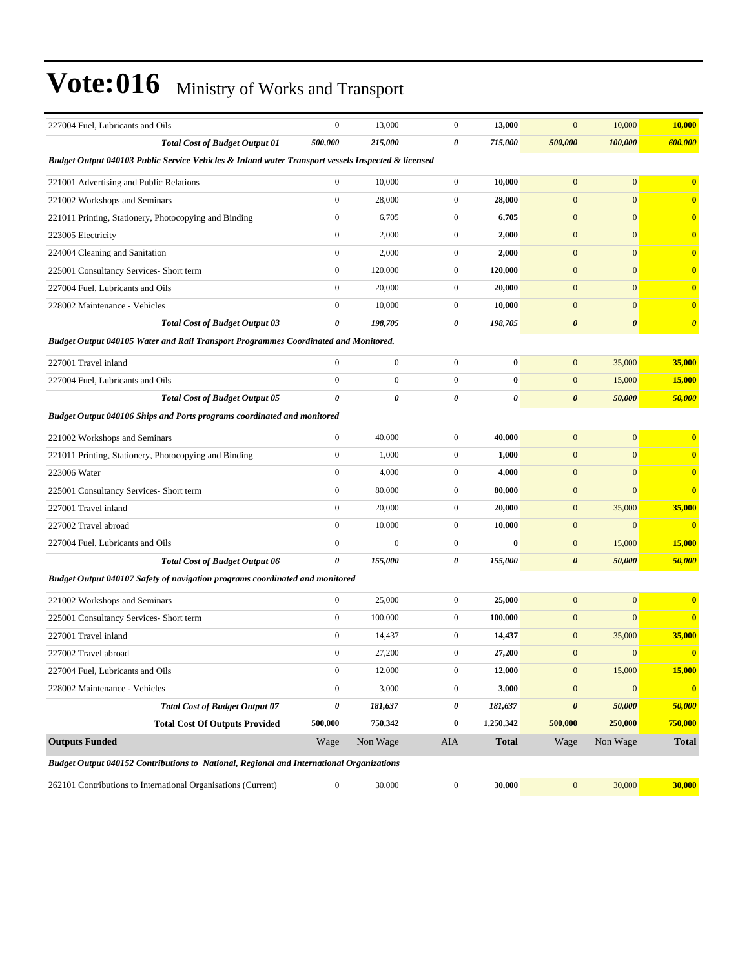| 227004 Fuel, Lubricants and Oils                                                                   | $\mathbf{0}$     | 13,000           | $\mathbf{0}$     | 13,000       | $\mathbf{0}$          | 10,000                | 10,000                  |  |  |  |
|----------------------------------------------------------------------------------------------------|------------------|------------------|------------------|--------------|-----------------------|-----------------------|-------------------------|--|--|--|
| <b>Total Cost of Budget Output 01</b>                                                              | 500,000          | 215,000          | 0                | 715,000      | 500,000               | 100,000               | 600,000                 |  |  |  |
| Budget Output 040103 Public Service Vehicles & Inland water Transport vessels Inspected & licensed |                  |                  |                  |              |                       |                       |                         |  |  |  |
| 221001 Advertising and Public Relations                                                            | $\boldsymbol{0}$ | 10,000           | $\mathbf{0}$     | 10,000       | $\mathbf{0}$          | $\mathbf{0}$          | $\bf{0}$                |  |  |  |
| 221002 Workshops and Seminars                                                                      | $\boldsymbol{0}$ | 28,000           | $\mathbf{0}$     | 28,000       | $\mathbf{0}$          | $\mathbf{0}$          | $\bf{0}$                |  |  |  |
| 221011 Printing, Stationery, Photocopying and Binding                                              | $\boldsymbol{0}$ | 6,705            | $\mathbf{0}$     | 6,705        | $\mathbf{0}$          | $\mathbf{0}$          | $\bf{0}$                |  |  |  |
| 223005 Electricity                                                                                 | $\mathbf{0}$     | 2,000            | $\boldsymbol{0}$ | 2,000        | $\mathbf{0}$          | $\overline{0}$        | $\bf{0}$                |  |  |  |
| 224004 Cleaning and Sanitation                                                                     | $\boldsymbol{0}$ | 2,000            | $\boldsymbol{0}$ | 2,000        | $\mathbf{0}$          | $\mathbf{0}$          | $\bf{0}$                |  |  |  |
| 225001 Consultancy Services- Short term                                                            | $\mathbf{0}$     | 120,000          | $\boldsymbol{0}$ | 120,000      | $\mathbf{0}$          | $\mathbf{0}$          | $\bf{0}$                |  |  |  |
| 227004 Fuel, Lubricants and Oils                                                                   | $\boldsymbol{0}$ | 20,000           | $\mathbf{0}$     | 20,000       | $\mathbf{0}$          | $\mathbf{0}$          | $\bf{0}$                |  |  |  |
| 228002 Maintenance - Vehicles                                                                      | $\boldsymbol{0}$ | 10,000           | $\mathbf{0}$     | 10,000       | $\mathbf{0}$          | $\mathbf{0}$          | $\bf{0}$                |  |  |  |
| <b>Total Cost of Budget Output 03</b>                                                              | 0                | 198,705          | 0                | 198,705      | $\boldsymbol{\theta}$ | $\boldsymbol{\theta}$ | $\boldsymbol{\theta}$   |  |  |  |
| Budget Output 040105 Water and Rail Transport Programmes Coordinated and Monitored.                |                  |                  |                  |              |                       |                       |                         |  |  |  |
| 227001 Travel inland                                                                               | $\boldsymbol{0}$ | $\boldsymbol{0}$ | $\boldsymbol{0}$ | $\bf{0}$     | $\mathbf{0}$          | 35,000                | 35,000                  |  |  |  |
| 227004 Fuel, Lubricants and Oils                                                                   | $\boldsymbol{0}$ | $\boldsymbol{0}$ | $\boldsymbol{0}$ | $\bf{0}$     | $\mathbf{0}$          | 15,000                | 15,000                  |  |  |  |
| <b>Total Cost of Budget Output 05</b>                                                              | 0                | 0                | 0                | 0            | $\boldsymbol{\theta}$ | 50,000                | 50,000                  |  |  |  |
| <b>Budget Output 040106 Ships and Ports programs coordinated and monitored</b>                     |                  |                  |                  |              |                       |                       |                         |  |  |  |
| 221002 Workshops and Seminars                                                                      | $\mathbf{0}$     | 40,000           | $\mathbf{0}$     | 40,000       | $\mathbf{0}$          | $\mathbf{0}$          | $\bf{0}$                |  |  |  |
| 221011 Printing, Stationery, Photocopying and Binding                                              | $\mathbf{0}$     | 1,000            | $\boldsymbol{0}$ | 1,000        | $\mathbf{0}$          | $\mathbf{0}$          | $\bf{0}$                |  |  |  |
| 223006 Water                                                                                       | $\mathbf{0}$     | 4,000            | $\mathbf{0}$     | 4,000        | $\mathbf{0}$          | $\mathbf{0}$          | $\bf{0}$                |  |  |  |
| 225001 Consultancy Services- Short term                                                            | $\boldsymbol{0}$ | 80,000           | $\boldsymbol{0}$ | 80,000       | $\mathbf{0}$          | $\mathbf{0}$          | $\bf{0}$                |  |  |  |
| 227001 Travel inland                                                                               | $\boldsymbol{0}$ | 20,000           | $\mathbf{0}$     | 20,000       | $\mathbf{0}$          | 35,000                | 35,000                  |  |  |  |
| 227002 Travel abroad                                                                               | $\boldsymbol{0}$ | 10,000           | $\mathbf{0}$     | 10,000       | $\mathbf{0}$          | $\mathbf{0}$          | $\overline{\mathbf{0}}$ |  |  |  |
| 227004 Fuel, Lubricants and Oils                                                                   | $\mathbf{0}$     | $\mathbf{0}$     | $\boldsymbol{0}$ | $\bf{0}$     | $\mathbf{0}$          | 15,000                | 15,000                  |  |  |  |
| <b>Total Cost of Budget Output 06</b>                                                              | 0                | 155,000          | 0                | 155,000      | $\boldsymbol{\theta}$ | 50,000                | 50,000                  |  |  |  |
| Budget Output 040107 Safety of navigation programs coordinated and monitored                       |                  |                  |                  |              |                       |                       |                         |  |  |  |
| 221002 Workshops and Seminars                                                                      | $\boldsymbol{0}$ | 25,000           | $\boldsymbol{0}$ | 25,000       | $\boldsymbol{0}$      | $\mathbf{0}$          | $\bf{0}$                |  |  |  |
| 225001 Consultancy Services- Short term                                                            | $\boldsymbol{0}$ | 100,000          | $\mathbf{0}$     | 100,000      | $\mathbf{0}$          | $\mathbf{0}$          | $\bf{0}$                |  |  |  |
| 227001 Travel inland                                                                               | $\boldsymbol{0}$ | 14,437           | 0                | 14,437       | $\mathbf{0}$          | 35,000                | 35,000                  |  |  |  |
| 227002 Travel abroad                                                                               | $\boldsymbol{0}$ | 27,200           | $\overline{0}$   | 27,200       | $\mathbf{0}$          | $\mathbf{0}$          | $\bf{0}$                |  |  |  |
| 227004 Fuel, Lubricants and Oils                                                                   | $\boldsymbol{0}$ | 12,000           | $\boldsymbol{0}$ | 12,000       | $\boldsymbol{0}$      | 15,000                | 15,000                  |  |  |  |
| 228002 Maintenance - Vehicles                                                                      | $\boldsymbol{0}$ | 3,000            | $\boldsymbol{0}$ | 3,000        | $\boldsymbol{0}$      | $\mathbf{0}$          | $\bullet$               |  |  |  |
| <b>Total Cost of Budget Output 07</b>                                                              | $\pmb{\theta}$   | 181,637          | 0                | 181,637      | $\boldsymbol{\theta}$ | 50,000                | 50,000                  |  |  |  |
| <b>Total Cost Of Outputs Provided</b>                                                              | 500,000          | 750,342          | 0                | 1,250,342    | 500,000               | 250,000               | 750,000                 |  |  |  |
| <b>Outputs Funded</b>                                                                              | Wage             | Non Wage         | AIA              | <b>Total</b> | Wage                  | Non Wage              | <b>Total</b>            |  |  |  |
| Budget Output 040152 Contributions to National, Regional and International Organizations           |                  |                  |                  |              |                       |                       |                         |  |  |  |
| 262101 Contributions to International Organisations (Current)                                      | $\boldsymbol{0}$ | 30,000           | $\mathbf{0}$     | 30,000       | $\boldsymbol{0}$      | 30,000                | 30,000                  |  |  |  |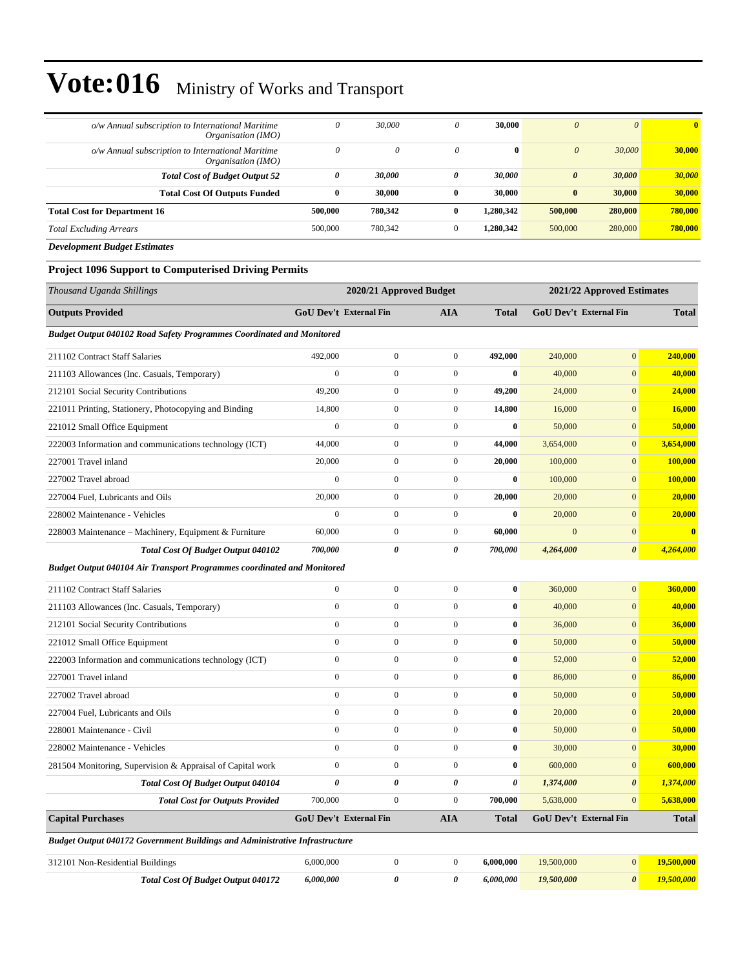| o/w Annual subscription to International Maritime<br>Organisation (IMO) | 0            | 30,000   | 0            | 30,000       | $\theta$              | $\theta$ | $\mathbf{0}$ |
|-------------------------------------------------------------------------|--------------|----------|--------------|--------------|-----------------------|----------|--------------|
| o/w Annual subscription to International Maritime<br>Organisation (IMO) | 0            | $\theta$ | $\theta$     | $\mathbf{0}$ | $\theta$              | 30,000   | 30,000       |
| <b>Total Cost of Budget Output 52</b>                                   | 0            | 30,000   | 0            | 30,000       | $\boldsymbol{\theta}$ | 30,000   | 30,000       |
| <b>Total Cost Of Outputs Funded</b>                                     | $\mathbf{0}$ | 30,000   | $\mathbf{0}$ | 30,000       | $\bf{0}$              | 30,000   | 30,000       |
| <b>Total Cost for Department 16</b>                                     | 500,000      | 780,342  |              | 1,280,342    | 500,000               | 280,000  | 780,000      |
| <b>Total Excluding Arrears</b>                                          | 500,000      | 780,342  | $\Omega$     | 1,280,342    | 500,000               | 280,000  | 780,000      |
| $\mathbf{r}$ $\mathbf{r}$<br>$\mathbf{r}$                               |              |          |              |              |                       |          |              |

*Development Budget Estimates*

#### **Project 1096 Support to Computerised Driving Permits**

| Thousand Uganda Shillings                                                   | 2020/21 Approved Budget       |                  |                       |                       | 2021/22 Approved Estimates |                        |              |  |
|-----------------------------------------------------------------------------|-------------------------------|------------------|-----------------------|-----------------------|----------------------------|------------------------|--------------|--|
| <b>Outputs Provided</b>                                                     | <b>GoU Dev't External Fin</b> |                  | <b>AIA</b>            | <b>Total</b>          |                            | GoU Dev't External Fin | <b>Total</b> |  |
| Budget Output 040102 Road Safety Programmes Coordinated and Monitored       |                               |                  |                       |                       |                            |                        |              |  |
| 211102 Contract Staff Salaries                                              | 492,000                       | $\boldsymbol{0}$ | $\boldsymbol{0}$      | 492,000               | 240,000                    | $\overline{0}$         | 240,000      |  |
| 211103 Allowances (Inc. Casuals, Temporary)                                 | $\mathbf{0}$                  | $\overline{0}$   | $\mathbf{0}$          | $\mathbf{0}$          | 40,000                     | $\overline{0}$         | 40,000       |  |
| 212101 Social Security Contributions                                        | 49,200                        | $\boldsymbol{0}$ | $\boldsymbol{0}$      | 49,200                | 24,000                     | $\overline{0}$         | 24,000       |  |
| 221011 Printing, Stationery, Photocopying and Binding                       | 14,800                        | $\boldsymbol{0}$ | $\boldsymbol{0}$      | 14,800                | 16,000                     | $\overline{0}$         | 16,000       |  |
| 221012 Small Office Equipment                                               | $\mathbf{0}$                  | $\overline{0}$   | $\mathbf{0}$          | $\bf{0}$              | 50,000                     | $\mathbf{0}$           | 50,000       |  |
| 222003 Information and communications technology (ICT)                      | 44,000                        | $\boldsymbol{0}$ | $\boldsymbol{0}$      | 44,000                | 3,654,000                  | $\overline{0}$         | 3,654,000    |  |
| 227001 Travel inland                                                        | 20,000                        | $\boldsymbol{0}$ | $\boldsymbol{0}$      | 20,000                | 100,000                    | $\overline{0}$         | 100,000      |  |
| 227002 Travel abroad                                                        | $\boldsymbol{0}$              | $\boldsymbol{0}$ | $\boldsymbol{0}$      | $\bf{0}$              | 100,000                    | $\overline{0}$         | 100,000      |  |
| 227004 Fuel, Lubricants and Oils                                            | 20,000                        | $\boldsymbol{0}$ | $\boldsymbol{0}$      | 20,000                | 20,000                     | $\overline{0}$         | 20,000       |  |
| 228002 Maintenance - Vehicles                                               | $\mathbf{0}$                  | $\overline{0}$   | $\mathbf{0}$          | $\bf{0}$              | 20,000                     | $\overline{0}$         | 20,000       |  |
| 228003 Maintenance – Machinery, Equipment & Furniture                       | 60,000                        | $\boldsymbol{0}$ | $\boldsymbol{0}$      | 60,000                | $\overline{0}$             | $\mathbf{0}$           | $\bf{0}$     |  |
| Total Cost Of Budget Output 040102                                          | 700,000                       | $\theta$         | $\boldsymbol{\theta}$ | 700,000               | 4,264,000                  | $\boldsymbol{\theta}$  | 4,264,000    |  |
| Budget Output 040104 Air Transport Programmes coordinated and Monitored     |                               |                  |                       |                       |                            |                        |              |  |
| 211102 Contract Staff Salaries                                              | $\mathbf{0}$                  | $\boldsymbol{0}$ | $\boldsymbol{0}$      | $\bf{0}$              | 360,000                    | $\overline{0}$         | 360,000      |  |
| 211103 Allowances (Inc. Casuals, Temporary)                                 | $\overline{0}$                | $\boldsymbol{0}$ | $\mathbf{0}$          | $\bf{0}$              | 40,000                     | $\overline{0}$         | 40,000       |  |
| 212101 Social Security Contributions                                        | $\mathbf{0}$                  | $\boldsymbol{0}$ | $\boldsymbol{0}$      | $\bf{0}$              | 36,000                     | $\overline{0}$         | 36,000       |  |
| 221012 Small Office Equipment                                               | $\boldsymbol{0}$              | $\boldsymbol{0}$ | $\boldsymbol{0}$      | $\bf{0}$              | 50,000                     | $\overline{0}$         | 50,000       |  |
| 222003 Information and communications technology (ICT)                      | $\mathbf{0}$                  | $\boldsymbol{0}$ | $\mathbf{0}$          | $\bf{0}$              | 52,000                     | $\overline{0}$         | 52,000       |  |
| 227001 Travel inland                                                        | $\overline{0}$                | $\boldsymbol{0}$ | $\boldsymbol{0}$      | $\bf{0}$              | 86,000                     | $\mathbf{0}$           | 86,000       |  |
| 227002 Travel abroad                                                        | $\theta$                      | $\mathbf{0}$     | $\mathbf{0}$          | $\bf{0}$              | 50,000                     | $\overline{0}$         | 50,000       |  |
| 227004 Fuel, Lubricants and Oils                                            | $\mathbf{0}$                  | $\boldsymbol{0}$ | $\mathbf{0}$          | $\bf{0}$              | 20,000                     | $\overline{0}$         | 20,000       |  |
| 228001 Maintenance - Civil                                                  | $\mathbf{0}$                  | $\boldsymbol{0}$ | $\boldsymbol{0}$      | $\bf{0}$              | 50,000                     | $\overline{0}$         | 50,000       |  |
| 228002 Maintenance - Vehicles                                               | $\theta$                      | $\overline{0}$   | $\mathbf{0}$          | $\bf{0}$              | 30,000                     | $\overline{0}$         | 30,000       |  |
| 281504 Monitoring, Supervision & Appraisal of Capital work                  | $\boldsymbol{0}$              | $\boldsymbol{0}$ | $\boldsymbol{0}$      | $\bf{0}$              | 600,000                    | $\mathbf{0}$           | 600,000      |  |
| <b>Total Cost Of Budget Output 040104</b>                                   | $\theta$                      | 0                | 0                     | $\boldsymbol{\theta}$ | 1,374,000                  | $\boldsymbol{\theta}$  | 1,374,000    |  |
| <b>Total Cost for Outputs Provided</b>                                      | 700,000                       | $\mathbf{0}$     | $\mathbf{0}$          | 700,000               | 5,638,000                  | $\overline{0}$         | 5,638,000    |  |
| <b>Capital Purchases</b>                                                    | <b>GoU Dev't External Fin</b> |                  | <b>AIA</b>            | <b>Total</b>          |                            | GoU Dev't External Fin | <b>Total</b> |  |
| Budget Output 040172 Government Buildings and Administrative Infrastructure |                               |                  |                       |                       |                            |                        |              |  |
| 312101 Non-Residential Buildings                                            | 6,000,000                     | $\boldsymbol{0}$ | $\boldsymbol{0}$      | 6,000,000             | 19,500,000                 | $\mathbf{0}$           | 19,500,000   |  |
| <b>Total Cost Of Budget Output 040172</b>                                   | 6,000,000                     | 0                | 0                     | 6,000,000             | 19,500,000                 | $\boldsymbol{\theta}$  | 19,500,000   |  |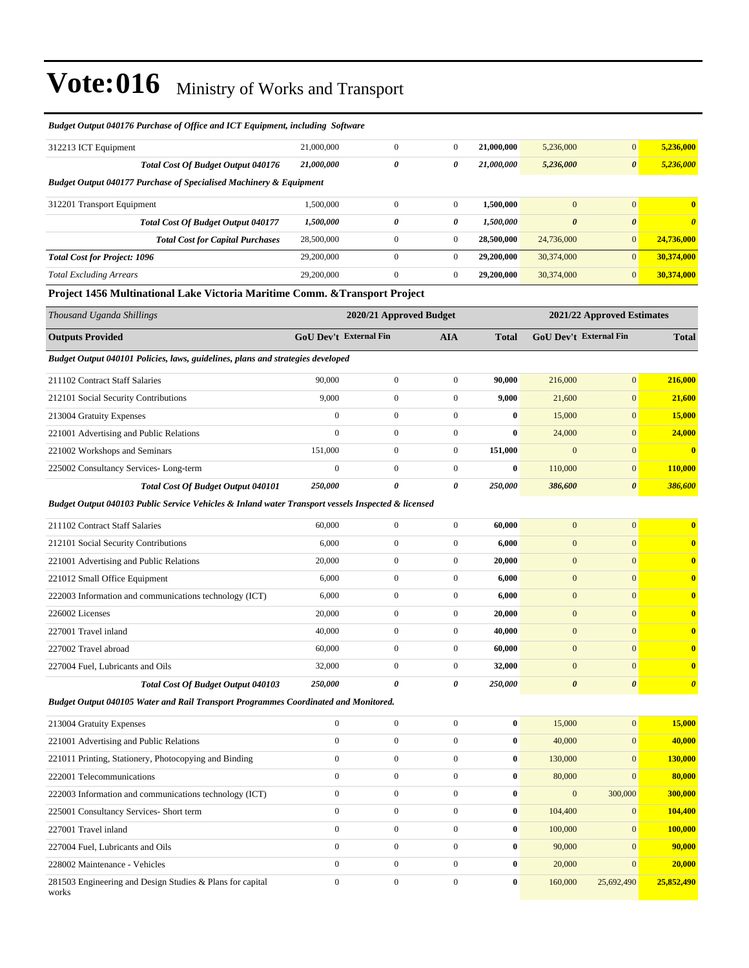| 312213 ICT Equipment                                                                               | 21,000,000       | $\mathbf{0}$                  | $\boldsymbol{0}$        | 21,000,000   | 5,236,000             | $\mathbf{0}$                  | 5,236,000               |
|----------------------------------------------------------------------------------------------------|------------------|-------------------------------|-------------------------|--------------|-----------------------|-------------------------------|-------------------------|
| Total Cost Of Budget Output 040176                                                                 | 21,000,000       | $\pmb{\theta}$                | 0                       | 21,000,000   | 5,236,000             | $\pmb{\theta}$                | 5,236,000               |
| <b>Budget Output 040177 Purchase of Specialised Machinery &amp; Equipment</b>                      |                  |                               |                         |              |                       |                               |                         |
| 312201 Transport Equipment                                                                         | 1,500,000        | $\boldsymbol{0}$              | $\boldsymbol{0}$        | 1,500,000    | $\mathbf{0}$          | $\mathbf{0}$                  | $\overline{\mathbf{0}}$ |
| <b>Total Cost Of Budget Output 040177</b>                                                          | 1,500,000        | $\pmb{\theta}$                | 0                       | 1,500,000    | $\boldsymbol{\theta}$ | $\boldsymbol{\theta}$         | $\boldsymbol{\theta}$   |
| <b>Total Cost for Capital Purchases</b>                                                            | 28,500,000       | $\overline{0}$                | $\mathbf{0}$            | 28,500,000   | 24,736,000            | $\overline{0}$                | 24,736,000              |
| <b>Total Cost for Project: 1096</b>                                                                | 29,200,000       | $\boldsymbol{0}$              | $\boldsymbol{0}$        | 29,200,000   | 30,374,000            | $\mathbf{0}$                  | 30,374,000              |
| <b>Total Excluding Arrears</b>                                                                     | 29,200,000       | $\boldsymbol{0}$              | $\mathbf{0}$            | 29,200,000   | 30,374,000            | $\mathbf{0}$                  | 30,374,000              |
| Project 1456 Multinational Lake Victoria Maritime Comm. & Transport Project                        |                  |                               |                         |              |                       |                               |                         |
| Thousand Uganda Shillings                                                                          |                  |                               | 2020/21 Approved Budget |              |                       | 2021/22 Approved Estimates    |                         |
| <b>Outputs Provided</b>                                                                            |                  | <b>GoU Dev't External Fin</b> | <b>AIA</b>              | <b>Total</b> |                       | <b>GoU Dev't External Fin</b> | <b>Total</b>            |
| Budget Output 040101 Policies, laws, guidelines, plans and strategies developed                    |                  |                               |                         |              |                       |                               |                         |
| 211102 Contract Staff Salaries                                                                     | 90,000           | $\boldsymbol{0}$              | $\mathbf{0}$            | 90,000       | 216,000               | $\overline{0}$                | 216,000                 |
| 212101 Social Security Contributions                                                               | 9,000            | $\boldsymbol{0}$              | $\mathbf{0}$            | 9,000        | 21,600                | $\mathbf{0}$                  | 21,600                  |
| 213004 Gratuity Expenses                                                                           | $\boldsymbol{0}$ | $\boldsymbol{0}$              | $\boldsymbol{0}$        | $\bf{0}$     | 15,000                | $\mathbf{0}$                  | 15,000                  |
| 221001 Advertising and Public Relations                                                            | $\theta$         | $\boldsymbol{0}$              | $\mathbf{0}$            | $\bf{0}$     | 24,000                | $\mathbf{0}$                  | 24,000                  |
| 221002 Workshops and Seminars                                                                      | 151,000          | $\boldsymbol{0}$              | $\mathbf{0}$            | 151,000      | $\mathbf{0}$          | $\overline{0}$                | $\bf{0}$                |
| 225002 Consultancy Services-Long-term                                                              | $\mathbf{0}$     | $\boldsymbol{0}$              | $\boldsymbol{0}$        | $\bf{0}$     | 110,000               | $\mathbf{0}$                  | 110,000                 |
| Total Cost Of Budget Output 040101                                                                 | 250,000          | $\boldsymbol{\theta}$         | 0                       | 250,000      | 386,600               | $\boldsymbol{\theta}$         | 386,600                 |
| Budget Output 040103 Public Service Vehicles & Inland water Transport vessels Inspected & licensed |                  |                               |                         |              |                       |                               |                         |
| 211102 Contract Staff Salaries                                                                     | 60,000           | $\mathbf{0}$                  | $\boldsymbol{0}$        | 60,000       | $\overline{0}$        | $\overline{0}$                | $\bf{0}$                |
| 212101 Social Security Contributions                                                               | 6,000            | $\boldsymbol{0}$              | $\boldsymbol{0}$        | 6,000        | $\boldsymbol{0}$      | $\mathbf{0}$                  | $\bf{0}$                |
| 221001 Advertising and Public Relations                                                            | 20,000           | $\boldsymbol{0}$              | $\mathbf{0}$            | 20,000       | $\boldsymbol{0}$      | $\mathbf{0}$                  | $\overline{\mathbf{0}}$ |
| 221012 Small Office Equipment                                                                      | 6,000            | $\mathbf{0}$                  | $\boldsymbol{0}$        | 6,000        | $\boldsymbol{0}$      | $\overline{0}$                | $\mathbf{0}$            |
| 222003 Information and communications technology (ICT)                                             | 6,000            | $\mathbf{0}$                  | $\mathbf{0}$            | 6,000        | $\overline{0}$        | $\overline{0}$                | $\overline{\mathbf{0}}$ |
| 226002 Licenses                                                                                    | 20,000           | $\mathbf{0}$                  | $\mathbf{0}$            | 20,000       | $\overline{0}$        | $\overline{0}$                | $\overline{\mathbf{0}}$ |
| 227001 Travel inland                                                                               | 40,000           | $\boldsymbol{0}$              | $\boldsymbol{0}$        | 40,000       | $\mathbf{0}$          | $\mathbf{0}$                  | $\overline{\mathbf{0}}$ |
| 227002 Travel abroad                                                                               | 60,000           | $\boldsymbol{0}$              | $\boldsymbol{0}$        | 60,000       | $\mathbf{0}$          | $\overline{0}$                | $\overline{\mathbf{0}}$ |
| 227004 Fuel, Lubricants and Oils                                                                   | 32,000           | $\boldsymbol{0}$              | $\boldsymbol{0}$        | 32,000       | $\boldsymbol{0}$      | $\mathbf{0}$                  | $\overline{\mathbf{0}}$ |
| Total Cost Of Budget Output 040103                                                                 | 250,000          | $\boldsymbol{\theta}$         | $\boldsymbol{\theta}$   | 250,000      | $\boldsymbol{\theta}$ | $\boldsymbol{\theta}$         | $\boldsymbol{\theta}$   |
| Budget Output 040105 Water and Rail Transport Programmes Coordinated and Monitored.                |                  |                               |                         |              |                       |                               |                         |
| $212004$ Cropins Expanses                                                                          | $\Omega$         |                               | $\Omega$                | $\mathbf{v}$ | 15.000                | $\Omega$                      | 15.000                  |

#### *Budget Output 040176 Purchase of Office and ICT Equipment, including Software*

| 213004 Gratuity Expenses                                           | $\Omega$     | $\mathbf{0}$   | $\Omega$     | $\bf{0}$     | 15,000       | $\overline{0}$ | 15,000     |
|--------------------------------------------------------------------|--------------|----------------|--------------|--------------|--------------|----------------|------------|
| 221001 Advertising and Public Relations                            | $\mathbf{0}$ | $\overline{0}$ | $\theta$     | $\bf{0}$     | 40,000       | $\mathbf{0}$   | 40,000     |
| 221011 Printing, Stationery, Photocopying and Binding              | $\Omega$     | $\mathbf{0}$   | $\Omega$     | $\bf{0}$     | 130,000      | $\overline{0}$ | 130,000    |
| 222001 Telecommunications                                          | $\mathbf{0}$ | $\mathbf{0}$   | $\mathbf{0}$ | $\bf{0}$     | 80,000       | $\overline{0}$ | 80,000     |
| 222003 Information and communications technology (ICT)             | $\mathbf{0}$ | $\mathbf{0}$   | $\Omega$     | $\bf{0}$     | $\mathbf{0}$ | 300,000        | 300,000    |
| 225001 Consultancy Services- Short term                            | $\Omega$     | $\mathbf{0}$   | $\Omega$     | $\mathbf{0}$ | 104,400      | $\overline{0}$ | 104,400    |
| 227001 Travel inland                                               | $\Omega$     | $\mathbf{0}$   | $\Omega$     | $\mathbf{0}$ | 100,000      | $\overline{0}$ | 100,000    |
| 227004 Fuel, Lubricants and Oils                                   | $\Omega$     | $\mathbf{0}$   | $\Omega$     | $\mathbf{0}$ | 90,000       | $\mathbf{0}$   | 90,000     |
| 228002 Maintenance - Vehicles                                      | $\Omega$     | $\mathbf{0}$   | $\Omega$     | $\mathbf{0}$ | 20,000       | $\overline{0}$ | 20,000     |
| 281503 Engineering and Design Studies & Plans for capital<br>works | $\mathbf{0}$ | $\mathbf{0}$   | $\Omega$     | $\mathbf{0}$ | 160,000      | 25,692,490     | 25,852,490 |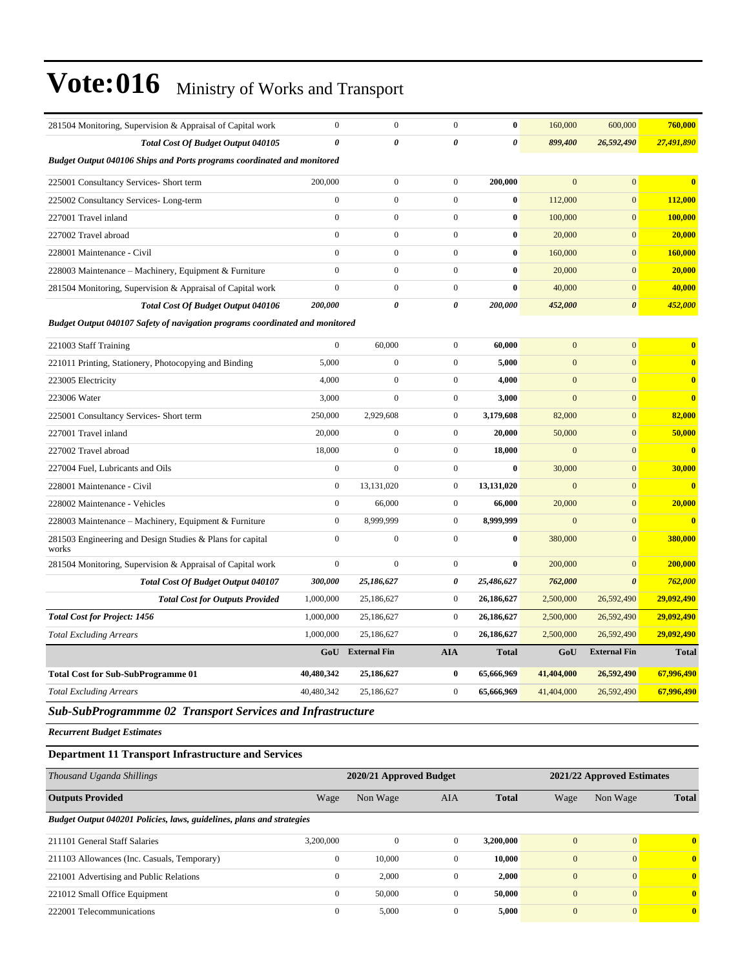| 281504 Monitoring, Supervision & Appraisal of Capital work                     | $\mathbf{0}$     | $\overline{0}$        | $\mathbf{0}$     | $\bf{0}$              | 160,000        | 600,000               | 760,000                 |
|--------------------------------------------------------------------------------|------------------|-----------------------|------------------|-----------------------|----------------|-----------------------|-------------------------|
| Total Cost Of Budget Output 040105                                             | 0                | $\boldsymbol{\theta}$ | 0                | $\boldsymbol{\theta}$ | 899,400        | 26,592,490            | 27,491,890              |
| <b>Budget Output 040106 Ships and Ports programs coordinated and monitored</b> |                  |                       |                  |                       |                |                       |                         |
| 225001 Consultancy Services- Short term                                        | 200,000          | $\boldsymbol{0}$      | $\boldsymbol{0}$ | 200,000               | $\overline{0}$ | $\overline{0}$        | $\mathbf{0}$            |
| 225002 Consultancy Services-Long-term                                          | $\mathbf{0}$     | $\overline{0}$        | $\mathbf{0}$     | $\bf{0}$              | 112,000        | $\mathbf{0}$          | 112,000                 |
| 227001 Travel inland                                                           | $\overline{0}$   | $\boldsymbol{0}$      | $\mathbf{0}$     | $\bf{0}$              | 100,000        | $\mathbf{0}$          | 100,000                 |
| 227002 Travel abroad                                                           | $\mathbf{0}$     | $\mathbf{0}$          | $\mathbf{0}$     | $\bf{0}$              | 20,000         | $\overline{0}$        | 20,000                  |
| 228001 Maintenance - Civil                                                     | $\Omega$         | $\boldsymbol{0}$      | $\boldsymbol{0}$ | $\bf{0}$              | 160,000        | $\mathbf{0}$          | 160,000                 |
| 228003 Maintenance - Machinery, Equipment & Furniture                          | $\overline{0}$   | $\overline{0}$        | $\mathbf{0}$     | $\bf{0}$              | 20,000         | $\mathbf{0}$          | 20,000                  |
| 281504 Monitoring, Supervision & Appraisal of Capital work                     | $\overline{0}$   | $\boldsymbol{0}$      | $\boldsymbol{0}$ | $\bf{0}$              | 40,000         | $\overline{0}$        | 40,000                  |
| <b>Total Cost Of Budget Output 040106</b>                                      | 200,000          | $\pmb{\theta}$        | 0                | 200,000               | 452,000        | $\boldsymbol{\theta}$ | 452,000                 |
| Budget Output 040107 Safety of navigation programs coordinated and monitored   |                  |                       |                  |                       |                |                       |                         |
| 221003 Staff Training                                                          | $\mathbf{0}$     | 60,000                | $\mathbf{0}$     | 60,000                | $\mathbf{0}$   | $\overline{0}$        | $\bf{0}$                |
| 221011 Printing, Stationery, Photocopying and Binding                          | 5,000            | $\boldsymbol{0}$      | $\boldsymbol{0}$ | 5,000                 | $\mathbf{0}$   | $\mathbf{0}$          | $\bf{0}$                |
| 223005 Electricity                                                             | 4,000            | $\boldsymbol{0}$      | $\boldsymbol{0}$ | 4,000                 | $\mathbf{0}$   | $\mathbf{0}$          | $\bf{0}$                |
| 223006 Water                                                                   | 3,000            | $\overline{0}$        | $\overline{0}$   | 3,000                 | $\mathbf{0}$   | $\overline{0}$        | $\overline{\mathbf{0}}$ |
| 225001 Consultancy Services- Short term                                        | 250,000          | 2,929,608             | $\boldsymbol{0}$ | 3,179,608             | 82,000         | $\overline{0}$        | 82,000                  |
| 227001 Travel inland                                                           | 20,000           | $\boldsymbol{0}$      | $\boldsymbol{0}$ | 20,000                | 50,000         | $\mathbf{0}$          | 50,000                  |
| 227002 Travel abroad                                                           | 18,000           | $\overline{0}$        | $\mathbf{0}$     | 18,000                | $\mathbf{0}$   | $\overline{0}$        | $\bf{0}$                |
| 227004 Fuel, Lubricants and Oils                                               | $\mathbf{0}$     | $\mathbf{0}$          | $\mathbf{0}$     | $\bf{0}$              | 30,000         | $\overline{0}$        | 30,000                  |
| 228001 Maintenance - Civil                                                     | $\boldsymbol{0}$ | 13,131,020            | $\boldsymbol{0}$ | 13,131,020            | $\mathbf{0}$   | $\overline{0}$        | $\bf{0}$                |
| 228002 Maintenance - Vehicles                                                  | $\boldsymbol{0}$ | 66,000                | $\boldsymbol{0}$ | 66,000                | 20,000         | $\overline{0}$        | 20,000                  |
| 228003 Maintenance - Machinery, Equipment & Furniture                          | $\mathbf{0}$     | 8,999,999             | $\mathbf{0}$     | 8,999,999             | $\mathbf{0}$   | $\overline{0}$        | $\bf{0}$                |
| 281503 Engineering and Design Studies & Plans for capital<br>works             | $\mathbf{0}$     | $\mathbf{0}$          | $\mathbf{0}$     | $\bf{0}$              | 380,000        | $\overline{0}$        | 380,000                 |
| 281504 Monitoring, Supervision & Appraisal of Capital work                     | $\mathbf{0}$     | $\mathbf{0}$          | $\mathbf{0}$     | $\bf{0}$              | 200,000        | $\overline{0}$        | 200,000                 |
| <b>Total Cost Of Budget Output 040107</b>                                      | 300,000          | 25,186,627            | 0                | 25,486,627            | 762,000        | $\boldsymbol{\theta}$ | 762,000                 |
| <b>Total Cost for Outputs Provided</b>                                         | 1,000,000        | 25,186,627            | $\boldsymbol{0}$ | 26,186,627            | 2,500,000      | 26,592,490            | 29,092,490              |
| <b>Total Cost for Project: 1456</b>                                            | 1,000,000        | 25,186,627            | $\boldsymbol{0}$ | 26,186,627            | 2,500,000      | 26,592,490            | 29,092,490              |
| <b>Total Excluding Arrears</b>                                                 | 1,000,000        | 25,186,627            | $\mathbf{0}$     | 26,186,627            | 2,500,000      | 26,592,490            | 29,092,490              |
|                                                                                | GoU              | <b>External Fin</b>   | <b>AIA</b>       | <b>Total</b>          | GoU            | <b>External Fin</b>   | <b>Total</b>            |
| <b>Total Cost for Sub-SubProgramme 01</b>                                      | 40,480,342       | 25,186,627            | $\bf{0}$         | 65,666,969            | 41,404,000     | 26,592,490            | 67,996,490              |
| <b>Total Excluding Arrears</b>                                                 | 40,480,342       | 25,186,627            | $\mathbf{0}$     | 65,666,969            | 41,404,000     | 26,592,490            | 67,996,490              |
| <b>Sub-SubProgrammme 02 Transport Services and Infrastructure</b>              |                  |                       |                  |                       |                |                       |                         |

*Recurrent Budget Estimates*

#### **Department 11 Transport Infrastructure and Services**

| Thousand Uganda Shillings                                             |              | 2020/21 Approved Budget |              |              |                | 2021/22 Approved Estimates |              |  |
|-----------------------------------------------------------------------|--------------|-------------------------|--------------|--------------|----------------|----------------------------|--------------|--|
| <b>Outputs Provided</b>                                               | Wage         | Non Wage                | <b>AIA</b>   | <b>Total</b> | Wage           | Non Wage                   | <b>Total</b> |  |
| Budget Output 040201 Policies, laws, guidelines, plans and strategies |              |                         |              |              |                |                            |              |  |
| 211101 General Staff Salaries                                         | 3.200.000    | $\Omega$                | $\mathbf{0}$ | 3.200.000    | $\mathbf{0}$   | $\Omega$                   | $\mathbf{0}$ |  |
| 211103 Allowances (Inc. Casuals, Temporary)                           | $\mathbf{0}$ | 10.000                  | $\mathbf{0}$ | 10,000       | $\overline{0}$ | $\Omega$                   | $\mathbf{0}$ |  |
| 221001 Advertising and Public Relations                               | $\mathbf{0}$ | 2,000                   | $\mathbf{0}$ | 2,000        | $\overline{0}$ | $\Omega$                   | $\mathbf{0}$ |  |
| 221012 Small Office Equipment                                         | $\mathbf{0}$ | 50,000                  | $\mathbf{0}$ | 50,000       | $\mathbf{0}$   | $\overline{0}$             | $\mathbf{0}$ |  |
| 222001 Telecommunications                                             | $\mathbf{0}$ | 5,000                   | $\mathbf{0}$ | 5,000        | $\mathbf{0}$   | $\Omega$                   | $\mathbf{0}$ |  |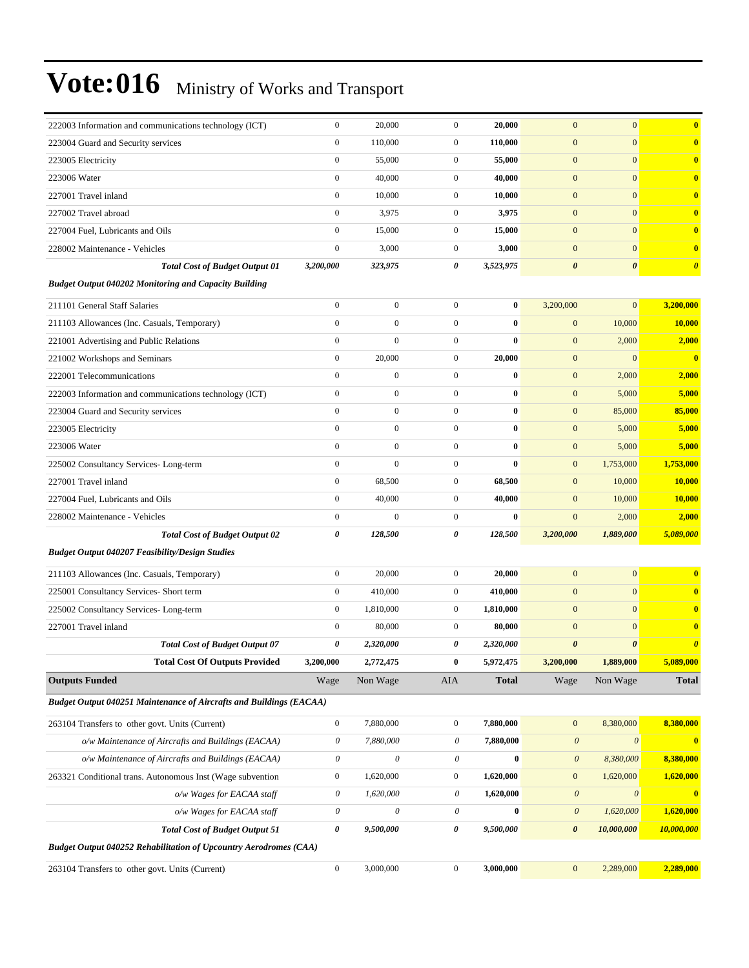| 222003 Information and communications technology (ICT)                     | $\boldsymbol{0}$      | 20,000                    | $\mathbf{0}$     | 20,000       | $\mathbf{0}$              | $\boldsymbol{0}$          | $\bf{0}$                |
|----------------------------------------------------------------------------|-----------------------|---------------------------|------------------|--------------|---------------------------|---------------------------|-------------------------|
| 223004 Guard and Security services                                         | $\boldsymbol{0}$      | 110,000                   | $\boldsymbol{0}$ | 110,000      | $\mathbf{0}$              | $\mathbf{0}$              | $\mathbf{0}$            |
| 223005 Electricity                                                         | $\boldsymbol{0}$      | 55,000                    | $\boldsymbol{0}$ | 55,000       | $\mathbf{0}$              | $\mathbf{0}$              | $\mathbf{0}$            |
| 223006 Water                                                               | $\mathbf{0}$          | 40,000                    | $\boldsymbol{0}$ | 40,000       | $\mathbf{0}$              | $\mathbf{0}$              | $\mathbf{0}$            |
| 227001 Travel inland                                                       | $\boldsymbol{0}$      | 10,000                    | $\boldsymbol{0}$ | 10,000       | $\mathbf{0}$              | $\mathbf{0}$              | $\mathbf{0}$            |
| 227002 Travel abroad                                                       | $\boldsymbol{0}$      | 3,975                     | $\mathbf{0}$     | 3,975        | $\mathbf{0}$              | $\mathbf{0}$              | $\mathbf{0}$            |
| 227004 Fuel, Lubricants and Oils                                           | $\mathbf{0}$          | 15,000                    | $\boldsymbol{0}$ | 15,000       | $\mathbf{0}$              | $\mathbf{0}$              | $\mathbf{0}$            |
| 228002 Maintenance - Vehicles                                              | $\boldsymbol{0}$      | 3,000                     | $\boldsymbol{0}$ | 3,000        | $\boldsymbol{0}$          | $\mathbf{0}$              | $\mathbf{0}$            |
| <b>Total Cost of Budget Output 01</b>                                      | 3,200,000             | 323,975                   | 0                | 3,523,975    | $\boldsymbol{\theta}$     | $\boldsymbol{\theta}$     | $\boldsymbol{\theta}$   |
| <b>Budget Output 040202 Monitoring and Capacity Building</b>               |                       |                           |                  |              |                           |                           |                         |
| 211101 General Staff Salaries                                              | $\boldsymbol{0}$      | $\boldsymbol{0}$          | $\mathbf{0}$     | $\bf{0}$     | 3,200,000                 | $\boldsymbol{0}$          | 3,200,000               |
| 211103 Allowances (Inc. Casuals, Temporary)                                | $\boldsymbol{0}$      | $\boldsymbol{0}$          | $\mathbf{0}$     | $\bf{0}$     | $\boldsymbol{0}$          | 10,000                    | 10,000                  |
| 221001 Advertising and Public Relations                                    | $\mathbf{0}$          | $\mathbf{0}$              | $\mathbf{0}$     | $\bf{0}$     | $\mathbf{0}$              | 2,000                     | 2,000                   |
| 221002 Workshops and Seminars                                              | $\mathbf{0}$          | 20,000                    | $\boldsymbol{0}$ | 20,000       | $\mathbf{0}$              | $\mathbf{0}$              | $\bf{0}$                |
| 222001 Telecommunications                                                  | $\mathbf{0}$          | $\boldsymbol{0}$          | $\mathbf{0}$     | $\bf{0}$     | $\mathbf{0}$              | 2,000                     | 2,000                   |
| 222003 Information and communications technology (ICT)                     | $\boldsymbol{0}$      | $\boldsymbol{0}$          | $\boldsymbol{0}$ | $\bf{0}$     | $\mathbf{0}$              | 5,000                     | 5,000                   |
| 223004 Guard and Security services                                         | $\boldsymbol{0}$      | $\boldsymbol{0}$          | $\mathbf{0}$     | $\bf{0}$     | $\mathbf{0}$              | 85,000                    | 85,000                  |
| 223005 Electricity                                                         | $\mathbf{0}$          | $\boldsymbol{0}$          | $\mathbf{0}$     | $\bf{0}$     | $\mathbf{0}$              | 5,000                     | 5,000                   |
| 223006 Water                                                               | $\mathbf{0}$          | $\mathbf{0}$              | $\mathbf{0}$     | $\bf{0}$     | $\mathbf{0}$              | 5,000                     | 5,000                   |
| 225002 Consultancy Services-Long-term                                      | $\mathbf{0}$          | $\mathbf{0}$              | $\mathbf{0}$     | $\bf{0}$     | $\mathbf{0}$              | 1,753,000                 | 1,753,000               |
| 227001 Travel inland                                                       | $\boldsymbol{0}$      | 68,500                    | $\boldsymbol{0}$ | 68,500       | $\mathbf{0}$              | 10,000                    | 10,000                  |
| 227004 Fuel, Lubricants and Oils                                           | $\boldsymbol{0}$      | 40,000                    | $\boldsymbol{0}$ | 40,000       | $\mathbf{0}$              | 10,000                    | 10,000                  |
| 228002 Maintenance - Vehicles                                              | $\boldsymbol{0}$      | $\mathbf{0}$              | $\boldsymbol{0}$ | $\bf{0}$     | $\mathbf{0}$              | 2,000                     | 2,000                   |
| <b>Total Cost of Budget Output 02</b>                                      | 0                     | 128,500                   | 0                | 128,500      | 3,200,000                 | 1,889,000                 | 5,089,000               |
| <b>Budget Output 040207 Feasibility/Design Studies</b>                     |                       |                           |                  |              |                           |                           |                         |
| 211103 Allowances (Inc. Casuals, Temporary)                                | $\boldsymbol{0}$      | 20,000                    | $\mathbf{0}$     | 20,000       | $\overline{0}$            | $\mathbf{0}$              | $\mathbf{0}$            |
| 225001 Consultancy Services- Short term                                    | $\boldsymbol{0}$      | 410,000                   | $\mathbf{0}$     | 410,000      | $\mathbf{0}$              | $\mathbf{0}$              | $\mathbf{0}$            |
| 225002 Consultancy Services-Long-term                                      | $\boldsymbol{0}$      | 1,810,000                 | $\boldsymbol{0}$ | 1,810,000    | $\mathbf{0}$              | $\mathbf{0}$              | $\mathbf{0}$            |
| 227001 Travel inland                                                       | $\mathbf{0}$          | 80,000                    | $\mathbf{0}$     | 80,000       | $\mathbf{0}$              | $\boldsymbol{0}$          | $\mathbf{0}$            |
| <b>Total Cost of Budget Output 07</b>                                      | 0                     | 2,320,000                 | 0                | 2,320,000    | $\boldsymbol{\theta}$     | $\boldsymbol{\theta}$     | $\boldsymbol{\theta}$   |
| <b>Total Cost Of Outputs Provided</b>                                      | 3,200,000             | 2,772,475                 | 0                | 5,972,475    | 3,200,000                 | 1,889,000                 | 5,089,000               |
| <b>Outputs Funded</b>                                                      | Wage                  | Non Wage                  | AIA              | <b>Total</b> | Wage                      | Non Wage                  | <b>Total</b>            |
| <b>Budget Output 040251 Maintenance of Aircrafts and Buildings (EACAA)</b> |                       |                           |                  |              |                           |                           |                         |
| 263104 Transfers to other govt. Units (Current)                            | $\boldsymbol{0}$      | 7,880,000                 | $\boldsymbol{0}$ | 7,880,000    | $\boldsymbol{0}$          | 8,380,000                 | 8,380,000               |
| o/w Maintenance of Aircrafts and Buildings (EACAA)                         | $\boldsymbol{\theta}$ | 7,880,000                 | $\mathcal O$     | 7,880,000    | $\boldsymbol{\mathit{0}}$ | $\boldsymbol{\mathit{0}}$ | $\overline{\mathbf{0}}$ |
| o/w Maintenance of Aircrafts and Buildings (EACAA)                         | $\boldsymbol{\theta}$ | $\boldsymbol{\mathit{0}}$ | 0                | $\bf{0}$     | $\boldsymbol{\theta}$     | 8,380,000                 | 8,380,000               |
| 263321 Conditional trans. Autonomous Inst (Wage subvention                 | $\boldsymbol{0}$      | 1,620,000                 | $\boldsymbol{0}$ | 1,620,000    | $\boldsymbol{0}$          | 1,620,000                 | 1,620,000               |
| o/w Wages for EACAA staff                                                  | $\boldsymbol{\theta}$ | 1,620,000                 | 0                | 1,620,000    | $\boldsymbol{\mathit{0}}$ | $\boldsymbol{\theta}$     | $\mathbf{0}$            |
| o/w Wages for EACAA staff                                                  | $\boldsymbol{\theta}$ | $\boldsymbol{\mathit{0}}$ | 0                | $\pmb{0}$    | $\boldsymbol{\theta}$     | 1,620,000                 | 1,620,000               |
| <b>Total Cost of Budget Output 51</b>                                      | 0                     | 9,500,000                 | 0                | 9,500,000    | $\pmb{\theta}$            | 10,000,000                | 10,000,000              |
| <b>Budget Output 040252 Rehabilitation of Upcountry Aerodromes (CAA)</b>   |                       |                           |                  |              |                           |                           |                         |
| 263104 Transfers to other govt. Units (Current)                            | $\boldsymbol{0}$      | 3,000,000                 | $\boldsymbol{0}$ | 3,000,000    | $\boldsymbol{0}$          | 2,289,000                 | 2,289,000               |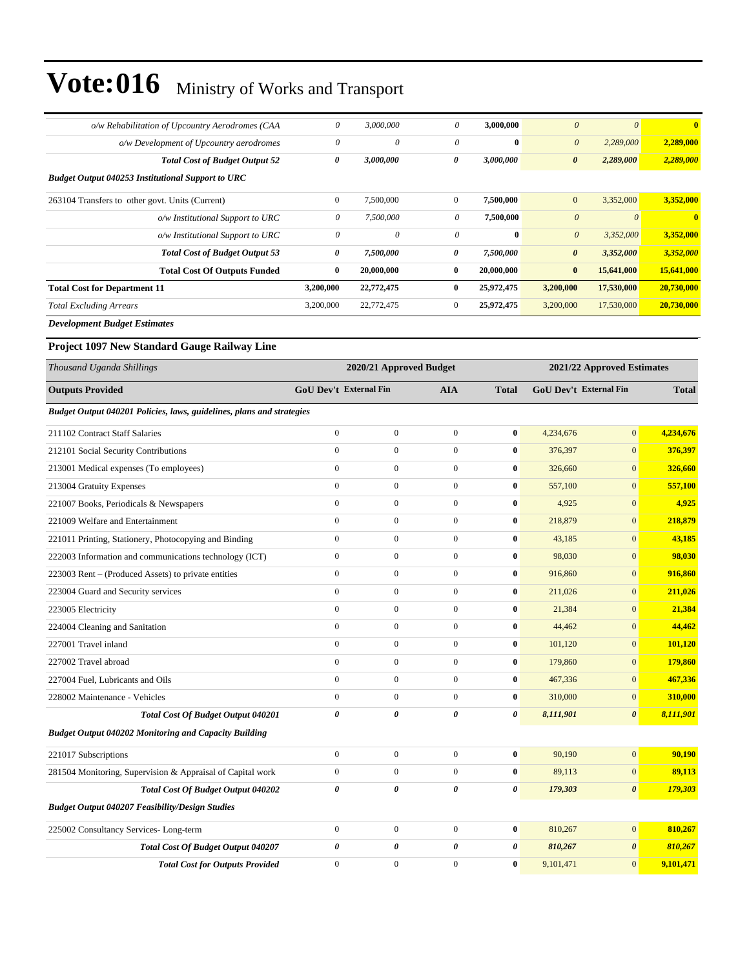| o/w Rehabilitation of Upcountry Aerodromes (CAA                       | 0                             | 3,000,000                 | $\boldsymbol{\theta}$ | 3,000,000    | $\boldsymbol{\theta}$         | $\theta$                   | $\bf{0}$     |
|-----------------------------------------------------------------------|-------------------------------|---------------------------|-----------------------|--------------|-------------------------------|----------------------------|--------------|
| o/w Development of Upcountry aerodromes                               | 0                             | 0                         | $\theta$              | $\bf{0}$     | $\boldsymbol{\theta}$         | 2,289,000                  | 2,289,000    |
| <b>Total Cost of Budget Output 52</b>                                 | 0                             | 3,000,000                 | 0                     | 3,000,000    | $\boldsymbol{\theta}$         | 2,289,000                  | 2,289,000    |
| <b>Budget Output 040253 Institutional Support to URC</b>              |                               |                           |                       |              |                               |                            |              |
| 263104 Transfers to other govt. Units (Current)                       | $\boldsymbol{0}$              | 7,500,000                 | $\boldsymbol{0}$      | 7,500,000    | $\mathbf{0}$                  | 3,352,000                  | 3,352,000    |
| o/w Institutional Support to URC                                      | 0                             | 7,500,000                 | 0                     | 7,500,000    | $\boldsymbol{\theta}$         | $\boldsymbol{\theta}$      | $\bf{0}$     |
| o/w Institutional Support to URC                                      | 0                             | $\boldsymbol{\mathit{0}}$ | 0                     | $\bf{0}$     | $\boldsymbol{\theta}$         | 3,352,000                  | 3,352,000    |
| <b>Total Cost of Budget Output 53</b>                                 | 0                             | 7,500,000                 | 0                     | 7,500,000    | $\boldsymbol{\theta}$         | 3,352,000                  | 3,352,000    |
| <b>Total Cost Of Outputs Funded</b>                                   | $\bf{0}$                      | 20,000,000                | 0                     | 20,000,000   | $\bf{0}$                      | 15,641,000                 | 15,641,000   |
| <b>Total Cost for Department 11</b>                                   | 3,200,000                     | 22,772,475                | 0                     | 25,972,475   | 3,200,000                     | 17,530,000                 | 20,730,000   |
| <b>Total Excluding Arrears</b>                                        | 3,200,000                     | 22,772,475                | $\boldsymbol{0}$      | 25,972,475   | 3,200,000                     | 17,530,000                 | 20,730,000   |
| <b>Development Budget Estimates</b>                                   |                               |                           |                       |              |                               |                            |              |
| Project 1097 New Standard Gauge Railway Line                          |                               |                           |                       |              |                               |                            |              |
| Thousand Uganda Shillings                                             |                               | 2020/21 Approved Budget   |                       |              |                               | 2021/22 Approved Estimates |              |
| <b>Outputs Provided</b>                                               | <b>GoU Dev't External Fin</b> |                           | <b>AIA</b>            | <b>Total</b> | <b>GoU Dev't External Fin</b> |                            | <b>Total</b> |
| Budget Output 040201 Policies, laws, guidelines, plans and strategies |                               |                           |                       |              |                               |                            |              |
| 211102 Contract Staff Salaries                                        | $\boldsymbol{0}$              | $\boldsymbol{0}$          | $\boldsymbol{0}$      | $\bf{0}$     | 4,234,676                     | $\mathbf{0}$               | 4,234,676    |
| 212101 Social Security Contributions                                  | $\mathbf{0}$                  | $\boldsymbol{0}$          | $\boldsymbol{0}$      | $\bf{0}$     | 376,397                       | $\mathbf{0}$               | 376,397      |
| 213001 Medical expenses (To employees)                                | $\boldsymbol{0}$              | $\mathbf{0}$              | $\boldsymbol{0}$      | $\bf{0}$     | 326,660                       | $\boldsymbol{0}$           | 326,660      |
| 213004 Gratuity Expenses                                              | $\boldsymbol{0}$              | $\boldsymbol{0}$          | $\boldsymbol{0}$      | $\bf{0}$     | 557,100                       | $\mathbf{0}$               | 557,100      |
| 221007 Books, Periodicals & Newspapers                                | $\boldsymbol{0}$              | $\boldsymbol{0}$          | $\boldsymbol{0}$      | $\bf{0}$     | 4,925                         | $\mathbf{0}$               | 4,925        |
| 221009 Welfare and Entertainment                                      | $\mathbf{0}$                  | $\boldsymbol{0}$          | $\boldsymbol{0}$      | $\bf{0}$     | 218,879                       | $\mathbf{0}$               | 218,879      |
| 221011 Printing, Stationery, Photocopying and Binding                 | $\mathbf{0}$                  | $\boldsymbol{0}$          | $\boldsymbol{0}$      | $\bf{0}$     | 43,185                        | $\mathbf{0}$               | 43,185       |
| 222003 Information and communications technology (ICT)                | $\boldsymbol{0}$              | $\mathbf{0}$              | $\boldsymbol{0}$      | $\bf{0}$     | 98,030                        | $\mathbf{0}$               | 98,030       |
| 223003 Rent – (Produced Assets) to private entities                   | $\boldsymbol{0}$              | $\boldsymbol{0}$          | $\boldsymbol{0}$      | $\bf{0}$     | 916,860                       | $\mathbf{0}$               | 916,860      |
| 223004 Guard and Security services                                    | $\boldsymbol{0}$              | $\boldsymbol{0}$          | $\boldsymbol{0}$      | $\bf{0}$     | 211,026                       | $\mathbf{0}$               | 211,026      |
| 223005 Electricity                                                    | $\boldsymbol{0}$              | $\boldsymbol{0}$          | $\boldsymbol{0}$      | $\bf{0}$     | 21,384                        | $\mathbf{0}$               | 21,384       |
| 224004 Cleaning and Sanitation                                        | $\mathbf{0}$                  | $\boldsymbol{0}$          | $\boldsymbol{0}$      | $\bf{0}$     | 44,462                        | $\mathbf{0}$               | 44,462       |
| 227001 Travel inland                                                  | $\boldsymbol{0}$              | $\boldsymbol{0}$          | $\boldsymbol{0}$      | $\bf{0}$     | 101,120                       | $\boldsymbol{0}$           | 101,120      |
| 227002 Travel abroad                                                  | $\mathbf{0}$                  | $\overline{0}$            | $\mathbf{0}$          | $\bf{0}$     | 179,860                       | $\boldsymbol{0}$           | 179,860      |
| 227004 Fuel, Lubricants and Oils                                      | $\mathbf{0}$                  | $\boldsymbol{0}$          | $\boldsymbol{0}$      | $\bf{0}$     | 467,336                       | $\mathbf{0}$               | 467,336      |
| 228002 Maintenance - Vehicles                                         | $\boldsymbol{0}$              | $\boldsymbol{0}$          | $\boldsymbol{0}$      | $\bf{0}$     | 310,000                       | $\mathbf{0}$               | 310,000      |
| Total Cost Of Budget Output 040201                                    | $\pmb{\theta}$                | 0                         | 0                     | 0            | 8,111,901                     | $\boldsymbol{\theta}$      | 8,111,901    |
| <b>Budget Output 040202 Monitoring and Capacity Building</b>          |                               |                           |                       |              |                               |                            |              |
| 221017 Subscriptions                                                  | $\boldsymbol{0}$              | $\boldsymbol{0}$          | $\boldsymbol{0}$      | $\bf{0}$     | 90,190                        | $\boldsymbol{0}$           | 90,190       |
| 281504 Monitoring, Supervision & Appraisal of Capital work            | $\boldsymbol{0}$              | $\boldsymbol{0}$          | $\boldsymbol{0}$      | $\bf{0}$     | 89,113                        | $\boldsymbol{0}$           | 89,113       |
| Total Cost Of Budget Output 040202                                    | $\pmb{\theta}$                | 0                         | 0                     | 0            | 179,303                       | $\boldsymbol{\theta}$      | 179,303      |
| <b>Budget Output 040207 Feasibility/Design Studies</b>                |                               |                           |                       |              |                               |                            |              |
| 225002 Consultancy Services-Long-term                                 | $\boldsymbol{0}$              | $\boldsymbol{0}$          | $\boldsymbol{0}$      | $\pmb{0}$    | 810,267                       | $\vert 0 \vert$            | 810,267      |
| Total Cost Of Budget Output 040207                                    | 0                             | 0                         | 0                     | 0            | 810,267                       | $\boldsymbol{\theta}$      | 810,267      |
| <b>Total Cost for Outputs Provided</b>                                | $\boldsymbol{0}$              | $\boldsymbol{0}$          | $\boldsymbol{0}$      | $\bf{0}$     | 9,101,471                     | $\mathbf{0}$               | 9,101,471    |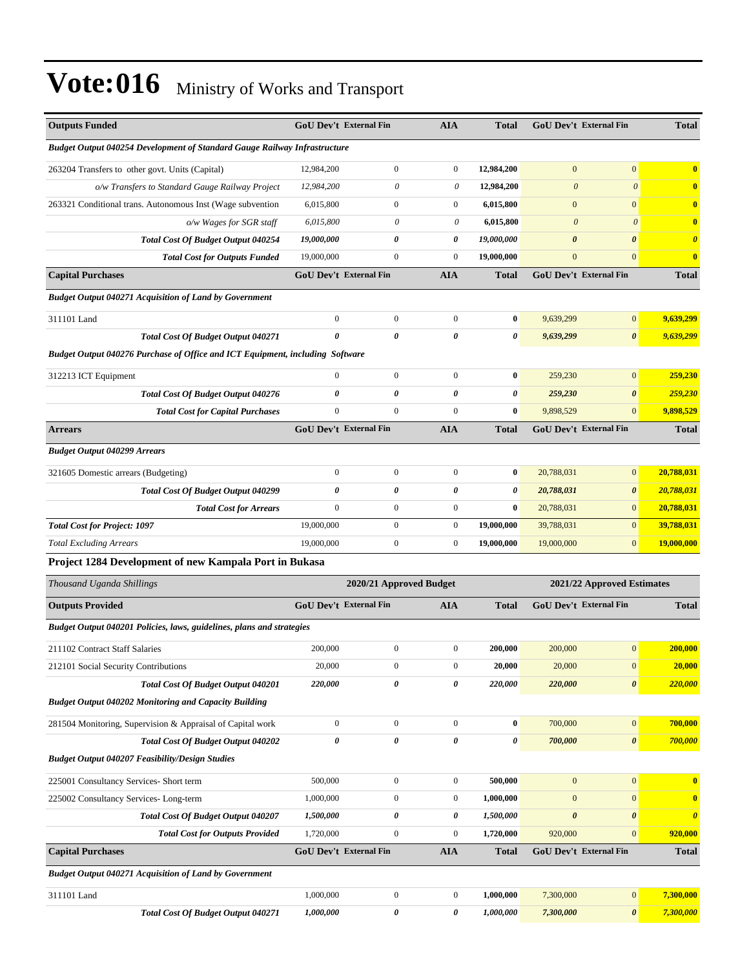| <b>Outputs Funded</b>                                                         |                  | <b>GoU Dev't External Fin</b> | <b>AIA</b>            | <b>Total</b>   |                       | <b>GoU Dev't External Fin</b> | <b>Total</b>          |
|-------------------------------------------------------------------------------|------------------|-------------------------------|-----------------------|----------------|-----------------------|-------------------------------|-----------------------|
| Budget Output 040254 Development of Standard Gauge Railway Infrastructure     |                  |                               |                       |                |                       |                               |                       |
| 263204 Transfers to other govt. Units (Capital)                               | 12,984,200       | $\boldsymbol{0}$              | $\boldsymbol{0}$      | 12,984,200     | $\mathbf{0}$          | $\mathbf{0}$                  | $\bf{0}$              |
| o/w Transfers to Standard Gauge Railway Project                               | 12,984,200       | 0                             | 0                     | 12,984,200     | $\boldsymbol{\theta}$ | $\boldsymbol{\theta}$         | $\mathbf{0}$          |
| 263321 Conditional trans. Autonomous Inst (Wage subvention                    | 6,015,800        | $\boldsymbol{0}$              | $\boldsymbol{0}$      | 6,015,800      | $\mathbf{0}$          | $\mathbf{0}$                  | $\bf{0}$              |
| o/w Wages for SGR staff                                                       | 6,015,800        | 0                             | 0                     | 6,015,800      | $\boldsymbol{\theta}$ | $\theta$                      | $\bf{0}$              |
| <b>Total Cost Of Budget Output 040254</b>                                     | 19,000,000       | $\theta$                      | 0                     | 19,000,000     | $\boldsymbol{\theta}$ | $\boldsymbol{\theta}$         | $\boldsymbol{\theta}$ |
| <b>Total Cost for Outputs Funded</b>                                          | 19,000,000       | $\boldsymbol{0}$              | $\mathbf{0}$          | 19,000,000     | $\mathbf{0}$          | $\mathbf{0}$                  | $\bf{0}$              |
| <b>Capital Purchases</b>                                                      |                  | <b>GoU Dev't External Fin</b> | AIA                   | <b>Total</b>   |                       | GoU Dev't External Fin        | <b>Total</b>          |
| <b>Budget Output 040271 Acquisition of Land by Government</b>                 |                  |                               |                       |                |                       |                               |                       |
| 311101 Land                                                                   | $\boldsymbol{0}$ | $\overline{0}$                | $\boldsymbol{0}$      | $\bf{0}$       | 9,639,299             | $\mathbf{0}$                  | 9,639,299             |
| Total Cost Of Budget Output 040271                                            | 0                | 0                             | $\boldsymbol{\theta}$ | 0              | 9,639,299             | $\boldsymbol{\theta}$         | 9,639,299             |
| Budget Output 040276 Purchase of Office and ICT Equipment, including Software |                  |                               |                       |                |                       |                               |                       |
| 312213 ICT Equipment                                                          | $\mathbf{0}$     | $\overline{0}$                | $\boldsymbol{0}$      | $\bf{0}$       | 259,230               | $\mathbf{0}$                  | 259,230               |
| Total Cost Of Budget Output 040276                                            | $\theta$         | 0                             | $\boldsymbol{\theta}$ | 0              | 259,230               | $\boldsymbol{\theta}$         | 259,230               |
| <b>Total Cost for Capital Purchases</b>                                       | $\mathbf{0}$     | $\mathbf{0}$                  | $\mathbf{0}$          | $\bf{0}$       | 9,898,529             | $\mathbf{0}$                  | 9,898,529             |
| <b>Arrears</b>                                                                |                  | <b>GoU Dev't External Fin</b> | AIA                   | <b>Total</b>   |                       | GoU Dev't External Fin        | <b>Total</b>          |
| <b>Budget Output 040299 Arrears</b>                                           |                  |                               |                       |                |                       |                               |                       |
| 321605 Domestic arrears (Budgeting)                                           | $\mathbf{0}$     | $\boldsymbol{0}$              | $\boldsymbol{0}$      | $\bf{0}$       | 20,788,031            | $\mathbf{0}$                  | 20,788,031            |
| Total Cost Of Budget Output 040299                                            | 0                | 0                             | 0                     | 0              | 20,788,031            | $\boldsymbol{\theta}$         | 20,788,031            |
| <b>Total Cost for Arrears</b>                                                 | $\mathbf{0}$     | $\boldsymbol{0}$              | $\boldsymbol{0}$      | $\bf{0}$       | 20,788,031            | $\mathbf{0}$                  | 20,788,031            |
| <b>Total Cost for Project: 1097</b>                                           | 19,000,000       | $\boldsymbol{0}$              | $\boldsymbol{0}$      | 19,000,000     | 39,788,031            | $\mathbf{0}$                  | 39,788,031            |
| <b>Total Excluding Arrears</b>                                                | 19,000,000       | $\boldsymbol{0}$              | $\boldsymbol{0}$      | 19,000,000     | 19,000,000            | $\mathbf{0}$                  | 19,000,000            |
| Project 1284 Development of new Kampala Port in Bukasa                        |                  |                               |                       |                |                       |                               |                       |
| Thousand Uganda Shillings                                                     |                  | 2020/21 Approved Budget       |                       |                |                       | 2021/22 Approved Estimates    |                       |
| <b>Outputs Provided</b>                                                       |                  | GoU Dev't External Fin        | <b>AIA</b>            | Total          |                       | <b>GoU Dev't External Fin</b> | <b>Total</b>          |
| Budget Output 040201 Policies, laws, guidelines, plans and strategies         |                  |                               |                       |                |                       |                               |                       |
| 211102 Contract Staff Salaries                                                | 200,000          | $\boldsymbol{0}$              | $\boldsymbol{0}$      | 200,000        | 200,000               | $\boldsymbol{0}$              | 200,000               |
| 212101 Social Security Contributions                                          | 20,000           | $\boldsymbol{0}$              | $\boldsymbol{0}$      | 20,000         | 20,000                | $\boldsymbol{0}$              | 20,000                |
| Total Cost Of Budget Output 040201                                            | 220,000          | 0                             | 0                     | 220,000        | 220,000               | $\pmb{\theta}$                | 220,000               |
| <b>Budget Output 040202 Monitoring and Capacity Building</b>                  |                  |                               |                       |                |                       |                               |                       |
| 281504 Monitoring, Supervision & Appraisal of Capital work                    | $\boldsymbol{0}$ | $\boldsymbol{0}$              | $\boldsymbol{0}$      | $\bf{0}$       | 700,000               | $\boldsymbol{0}$              | 700,000               |
| Total Cost Of Budget Output 040202                                            | $\pmb{\theta}$   | 0                             | 0                     | $\pmb{\theta}$ | 700,000               | $\boldsymbol{\theta}$         | 700,000               |
| <b>Budget Output 040207 Feasibility/Design Studies</b>                        |                  |                               |                       |                |                       |                               |                       |
| 225001 Consultancy Services- Short term                                       | 500,000          | $\boldsymbol{0}$              | $\boldsymbol{0}$      | 500,000        | $\mathbf{0}$          | $\boldsymbol{0}$              | $\mathbf{0}$          |
| 225002 Consultancy Services-Long-term                                         | 1,000,000        | $\boldsymbol{0}$              | $\boldsymbol{0}$      | 1,000,000      | $\mathbf{0}$          | $\boldsymbol{0}$              | $\bf{0}$              |
| Total Cost Of Budget Output 040207                                            | 1,500,000        | 0                             | 0                     | 1,500,000      | $\boldsymbol{\theta}$ | $\boldsymbol{\theta}$         | $\boldsymbol{\theta}$ |
| <b>Total Cost for Outputs Provided</b>                                        | 1,720,000        | $\boldsymbol{0}$              | $\boldsymbol{0}$      | 1,720,000      | 920,000               | $\mathbf{0}$                  | 920,000               |
| <b>Capital Purchases</b>                                                      |                  | <b>GoU Dev't External Fin</b> | <b>AIA</b>            | Total          |                       | GoU Dev't External Fin        | <b>Total</b>          |
| <b>Budget Output 040271 Acquisition of Land by Government</b>                 |                  |                               |                       |                |                       |                               |                       |
| 311101 Land                                                                   | 1,000,000        | $\boldsymbol{0}$              | $\boldsymbol{0}$      | 1,000,000      | 7,300,000             | $\boldsymbol{0}$              | 7,300,000             |
| Total Cost Of Budget Output 040271                                            | 1,000,000        | 0                             | 0                     | 1,000,000      | 7,300,000             | $\boldsymbol{\theta}$         | 7,300,000             |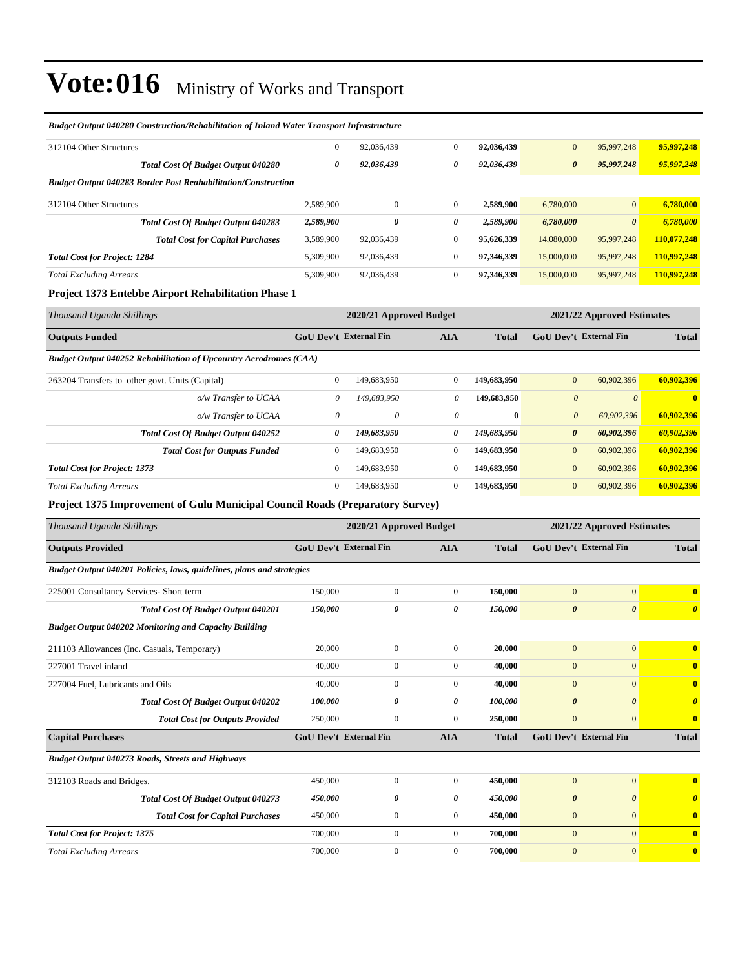| Budget Output 040280 Construction/Rehabilitation of Inland Water Transport Infrastructure |                               |                         |                       |              |                        |                            |                       |
|-------------------------------------------------------------------------------------------|-------------------------------|-------------------------|-----------------------|--------------|------------------------|----------------------------|-----------------------|
| 312104 Other Structures                                                                   | $\mathbf{0}$                  | 92,036,439              | $\boldsymbol{0}$      | 92,036,439   | $\mathbf{0}$           | 95,997,248                 | 95,997,248            |
| <b>Total Cost Of Budget Output 040280</b>                                                 | 0                             | 92,036,439              | 0                     | 92,036,439   | $\boldsymbol{\theta}$  | 95,997,248                 | 95,997,248            |
| <b>Budget Output 040283 Border Post Reahabilitation/Construction</b>                      |                               |                         |                       |              |                        |                            |                       |
| 312104 Other Structures                                                                   | 2,589,900                     | $\mathbf{0}$            | $\boldsymbol{0}$      | 2,589,900    | 6,780,000              | $\mathbf{0}$               | 6,780,000             |
| <b>Total Cost Of Budget Output 040283</b>                                                 | 2,589,900                     | 0                       | 0                     | 2,589,900    | 6,780,000              | $\boldsymbol{\theta}$      | 6,780,000             |
| <b>Total Cost for Capital Purchases</b>                                                   | 3,589,900                     | 92,036,439              | $\boldsymbol{0}$      | 95,626,339   | 14,080,000             | 95,997,248                 | 110,077,248           |
| <b>Total Cost for Project: 1284</b>                                                       | 5,309,900                     | 92,036,439              | $\boldsymbol{0}$      | 97,346,339   | 15,000,000             | 95,997,248                 | 110,997,248           |
| <b>Total Excluding Arrears</b>                                                            | 5,309,900                     | 92,036,439              | $\boldsymbol{0}$      | 97,346,339   | 15,000,000             | 95,997,248                 | 110,997,248           |
| Project 1373 Entebbe Airport Rehabilitation Phase 1                                       |                               |                         |                       |              |                        |                            |                       |
| Thousand Uganda Shillings                                                                 |                               | 2020/21 Approved Budget |                       |              |                        | 2021/22 Approved Estimates |                       |
| <b>Outputs Funded</b>                                                                     | GoU Dev't External Fin        |                         | <b>AIA</b>            | <b>Total</b> | GoU Dev't External Fin |                            | <b>Total</b>          |
| <b>Budget Output 040252 Rehabilitation of Upcountry Aerodromes (CAA)</b>                  |                               |                         |                       |              |                        |                            |                       |
| 263204 Transfers to other govt. Units (Capital)                                           | $\mathbf{0}$                  | 149,683,950             | $\boldsymbol{0}$      | 149,683,950  | $\mathbf{0}$           | 60,902,396                 | 60,902,396            |
| o/w Transfer to UCAA                                                                      | $\boldsymbol{\theta}$         | 149,683,950             | 0                     | 149,683,950  | $\boldsymbol{\theta}$  | $\boldsymbol{\theta}$      | $\bf{0}$              |
| o/w Transfer to UCAA                                                                      | $\boldsymbol{\theta}$         | 0                       | 0                     | $\bf{0}$     | $\boldsymbol{\theta}$  | 60,902,396                 | 60,902,396            |
| Total Cost Of Budget Output 040252                                                        | 0                             | 149,683,950             | 0                     | 149,683,950  | 0                      | 60,902,396                 | 60,902,396            |
| <b>Total Cost for Outputs Funded</b>                                                      | $\mathbf{0}$                  | 149,683,950             | $\boldsymbol{0}$      | 149,683,950  | $\mathbf{0}$           | 60,902,396                 | 60,902,396            |
| <b>Total Cost for Project: 1373</b>                                                       | $\mathbf{0}$                  | 149,683,950             | $\boldsymbol{0}$      | 149,683,950  | $\mathbf{0}$           | 60,902,396                 | 60,902,396            |
| <b>Total Excluding Arrears</b>                                                            | $\mathbf{0}$                  | 149,683,950             | $\boldsymbol{0}$      | 149,683,950  | $\bf{0}$               | 60,902,396                 | 60,902,396            |
| Project 1375 Improvement of Gulu Municipal Council Roads (Preparatory Survey)             |                               |                         |                       |              |                        |                            |                       |
| Thousand Uganda Shillings                                                                 |                               | 2020/21 Approved Budget |                       |              |                        | 2021/22 Approved Estimates |                       |
| <b>Outputs Provided</b>                                                                   | <b>GoU Dev't External Fin</b> |                         | <b>AIA</b>            | <b>Total</b> | GoU Dev't External Fin |                            | <b>Total</b>          |
| Budget Output 040201 Policies, laws, guidelines, plans and strategies                     |                               |                         |                       |              |                        |                            |                       |
| 225001 Consultancy Services- Short term                                                   | 150,000                       | $\boldsymbol{0}$        | $\mathbf{0}$          | 150,000      | $\mathbf{0}$           | $\mathbf{0}$               | $\bf{0}$              |
| Total Cost Of Budget Output 040201                                                        | 150,000                       | 0                       | $\boldsymbol{\theta}$ | 150,000      | $\boldsymbol{\theta}$  | $\boldsymbol{\theta}$      | $\boldsymbol{\theta}$ |
| <b>Budget Output 040202 Monitoring and Capacity Building</b>                              |                               |                         |                       |              |                        |                            |                       |
| 211103 Allowances (Inc. Casuals, Temporary)                                               | 20,000                        | $\boldsymbol{0}$        | $\boldsymbol{0}$      | 20,000       | $\boldsymbol{0}$       | $\boldsymbol{0}$           | $\bf{0}$              |
| 227001 Travel inland                                                                      | 40,000                        | 0                       | $\boldsymbol{0}$      | 40,000       | $\mathbf{0}$           | $\mathbf{0}$               | $\bf{0}$              |
| 227004 Fuel, Lubricants and Oils                                                          | 40,000                        | $\boldsymbol{0}$        | $\boldsymbol{0}$      | 40,000       | $\boldsymbol{0}$       | $\boldsymbol{0}$           | $\bf{0}$              |
| Total Cost Of Budget Output 040202                                                        | 100,000                       | 0                       | $\boldsymbol{\theta}$ | 100,000      | $\pmb{\theta}$         | $\boldsymbol{\theta}$      | $\boldsymbol{\theta}$ |
| <b>Total Cost for Outputs Provided</b>                                                    | 250,000                       | $\boldsymbol{0}$        | $\boldsymbol{0}$      | 250,000      | $\boldsymbol{0}$       | $\mathbf{0}$               | $\bf{0}$              |
| <b>Capital Purchases</b>                                                                  | GoU Dev't External Fin        |                         | <b>AIA</b>            | <b>Total</b> | GoU Dev't External Fin |                            | Total                 |
| <b>Budget Output 040273 Roads, Streets and Highways</b>                                   |                               |                         |                       |              |                        |                            |                       |
| 312103 Roads and Bridges.                                                                 | 450,000                       | $\boldsymbol{0}$        | $\boldsymbol{0}$      | 450,000      | $\boldsymbol{0}$       | $\boldsymbol{0}$           | $\bf{0}$              |
| Total Cost Of Budget Output 040273                                                        | 450,000                       | 0                       | 0                     | 450,000      | $\boldsymbol{\theta}$  | $\boldsymbol{\theta}$      | $\boldsymbol{\theta}$ |
| <b>Total Cost for Capital Purchases</b>                                                   | 450,000                       | $\boldsymbol{0}$        | $\boldsymbol{0}$      | 450,000      | $\boldsymbol{0}$       | $\boldsymbol{0}$           | $\bf{0}$              |
| <b>Total Cost for Project: 1375</b>                                                       | 700,000                       | $\boldsymbol{0}$        | $\boldsymbol{0}$      | 700,000      | $\bf{0}$               | $\mathbf{0}$               | $\mathbf{0}$          |
| <b>Total Excluding Arrears</b>                                                            | 700,000                       | $\boldsymbol{0}$        | $\mathbf{0}$          | 700,000      | $\boldsymbol{0}$       | $\boldsymbol{0}$           | $\mathbf{0}$          |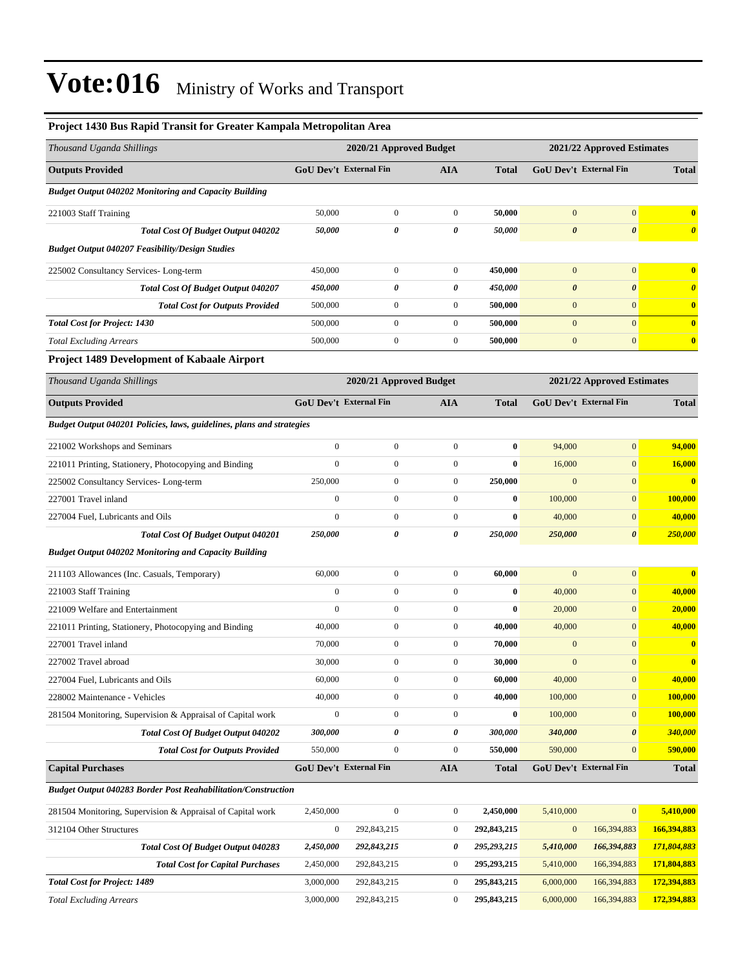| Project 1430 Bus Rapid Transit for Greater Kampala Metropolitan Area  |                       |                               |                  |              |                       |                            |                         |
|-----------------------------------------------------------------------|-----------------------|-------------------------------|------------------|--------------|-----------------------|----------------------------|-------------------------|
| Thousand Uganda Shillings                                             |                       | 2020/21 Approved Budget       |                  |              |                       | 2021/22 Approved Estimates |                         |
| <b>Outputs Provided</b>                                               |                       | GoU Dev't External Fin        | <b>AIA</b>       | <b>Total</b> |                       | GoU Dev't External Fin     | <b>Total</b>            |
| <b>Budget Output 040202 Monitoring and Capacity Building</b>          |                       |                               |                  |              |                       |                            |                         |
| 221003 Staff Training                                                 | 50,000                | $\boldsymbol{0}$              | $\boldsymbol{0}$ | 50,000       | $\mathbf{0}$          | $\boldsymbol{0}$           | $\bf{0}$                |
| <b>Total Cost Of Budget Output 040202</b>                             | 50,000                | $\boldsymbol{\theta}$         | 0                | 50,000       | $\boldsymbol{\theta}$ | $\boldsymbol{\theta}$      | $\boldsymbol{\theta}$   |
| <b>Budget Output 040207 Feasibility/Design Studies</b>                |                       |                               |                  |              |                       |                            |                         |
| 225002 Consultancy Services-Long-term                                 | 450,000               | $\mathbf{0}$                  | $\boldsymbol{0}$ | 450,000      | $\mathbf{0}$          | $\mathbf{0}$               | $\bf{0}$                |
| <b>Total Cost Of Budget Output 040207</b>                             | <i><b>450,000</b></i> | 0                             | 0                | 450,000      | $\boldsymbol{\theta}$ | $\boldsymbol{\theta}$      | $\boldsymbol{\theta}$   |
| <b>Total Cost for Outputs Provided</b>                                | 500,000               | $\mathbf{0}$                  | $\boldsymbol{0}$ | 500,000      | $\boldsymbol{0}$      | $\mathbf{0}$               | $\bf{0}$                |
| <b>Total Cost for Project: 1430</b>                                   | 500,000               | $\boldsymbol{0}$              | $\boldsymbol{0}$ | 500,000      | $\mathbf{0}$          | $\overline{0}$             | $\bf{0}$                |
| <b>Total Excluding Arrears</b>                                        | 500,000               | $\boldsymbol{0}$              | $\boldsymbol{0}$ | 500,000      | $\boldsymbol{0}$      | $\mathbf{0}$               | $\bf{0}$                |
| <b>Project 1489 Development of Kabaale Airport</b>                    |                       |                               |                  |              |                       |                            |                         |
| Thousand Uganda Shillings                                             |                       | 2020/21 Approved Budget       |                  |              |                       | 2021/22 Approved Estimates |                         |
| <b>Outputs Provided</b>                                               |                       | <b>GoU Dev't External Fin</b> | <b>AIA</b>       | <b>Total</b> |                       | GoU Dev't External Fin     | <b>Total</b>            |
| Budget Output 040201 Policies, laws, guidelines, plans and strategies |                       |                               |                  |              |                       |                            |                         |
| 221002 Workshops and Seminars                                         | $\boldsymbol{0}$      | $\boldsymbol{0}$              | $\boldsymbol{0}$ | $\bf{0}$     | 94,000                | $\mathbf{0}$               | 94,000                  |
| 221011 Printing, Stationery, Photocopying and Binding                 | $\boldsymbol{0}$      | $\boldsymbol{0}$              | $\boldsymbol{0}$ | $\bf{0}$     | 16,000                | $\boldsymbol{0}$           | <b>16,000</b>           |
| 225002 Consultancy Services-Long-term                                 | 250,000               | $\mathbf{0}$                  | $\boldsymbol{0}$ | 250,000      | $\mathbf{0}$          | $\mathbf{0}$               | $\overline{\mathbf{0}}$ |
| 227001 Travel inland                                                  | $\mathbf{0}$          | $\mathbf{0}$                  | $\boldsymbol{0}$ | $\bf{0}$     | 100,000               | $\mathbf{0}$               | <b>100,000</b>          |
| 227004 Fuel, Lubricants and Oils                                      | $\mathbf{0}$          | $\mathbf{0}$                  | $\boldsymbol{0}$ | $\bf{0}$     | 40,000                | $\mathbf{0}$               | 40,000                  |
| Total Cost Of Budget Output 040201                                    | 250,000               | 0                             | 0                | 250,000      | 250,000               | $\boldsymbol{\theta}$      | 250,000                 |
| <b>Budget Output 040202 Monitoring and Capacity Building</b>          |                       |                               |                  |              |                       |                            |                         |
| 211103 Allowances (Inc. Casuals, Temporary)                           | 60,000                | $\boldsymbol{0}$              | $\boldsymbol{0}$ | 60,000       | $\mathbf{0}$          | $\boldsymbol{0}$           | $\bf{0}$                |
| 221003 Staff Training                                                 | $\mathbf{0}$          | $\mathbf{0}$                  | $\boldsymbol{0}$ | $\bf{0}$     | 40,000                | $\mathbf{0}$               | 40,000                  |
| 221009 Welfare and Entertainment                                      | $\mathbf{0}$          | $\mathbf{0}$                  | $\boldsymbol{0}$ | $\bf{0}$     | 20,000                | $\mathbf{0}$               | 20,000                  |
| 221011 Printing, Stationery, Photocopying and Binding                 | 40,000                | $\boldsymbol{0}$              | $\boldsymbol{0}$ | 40,000       | 40,000                | $\mathbf{0}$               | 40,000                  |
| 227001 Travel inland                                                  | 70,000                | $\mathbf{0}$                  | $\boldsymbol{0}$ | 70,000       | $\mathbf{0}$          | $\mathbf{0}$               | $\bf{0}$                |
| 227002 Travel abroad                                                  | 30,000                | $\theta$                      | $\theta$         | 30,000       | $\theta$              | $\theta$                   | $\bf{0}$                |
| 227004 Fuel, Lubricants and Oils                                      | 60,000                | $\boldsymbol{0}$              | $\boldsymbol{0}$ | 60,000       | 40,000                | $\mathbf{0}$               | 40,000                  |
| 228002 Maintenance - Vehicles                                         | 40,000                | $\boldsymbol{0}$              | $\boldsymbol{0}$ | 40,000       | 100,000               | $\mathbf{0}$               | 100,000                 |
| 281504 Monitoring, Supervision & Appraisal of Capital work            | $\boldsymbol{0}$      | $\boldsymbol{0}$              | $\boldsymbol{0}$ | $\bf{0}$     | 100,000               | $\mathbf{0}$               | 100,000                 |
| <b>Total Cost Of Budget Output 040202</b>                             | 300,000               | $\pmb{\theta}$                | 0                | 300,000      | 340,000               | $\boldsymbol{\theta}$      | 340,000                 |
| <b>Total Cost for Outputs Provided</b>                                | 550,000               | $\boldsymbol{0}$              | $\boldsymbol{0}$ | 550,000      | 590,000               | $\mathbf{0}$               | 590,000                 |
| <b>Capital Purchases</b>                                              |                       | GoU Dev't External Fin        | AIA              | <b>Total</b> |                       | GoU Dev't External Fin     | <b>Total</b>            |
| <b>Budget Output 040283 Border Post Reahabilitation/Construction</b>  |                       |                               |                  |              |                       |                            |                         |
| 281504 Monitoring, Supervision & Appraisal of Capital work            | 2,450,000             | $\mathbf{0}$                  | $\boldsymbol{0}$ | 2,450,000    | 5,410,000             | $\mathbf{0}$               | 5,410,000               |
| 312104 Other Structures                                               | $\boldsymbol{0}$      | 292,843,215                   | $\boldsymbol{0}$ | 292,843,215  | $\bf{0}$              | 166,394,883                | 166,394,883             |
| Total Cost Of Budget Output 040283                                    | 2,450,000             | 292,843,215                   | 0                | 295,293,215  | 5,410,000             | 166,394,883                | 171,804,883             |
| <b>Total Cost for Capital Purchases</b>                               | 2,450,000             | 292,843,215                   | $\boldsymbol{0}$ | 295,293,215  | 5,410,000             | 166,394,883                | 171,804,883             |
| <b>Total Cost for Project: 1489</b>                                   | 3,000,000             | 292,843,215                   | $\boldsymbol{0}$ | 295,843,215  | 6,000,000             | 166,394,883                | 172,394,883             |
| <b>Total Excluding Arrears</b>                                        | 3,000,000             | 292,843,215                   | $\boldsymbol{0}$ | 295,843,215  | 6,000,000             | 166,394,883                | 172,394,883             |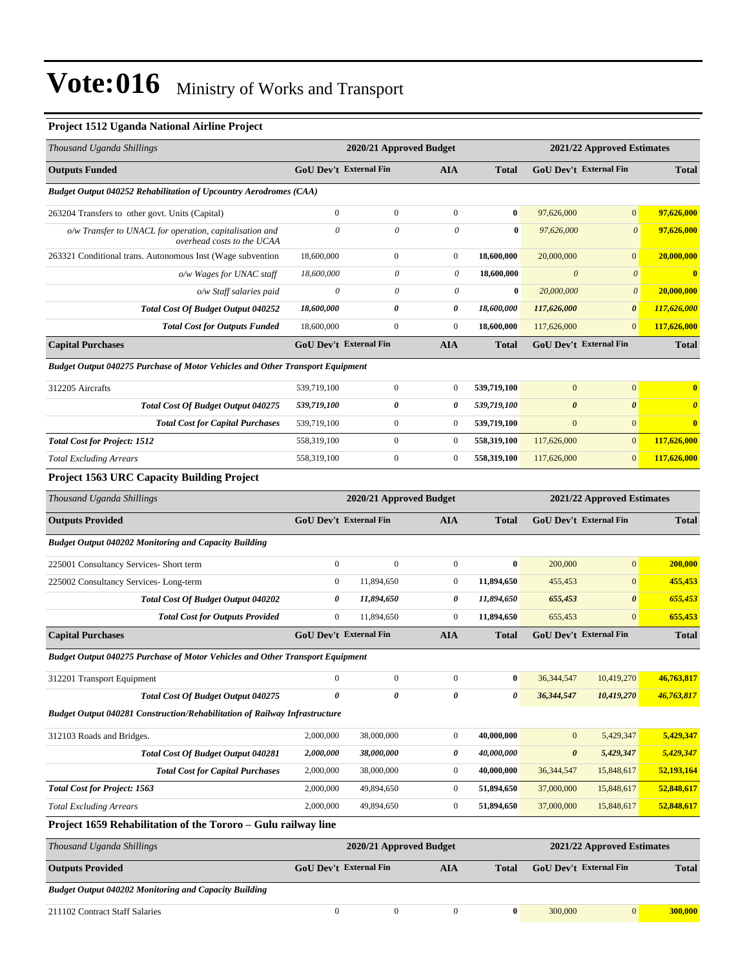#### **Project 1512 Uganda National Airline Project**

| Thousand Uganda Shillings                                                             |                  | 2020/21 Approved Budget       |                       |                            | 2021/22 Approved Estimates    |                            |                       |  |
|---------------------------------------------------------------------------------------|------------------|-------------------------------|-----------------------|----------------------------|-------------------------------|----------------------------|-----------------------|--|
| <b>Outputs Funded</b>                                                                 |                  | <b>GoU Dev't External Fin</b> | AIA                   | <b>Total</b>               | GoU Dev't External Fin        |                            | <b>Total</b>          |  |
| <b>Budget Output 040252 Rehabilitation of Upcountry Aerodromes (CAA)</b>              |                  |                               |                       |                            |                               |                            |                       |  |
| 263204 Transfers to other govt. Units (Capital)                                       | $\mathbf{0}$     | $\mathbf{0}$                  | $\mathbf{0}$          | $\bf{0}$                   | 97,626,000                    | $\boldsymbol{0}$           | 97,626,000            |  |
| o/w Transfer to UNACL for operation, capitalisation and<br>overhead costs to the UCAA | $\theta$         | $\boldsymbol{\mathit{0}}$     | $\boldsymbol{\theta}$ | $\bf{0}$                   | 97,626,000                    | $\boldsymbol{0}$           | 97,626,000            |  |
| 263321 Conditional trans. Autonomous Inst (Wage subvention                            | 18,600,000       | $\boldsymbol{0}$              | $\boldsymbol{0}$      | 18,600,000                 | 20,000,000                    | $\overline{0}$             | 20,000,000            |  |
| o/w Wages for UNAC staff                                                              | 18,600,000       | 0                             | 0                     | 18,600,000                 | $\boldsymbol{\theta}$         | $\boldsymbol{0}$           | 0                     |  |
| o/w Staff salaries paid                                                               | $\theta$         | 0                             | 0                     | $\bf{0}$                   | 20,000,000                    | $\boldsymbol{\theta}$      | 20,000,000            |  |
| Total Cost Of Budget Output 040252                                                    | 18,600,000       | 0                             | 0                     | 18,600,000                 | 117,626,000                   | $\boldsymbol{\theta}$      | 117,626,000           |  |
| <b>Total Cost for Outputs Funded</b>                                                  | 18,600,000       | $\mathbf{0}$                  | $\boldsymbol{0}$      | 18,600,000                 | 117,626,000                   | $\boldsymbol{0}$           | 117,626,000           |  |
| <b>Capital Purchases</b>                                                              |                  | <b>GoU Dev't External Fin</b> | AIA                   | <b>Total</b>               | <b>GoU Dev't External Fin</b> |                            | <b>Total</b>          |  |
| <b>Budget Output 040275 Purchase of Motor Vehicles and Other Transport Equipment</b>  |                  |                               |                       |                            |                               |                            |                       |  |
| 312205 Aircrafts                                                                      | 539,719,100      | $\boldsymbol{0}$              | $\boldsymbol{0}$      | 539,719,100                | $\mathbf{0}$                  | $\mathbf{0}$               | $\bf{0}$              |  |
| <b>Total Cost Of Budget Output 040275</b>                                             | 539,719,100      | 0                             | 0                     | 539,719,100                | $\boldsymbol{\theta}$         | $\boldsymbol{\theta}$      | $\boldsymbol{\theta}$ |  |
| <b>Total Cost for Capital Purchases</b>                                               | 539,719,100      | $\boldsymbol{0}$              | $\bf{0}$              | 539,719,100                | $\mathbf{0}$                  | $\mathbf{0}$               | $\bf{0}$              |  |
| <b>Total Cost for Project: 1512</b>                                                   | 558,319,100      | $\boldsymbol{0}$              | $\boldsymbol{0}$      | 558,319,100                | 117,626,000                   | $\mathbf{0}$               | 117,626,000           |  |
| <b>Total Excluding Arrears</b>                                                        | 558,319,100      | $\boldsymbol{0}$              | $\boldsymbol{0}$      | 558,319,100                | 117,626,000                   | $\mathbf{0}$               | 117,626,000           |  |
| <b>Project 1563 URC Capacity Building Project</b>                                     |                  |                               |                       |                            |                               |                            |                       |  |
| Thousand Uganda Shillings                                                             |                  | 2020/21 Approved Budget       |                       | 2021/22 Approved Estimates |                               |                            |                       |  |
| <b>Outputs Provided</b>                                                               |                  | GoU Dev't External Fin        | AIA                   | <b>Total</b>               | GoU Dev't External Fin        |                            | <b>Total</b>          |  |
| <b>Budget Output 040202 Monitoring and Capacity Building</b>                          |                  |                               |                       |                            |                               |                            |                       |  |
| 225001 Consultancy Services- Short term                                               | $\boldsymbol{0}$ | $\mathbf{0}$                  | $\boldsymbol{0}$      | $\bf{0}$                   | 200,000                       | $\boldsymbol{0}$           | 200,000               |  |
| 225002 Consultancy Services-Long-term                                                 | $\mathbf{0}$     | 11,894,650                    | $\boldsymbol{0}$      | 11,894,650                 | 455,453                       | $\mathbf{0}$               | 455,453               |  |
| <b>Total Cost Of Budget Output 040202</b>                                             | 0                | 11,894,650                    | 0                     | 11,894,650                 | 655,453                       | $\boldsymbol{\theta}$      | 655,453               |  |
| <b>Total Cost for Outputs Provided</b>                                                | $\mathbf{0}$     | 11,894,650                    | $\boldsymbol{0}$      | 11,894,650                 | 655,453                       | $\mathbf{0}$               | 655,453               |  |
| <b>Capital Purchases</b>                                                              |                  | <b>GoU Dev't External Fin</b> | <b>AIA</b>            | <b>Total</b>               | GoU Dev't External Fin        |                            | <b>Total</b>          |  |
| <b>Budget Output 040275 Purchase of Motor Vehicles and Other Transport Equipment</b>  |                  |                               |                       |                            |                               |                            |                       |  |
| 312201 Transport Equipment                                                            | $\mathbf{0}$     | $\mathbf{0}$                  | $\boldsymbol{0}$      | $\bf{0}$                   | 36, 344, 547                  | 10,419,270                 | 46,763,817            |  |
| Total Cost Of Budget Output 040275                                                    | 0                | 0                             | 0                     | 0                          | 36,344,547                    | 10,419,270                 | 46,763,817            |  |
| <b>Budget Output 040281 Construction/Rehabilitation of Railway Infrastructure</b>     |                  |                               |                       |                            |                               |                            |                       |  |
| 312103 Roads and Bridges.                                                             | 2,000,000        | 38,000,000                    | $\boldsymbol{0}$      | 40,000,000                 | $\mathbf{0}$                  | 5,429,347                  | 5,429,347             |  |
| Total Cost Of Budget Output 040281                                                    | 2,000,000        | 38,000,000                    | 0                     | 40,000,000                 | $\boldsymbol{\theta}$         | 5,429,347                  | 5,429,347             |  |
| <b>Total Cost for Capital Purchases</b>                                               | 2,000,000        | 38,000,000                    | $\boldsymbol{0}$      | 40,000,000                 | 36, 344, 547                  | 15,848,617                 | 52,193,164            |  |
| <b>Total Cost for Project: 1563</b>                                                   | 2,000,000        | 49,894,650                    | $\boldsymbol{0}$      | 51,894,650                 | 37,000,000                    | 15,848,617                 | 52,848,617            |  |
| <b>Total Excluding Arrears</b>                                                        | 2,000,000        | 49,894,650                    | $\boldsymbol{0}$      | 51,894,650                 | 37,000,000                    | 15,848,617                 | 52,848,617            |  |
| Project 1659 Rehabilitation of the Tororo - Gulu railway line                         |                  |                               |                       |                            |                               |                            |                       |  |
| Thousand Uganda Shillings                                                             |                  | 2020/21 Approved Budget       |                       |                            |                               | 2021/22 Approved Estimates |                       |  |
| <b>Outputs Provided</b>                                                               |                  | <b>GoU Dev't External Fin</b> | <b>AIA</b>            | <b>Total</b>               | GoU Dev't External Fin        |                            | <b>Total</b>          |  |
| <b>Budget Output 040202 Monitoring and Capacity Building</b>                          |                  |                               |                       |                            |                               |                            |                       |  |
| 211102 Contract Staff Salaries                                                        | $\boldsymbol{0}$ | $\boldsymbol{0}$              | $\boldsymbol{0}$      | $\bf{0}$                   | 300,000                       | $\mathbf{0}$               | 300,000               |  |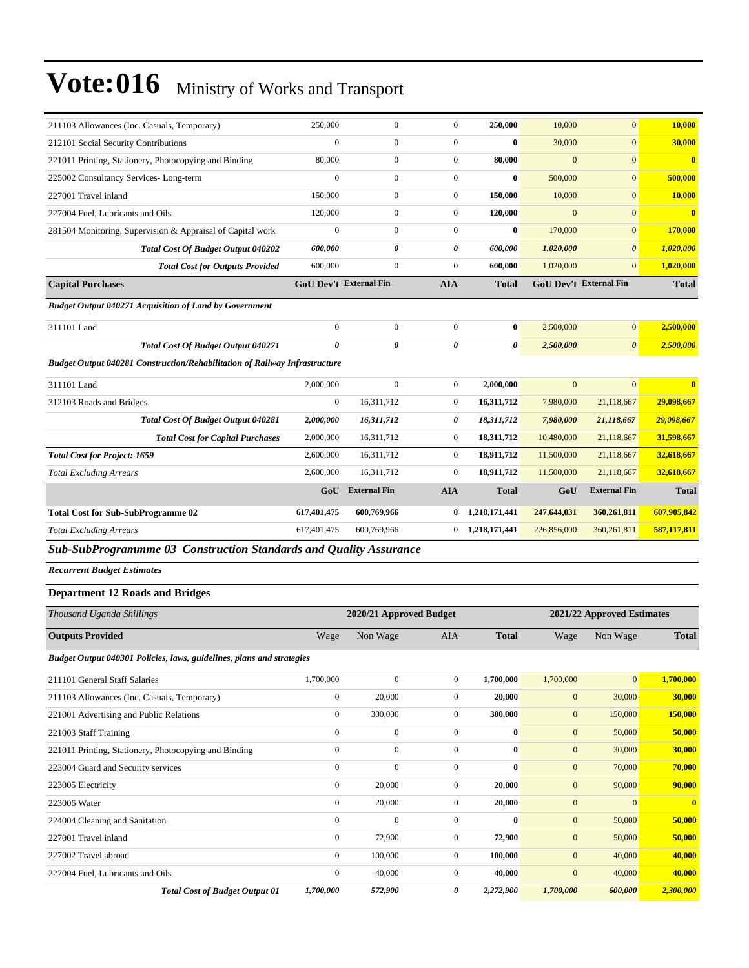| 211103 Allowances (Inc. Casuals, Temporary)                                       | 250,000                       | $\boldsymbol{0}$        | $\boldsymbol{0}$ | 250,000                 | 10,000           | $\mathbf{0}$               | 10,000                  |
|-----------------------------------------------------------------------------------|-------------------------------|-------------------------|------------------|-------------------------|------------------|----------------------------|-------------------------|
| 212101 Social Security Contributions                                              | $\boldsymbol{0}$              | $\boldsymbol{0}$        | $\boldsymbol{0}$ | $\bf{0}$                | 30,000           | $\mathbf{0}$               | 30,000                  |
| 221011 Printing, Stationery, Photocopying and Binding                             | 80,000                        | $\boldsymbol{0}$        | $\boldsymbol{0}$ | 80,000                  | $\mathbf{0}$     | $\mathbf{0}$               | $\overline{\mathbf{0}}$ |
| 225002 Consultancy Services-Long-term                                             | $\mathbf{0}$                  | $\overline{0}$          | $\boldsymbol{0}$ | $\bf{0}$                | 500,000          | $\mathbf{0}$               | 500,000                 |
| 227001 Travel inland                                                              | 150,000                       | $\boldsymbol{0}$        | $\boldsymbol{0}$ | 150,000                 | 10,000           | $\mathbf{0}$               | 10,000                  |
| 227004 Fuel, Lubricants and Oils                                                  | 120,000                       | $\boldsymbol{0}$        | $\boldsymbol{0}$ | 120,000                 | $\mathbf{0}$     | $\mathbf{0}$               | $\bf{0}$                |
| 281504 Monitoring, Supervision & Appraisal of Capital work                        | $\boldsymbol{0}$              | $\boldsymbol{0}$        | $\boldsymbol{0}$ | $\bf{0}$                | 170,000          | $\mathbf{0}$               | 170,000                 |
| <b>Total Cost Of Budget Output 040202</b>                                         | 600,000                       | 0                       | 0                | 600,000                 | 1,020,000        | $\boldsymbol{\theta}$      | 1,020,000               |
| <b>Total Cost for Outputs Provided</b>                                            | 600,000                       | $\boldsymbol{0}$        | $\boldsymbol{0}$ | 600,000                 | 1,020,000        | $\mathbf{0}$               | 1,020,000               |
| <b>Capital Purchases</b>                                                          | <b>GoU Dev't External Fin</b> |                         | <b>AIA</b>       | <b>Total</b>            |                  | GoU Dev't External Fin     | <b>Total</b>            |
| <b>Budget Output 040271 Acquisition of Land by Government</b>                     |                               |                         |                  |                         |                  |                            |                         |
| 311101 Land                                                                       | $\boldsymbol{0}$              | $\boldsymbol{0}$        | $\boldsymbol{0}$ | $\bf{0}$                | 2,500,000        | $\mathbf{0}$               | 2,500,000               |
| <b>Total Cost Of Budget Output 040271</b>                                         | $\boldsymbol{\theta}$         | 0                       | 0                | 0                       | 2,500,000        | $\boldsymbol{\theta}$      | 2,500,000               |
| <b>Budget Output 040281 Construction/Rehabilitation of Railway Infrastructure</b> |                               |                         |                  |                         |                  |                            |                         |
|                                                                                   |                               |                         |                  |                         |                  |                            | $\overline{\mathbf{0}}$ |
| 311101 Land                                                                       | 2,000,000                     | $\boldsymbol{0}$        | $\boldsymbol{0}$ | 2,000,000<br>16,311,712 | $\mathbf{0}$     | $\mathbf{0}$               | 29,098,667              |
| 312103 Roads and Bridges.                                                         | $\mathbf{0}$                  | 16,311,712              | $\boldsymbol{0}$ |                         | 7,980,000        | 21,118,667                 |                         |
| Total Cost Of Budget Output 040281                                                | 2,000,000                     | 16,311,712              | 0                | 18,311,712              | 7,980,000        | 21,118,667                 | 29,098,667              |
| <b>Total Cost for Capital Purchases</b>                                           | 2,000,000                     | 16,311,712              | $\boldsymbol{0}$ | 18,311,712              | 10,480,000       | 21,118,667                 | 31,598,667              |
| <b>Total Cost for Project: 1659</b>                                               | 2,600,000                     | 16,311,712              | $\overline{0}$   | 18,911,712              | 11,500,000       | 21,118,667                 | 32,618,667              |
| <b>Total Excluding Arrears</b>                                                    | 2,600,000                     | 16,311,712              | $\boldsymbol{0}$ | 18,911,712              | 11,500,000       | 21,118,667                 | 32,618,667              |
|                                                                                   | GoU                           | <b>External Fin</b>     | <b>AIA</b>       | <b>Total</b>            | GoU              | <b>External Fin</b>        | <b>Total</b>            |
| <b>Total Cost for Sub-SubProgramme 02</b>                                         | 617,401,475                   | 600,769,966             | 0                | 1,218,171,441           | 247,644,031      | 360,261,811                | 607,905,842             |
| <b>Total Excluding Arrears</b>                                                    | 617,401,475                   | 600,769,966             | 0                | 1,218,171,441           | 226,856,000      | 360,261,811                | 587,117,811             |
| Sub-SubProgrammme 03 Construction Standards and Quality Assurance                 |                               |                         |                  |                         |                  |                            |                         |
| <b>Recurrent Budget Estimates</b>                                                 |                               |                         |                  |                         |                  |                            |                         |
| <b>Department 12 Roads and Bridges</b>                                            |                               |                         |                  |                         |                  |                            |                         |
| Thousand Uganda Shillings                                                         |                               | 2020/21 Approved Budget |                  |                         |                  | 2021/22 Approved Estimates |                         |
| <b>Outputs Provided</b>                                                           | Wage                          | Non Wage                | AIA              | <b>Total</b>            | Wage             | Non Wage                   | <b>Total</b>            |
|                                                                                   |                               |                         |                  |                         |                  |                            |                         |
| Budget Output 040301 Policies, laws, guidelines, plans and strategies             |                               |                         |                  |                         |                  |                            |                         |
| 211101 General Staff Salaries                                                     | 1,700,000                     | $\boldsymbol{0}$        | $\overline{0}$   | 1,700,000               | 1,700,000        | $\mathbf{0}$               | 1,700,000               |
| 211103 Allowances (Inc. Casuals, Temporary)                                       | $\boldsymbol{0}$              | 20,000                  | $\overline{0}$   | 20,000                  | $\mathbf{0}$     | 30,000                     | 30,000                  |
| 221001 Advertising and Public Relations                                           | $\boldsymbol{0}$              | 300,000                 | $\boldsymbol{0}$ | 300,000                 | $\boldsymbol{0}$ | 150,000                    | 150,000                 |
| 221003 Staff Training                                                             | $\boldsymbol{0}$              | $\boldsymbol{0}$        | $\overline{0}$   | $\bf{0}$                | $\mathbf{0}$     | 50,000                     | 50,000                  |
| 221011 Printing, Stationery, Photocopying and Binding                             | $\boldsymbol{0}$              | $\boldsymbol{0}$        | $\boldsymbol{0}$ | $\bf{0}$                | $\mathbf{0}$     | 30,000                     | 30,000                  |
| 223004 Guard and Security services                                                | $\boldsymbol{0}$              | $\boldsymbol{0}$        | $\boldsymbol{0}$ | $\bf{0}$                | $\mathbf{0}$     | 70,000                     | 70,000                  |
| 223005 Electricity                                                                | $\boldsymbol{0}$              | 20,000                  | $\overline{0}$   | 20,000                  | $\mathbf{0}$     | 90,000                     | 90,000                  |
| 223006 Water                                                                      | $\boldsymbol{0}$              | 20,000                  | $\boldsymbol{0}$ | 20,000                  | $\mathbf{0}$     | $\mathbf{0}$               | $\bf{0}$                |
| 224004 Cleaning and Sanitation                                                    | $\boldsymbol{0}$              | $\boldsymbol{0}$        | $\overline{0}$   | $\bf{0}$                | $\mathbf{0}$     | 50,000                     | 50,000                  |
| 227001 Travel inland                                                              | $\boldsymbol{0}$              | 72,900                  | $\boldsymbol{0}$ | 72,900                  | $\mathbf{0}$     | 50,000                     | 50,000                  |

*Total Cost of Budget Output 01 1,700,000 572,900 0 2,272,900 1,700,000 600,000 2,300,000*

227002 Travel abroad 0 100,000 0 **100,000** 0 40,000 **40,000** 227004 Fuel, Lubricants and Oils 0 40,000 0 **40,000** 0 40,000 **40,000**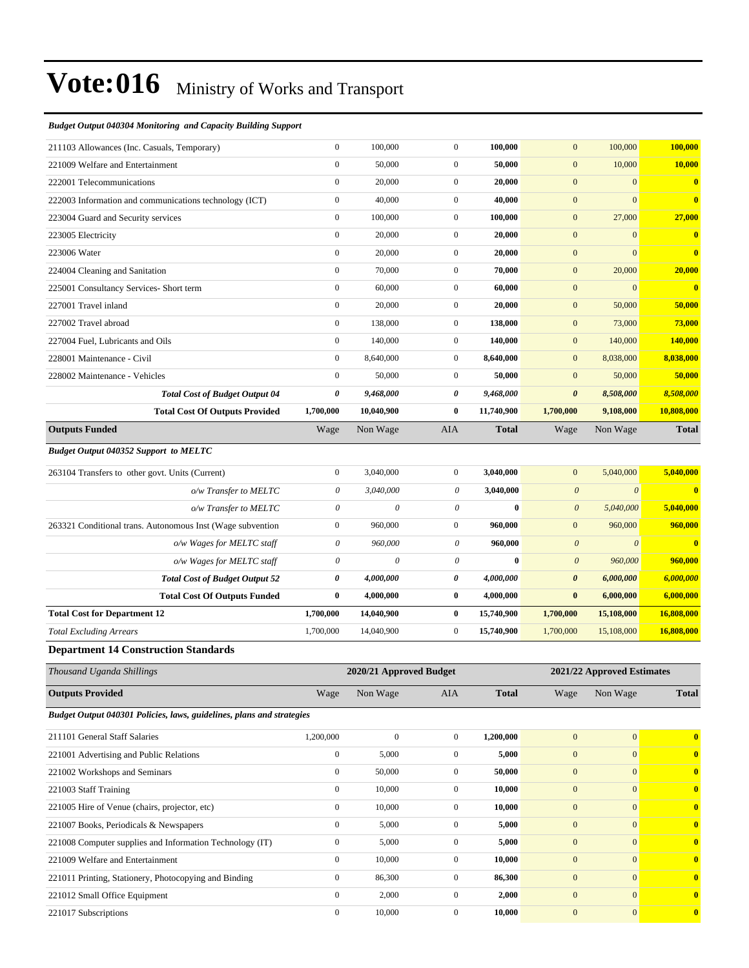#### *Budget Output 040304 Monitoring and Capacity Building Support*

| 211103 Allowances (Inc. Casuals, Temporary)                           | $\mathbf{0}$          | 100,000                   | $\mathbf{0}$     | 100,000      | $\mathbf{0}$          | 100,000                    | 100,000          |
|-----------------------------------------------------------------------|-----------------------|---------------------------|------------------|--------------|-----------------------|----------------------------|------------------|
| 221009 Welfare and Entertainment                                      | $\boldsymbol{0}$      | 50,000                    | $\boldsymbol{0}$ | 50,000       | $\mathbf{0}$          | 10,000                     | 10,000           |
| 222001 Telecommunications                                             | $\boldsymbol{0}$      | 20,000                    | $\mathbf{0}$     | 20,000       | $\mathbf{0}$          | $\boldsymbol{0}$           | $\bf{0}$         |
| 222003 Information and communications technology (ICT)                | $\boldsymbol{0}$      | 40,000                    | $\mathbf{0}$     | 40,000       | $\mathbf{0}$          | $\mathbf{0}$               | $\mathbf{0}$     |
| 223004 Guard and Security services                                    | $\boldsymbol{0}$      | 100,000                   | $\boldsymbol{0}$ | 100,000      | $\mathbf{0}$          | 27,000                     | 27,000           |
| 223005 Electricity                                                    | $\boldsymbol{0}$      | 20,000                    | $\boldsymbol{0}$ | 20,000       | $\mathbf{0}$          | $\mathbf{0}$               | $\bf{0}$         |
| 223006 Water                                                          | $\boldsymbol{0}$      | 20,000                    | $\boldsymbol{0}$ | 20,000       | $\mathbf{0}$          | $\mathbf{0}$               | $\bf{0}$         |
| 224004 Cleaning and Sanitation                                        | $\boldsymbol{0}$      | 70,000                    | $\mathbf{0}$     | 70,000       | $\mathbf{0}$          | 20,000                     | 20,000           |
| 225001 Consultancy Services- Short term                               | $\boldsymbol{0}$      | 60,000                    | $\mathbf{0}$     | 60,000       | $\mathbf{0}$          | $\mathbf{0}$               | $\bf{0}$         |
| 227001 Travel inland                                                  | $\boldsymbol{0}$      | 20,000                    | $\mathbf{0}$     | 20,000       | $\mathbf{0}$          | 50,000                     | 50,000           |
| 227002 Travel abroad                                                  | $\boldsymbol{0}$      | 138,000                   | $\mathbf{0}$     | 138,000      | $\mathbf{0}$          | 73,000                     | 73,000           |
| 227004 Fuel, Lubricants and Oils                                      | $\boldsymbol{0}$      | 140,000                   | $\boldsymbol{0}$ | 140,000      | $\mathbf{0}$          | 140,000                    | 140,000          |
| 228001 Maintenance - Civil                                            | $\boldsymbol{0}$      | 8,640,000                 | $\boldsymbol{0}$ | 8,640,000    | $\mathbf{0}$          | 8,038,000                  | 8,038,000        |
| 228002 Maintenance - Vehicles                                         | $\boldsymbol{0}$      | 50,000                    | $\overline{0}$   | 50,000       | $\mathbf{0}$          | 50,000                     | 50,000           |
| <b>Total Cost of Budget Output 04</b>                                 | 0                     | 9,468,000                 | 0                | 9,468,000    | $\boldsymbol{\theta}$ | 8,508,000                  | 8,508,000        |
| <b>Total Cost Of Outputs Provided</b>                                 | 1,700,000             | 10,040,900                | $\bf{0}$         | 11,740,900   | 1,700,000             | 9,108,000                  | 10,808,000       |
| <b>Outputs Funded</b>                                                 | Wage                  | Non Wage                  | <b>AIA</b>       | <b>Total</b> | Wage                  | Non Wage                   | <b>Total</b>     |
| <b>Budget Output 040352 Support to MELTC</b>                          |                       |                           |                  |              |                       |                            |                  |
| 263104 Transfers to other govt. Units (Current)                       | $\boldsymbol{0}$      | 3,040,000                 | $\boldsymbol{0}$ | 3,040,000    | $\mathbf{0}$          | 5,040,000                  | 5,040,000        |
| o/w Transfer to MELTC                                                 | $\theta$              | 3,040,000                 | $\theta$         | 3,040,000    | $\boldsymbol{\theta}$ | $\boldsymbol{\theta}$      | $\bf{0}$         |
| o/w Transfer to MELTC                                                 | $\theta$              | $\theta$                  | 0                | $\bf{0}$     | $\boldsymbol{\theta}$ | 5,040,000                  | 5,040,000        |
| 263321 Conditional trans. Autonomous Inst (Wage subvention            | $\boldsymbol{0}$      | 960,000                   | $\mathbf{0}$     | 960,000      | $\mathbf{0}$          | 960,000                    | 960,000          |
| o/w Wages for MELTC staff                                             | $\boldsymbol{\theta}$ | 960,000                   | 0                | 960,000      | $\boldsymbol{\theta}$ | $\boldsymbol{\theta}$      | $\mathbf{0}$     |
| o/w Wages for MELTC staff                                             | $\theta$              | $\boldsymbol{\mathit{0}}$ | $\theta$         | $\bf{0}$     | $\boldsymbol{\theta}$ | 960,000                    | 960,000          |
| <b>Total Cost of Budget Output 52</b>                                 | 0                     | 4,000,000                 | 0                | 4,000,000    | 0                     | 6,000,000                  | 6,000,000        |
| <b>Total Cost Of Outputs Funded</b>                                   | $\bf{0}$              | 4,000,000                 | $\bf{0}$         | 4,000,000    | $\bf{0}$              | 6,000,000                  | 6,000,000        |
| <b>Total Cost for Department 12</b>                                   | 1,700,000             | 14,040,900                | $\bf{0}$         | 15,740,900   | 1,700,000             | 15,108,000                 | 16,808,000       |
| <b>Total Excluding Arrears</b>                                        | 1,700,000             | 14,040,900                | $\mathbf{0}$     | 15,740,900   | 1,700,000             | 15,108,000                 | 16,808,000       |
| <b>Department 14 Construction Standards</b>                           |                       |                           |                  |              |                       |                            |                  |
| Thousand Uganda Shillings                                             |                       | 2020/21 Approved Budget   |                  |              |                       | 2021/22 Approved Estimates |                  |
| <b>Outputs Provided</b>                                               | Wage                  | Non Wage                  | AIA              | <b>Total</b> | Wage                  | Non Wage                   | <b>Total</b>     |
| Budget Output 040301 Policies, laws, guidelines, plans and strategies |                       |                           |                  |              |                       |                            |                  |
| 211101 General Staff Salaries                                         | 1,200,000             | $\boldsymbol{0}$          | $\mathbf{0}$     | 1,200,000    | $\mathbf{0}$          | $\boldsymbol{0}$           | $\bf{0}$         |
| 221001 Advertising and Public Relations                               | $\boldsymbol{0}$      | 5,000                     | $\boldsymbol{0}$ | 5,000        | $\mathbf{0}$          | $\boldsymbol{0}$           | $\mathbf{0}$     |
| 221002 Workshops and Seminars                                         | $\boldsymbol{0}$      | 50,000                    | $\boldsymbol{0}$ | 50,000       | $\mathbf{0}$          | $\mathbf{0}$               | $\mathbf{0}$     |
| 221003 Staff Training                                                 | $\boldsymbol{0}$      | 10,000                    | $\boldsymbol{0}$ | 10,000       | $\boldsymbol{0}$      | $\boldsymbol{0}$           | $\bf{0}$         |
| 221005 Hire of Venue (chairs, projector, etc)                         | $\boldsymbol{0}$      | 10,000                    | $\boldsymbol{0}$ | 10,000       | $\boldsymbol{0}$      | $\boldsymbol{0}$           | $\mathbf{0}$     |
| 221007 Books, Periodicals & Newspapers                                | $\boldsymbol{0}$      | 5,000                     | $\mathbf{0}$     | 5,000        | $\boldsymbol{0}$      | $\boldsymbol{0}$           | $\bf{0}$         |
| 221008 Computer supplies and Information Technology (IT)              | $\boldsymbol{0}$      | 5,000                     | $\boldsymbol{0}$ | 5,000        | $\mathbf{0}$          | $\mathbf{0}$               | $\bf{0}$         |
| 221009 Welfare and Entertainment                                      | $\boldsymbol{0}$      | 10,000                    | $\boldsymbol{0}$ | 10,000       | $\mathbf{0}$          | $\mathbf{0}$               | $\bf{0}$         |
| 221011 Printing, Stationery, Photocopying and Binding                 | $\boldsymbol{0}$      | 86,300                    | $\boldsymbol{0}$ | 86,300       | $\mathbf{0}$          | $\boldsymbol{0}$           | $\boldsymbol{0}$ |

221012 Small Office Equipment 0 2,000 0 **2,000** 0 0 **0** 221017 Subscriptions 0 10,000 0 **10,000** 0 0 **0**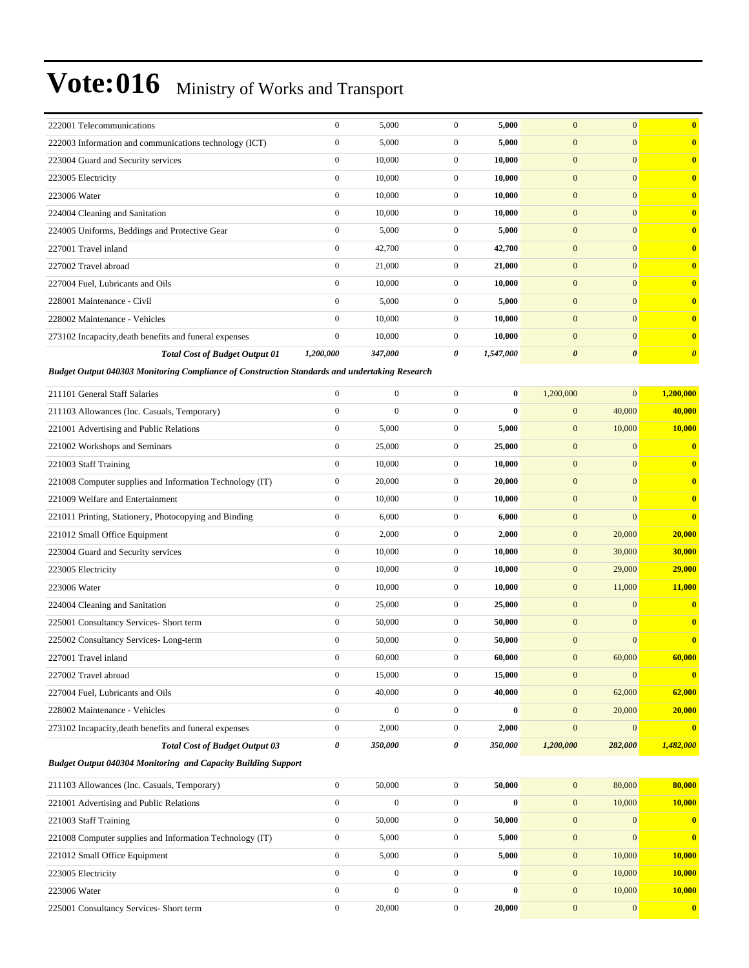| 222001 Telecommunications                                                                     | $\boldsymbol{0}$ | 5,000            | $\mathbf{0}$     | 5,000     | $\overline{0}$        | $\mathbf{0}$          | $\bf{0}$                |
|-----------------------------------------------------------------------------------------------|------------------|------------------|------------------|-----------|-----------------------|-----------------------|-------------------------|
| 222003 Information and communications technology (ICT)                                        | $\boldsymbol{0}$ | 5,000            | $\boldsymbol{0}$ | 5,000     | $\mathbf{0}$          | $\mathbf{0}$          | $\bf{0}$                |
| 223004 Guard and Security services                                                            | $\boldsymbol{0}$ | 10,000           | $\mathbf{0}$     | 10,000    | $\mathbf{0}$          | $\mathbf{0}$          | $\bf{0}$                |
| 223005 Electricity                                                                            | $\boldsymbol{0}$ | 10,000           | $\mathbf{0}$     | 10,000    | $\mathbf{0}$          | $\mathbf{0}$          | $\bf{0}$                |
| 223006 Water                                                                                  | $\boldsymbol{0}$ | 10,000           | $\mathbf{0}$     | 10,000    | $\boldsymbol{0}$      | $\mathbf{0}$          | $\bf{0}$                |
| 224004 Cleaning and Sanitation                                                                | $\boldsymbol{0}$ | 10,000           | $\mathbf{0}$     | 10,000    | $\boldsymbol{0}$      | $\mathbf{0}$          | $\bf{0}$                |
| 224005 Uniforms, Beddings and Protective Gear                                                 | $\boldsymbol{0}$ | 5,000            | $\mathbf{0}$     | 5,000     | $\mathbf{0}$          | $\mathbf{0}$          | $\bf{0}$                |
| 227001 Travel inland                                                                          | $\boldsymbol{0}$ | 42,700           | $\mathbf{0}$     | 42,700    | $\mathbf{0}$          | $\mathbf{0}$          | $\bf{0}$                |
| 227002 Travel abroad                                                                          | $\boldsymbol{0}$ | 21,000           | $\mathbf{0}$     | 21,000    | $\mathbf{0}$          | $\mathbf{0}$          | $\bf{0}$                |
| 227004 Fuel, Lubricants and Oils                                                              | $\boldsymbol{0}$ | 10,000           | $\mathbf{0}$     | 10,000    | $\boldsymbol{0}$      | $\mathbf{0}$          | $\bf{0}$                |
| 228001 Maintenance - Civil                                                                    | $\boldsymbol{0}$ | 5,000            | $\mathbf{0}$     | 5,000     | $\boldsymbol{0}$      | $\mathbf{0}$          | $\bf{0}$                |
| 228002 Maintenance - Vehicles                                                                 | $\boldsymbol{0}$ | 10,000           | $\mathbf{0}$     | 10,000    | $\mathbf{0}$          | $\mathbf{0}$          | $\bf{0}$                |
| 273102 Incapacity, death benefits and funeral expenses                                        | $\boldsymbol{0}$ | 10,000           | $\mathbf{0}$     | 10,000    | $\mathbf{0}$          | $\mathbf{0}$          | $\bf{0}$                |
| <b>Total Cost of Budget Output 01</b>                                                         | 1,200,000        | 347,000          | 0                | 1,547,000 | $\boldsymbol{\theta}$ | $\boldsymbol{\theta}$ | $\boldsymbol{\theta}$   |
| Budget Output 040303 Monitoring Compliance of Construction Standards and undertaking Research |                  |                  |                  |           |                       |                       |                         |
| 211101 General Staff Salaries                                                                 | $\overline{0}$   | $\boldsymbol{0}$ | $\boldsymbol{0}$ | $\bf{0}$  | 1,200,000             | $\mathbf{0}$          | 1,200,000               |
| 211103 Allowances (Inc. Casuals, Temporary)                                                   | $\boldsymbol{0}$ | $\mathbf{0}$     | $\boldsymbol{0}$ | $\bf{0}$  | $\boldsymbol{0}$      | 40,000                | 40,000                  |
| 221001 Advertising and Public Relations                                                       | $\boldsymbol{0}$ | 5,000            | $\mathbf{0}$     | 5,000     | $\mathbf{0}$          | 10,000                | 10,000                  |
| 221002 Workshops and Seminars                                                                 | $\boldsymbol{0}$ | 25,000           | $\mathbf{0}$     | 25,000    | $\mathbf{0}$          | $\mathbf{0}$          | $\overline{\mathbf{0}}$ |
| 221003 Staff Training                                                                         | $\boldsymbol{0}$ | 10,000           | $\mathbf{0}$     | 10,000    | $\mathbf{0}$          | $\mathbf{0}$          | $\bf{0}$                |
| 221008 Computer supplies and Information Technology (IT)                                      | $\boldsymbol{0}$ | 20,000           | $\mathbf{0}$     | 20,000    | $\boldsymbol{0}$      | $\mathbf{0}$          | $\bf{0}$                |
| 221009 Welfare and Entertainment                                                              | $\boldsymbol{0}$ | 10,000           | $\mathbf{0}$     | 10,000    | $\mathbf{0}$          | $\mathbf{0}$          | $\bf{0}$                |
|                                                                                               | $\boldsymbol{0}$ | 6,000            | $\mathbf{0}$     | 6,000     | $\mathbf{0}$          | $\mathbf{0}$          | $\bf{0}$                |
| 221011 Printing, Stationery, Photocopying and Binding                                         | $\boldsymbol{0}$ |                  | $\mathbf{0}$     |           | $\mathbf{0}$          |                       |                         |
| 221012 Small Office Equipment                                                                 | $\boldsymbol{0}$ | 2,000<br>10,000  | $\mathbf{0}$     | 2,000     | $\mathbf{0}$          | 20,000                | 20,000<br>30,000        |
| 223004 Guard and Security services                                                            |                  |                  |                  | 10,000    |                       | 30,000                |                         |
| 223005 Electricity                                                                            | $\boldsymbol{0}$ | 10,000           | $\mathbf{0}$     | 10,000    | $\boldsymbol{0}$      | 29,000                | 29,000                  |
| 223006 Water                                                                                  | $\boldsymbol{0}$ | 10,000           | $\mathbf{0}$     | 10,000    | $\boldsymbol{0}$      | 11,000                | 11,000                  |
| 224004 Cleaning and Sanitation                                                                | $\boldsymbol{0}$ | 25,000           | $\mathbf{0}$     | 25,000    | $\mathbf{0}$          | $\mathbf{0}$          | $\bf{0}$                |
| 225001 Consultancy Services- Short term                                                       | $\boldsymbol{0}$ | 50,000           | $\mathbf{0}$     | 50,000    | $\mathbf{0}$          | $\mathbf{0}$          | $\bf{0}$                |
| 225002 Consultancy Services-Long-term                                                         | $\boldsymbol{0}$ | 50,000           | $\mathbf{0}$     | 50,000    | $\mathbf{0}$          | $\mathbf{0}$          | $\bf{0}$                |
| 227001 Travel inland                                                                          | $\mathbf{0}$     | 60,000           | $\boldsymbol{0}$ | 60,000    | $\boldsymbol{0}$      | 60,000                | 60,000                  |
| 227002 Travel abroad                                                                          | $\boldsymbol{0}$ | 15,000           | $\boldsymbol{0}$ | 15,000    | $\mathbf{0}$          | $\boldsymbol{0}$      | $\bf{0}$                |
| 227004 Fuel, Lubricants and Oils                                                              | $\overline{0}$   | 40,000           | $\boldsymbol{0}$ | 40,000    | $\boldsymbol{0}$      | 62,000                | 62,000                  |
| 228002 Maintenance - Vehicles                                                                 | $\overline{0}$   | $\boldsymbol{0}$ | $\boldsymbol{0}$ | $\bf{0}$  | $\boldsymbol{0}$      | 20,000                | 20,000                  |
| 273102 Incapacity, death benefits and funeral expenses                                        | $\boldsymbol{0}$ | 2,000            | $\mathbf{0}$     | 2,000     | $\boldsymbol{0}$      | $\mathbf{0}$          | $\bf{0}$                |
| <b>Total Cost of Budget Output 03</b>                                                         | 0                | 350,000          | 0                | 350,000   | 1,200,000             | 282,000               | 1,482,000               |
| Budget Output 040304 Monitoring and Capacity Building Support                                 |                  |                  |                  |           |                       |                       |                         |
| 211103 Allowances (Inc. Casuals, Temporary)                                                   | $\boldsymbol{0}$ | 50,000           | $\boldsymbol{0}$ | 50,000    | $\mathbf{0}$          | 80,000                | 80,000                  |
| 221001 Advertising and Public Relations                                                       | $\overline{0}$   | $\boldsymbol{0}$ | $\boldsymbol{0}$ | $\bf{0}$  | $\boldsymbol{0}$      | 10,000                | 10,000                  |
| 221003 Staff Training                                                                         | $\boldsymbol{0}$ | 50,000           | $\boldsymbol{0}$ | 50,000    | $\boldsymbol{0}$      | $\mathbf{0}$          | $\bf{0}$                |
| 221008 Computer supplies and Information Technology (IT)                                      | $\boldsymbol{0}$ | 5,000            | $\boldsymbol{0}$ | 5,000     | $\boldsymbol{0}$      | $\mathbf{0}$          | $\bf{0}$                |
| 221012 Small Office Equipment                                                                 | $\overline{0}$   | 5,000            | $\boldsymbol{0}$ | 5,000     | $\boldsymbol{0}$      | 10,000                | 10,000                  |
| 223005 Electricity                                                                            | $\overline{0}$   | $\boldsymbol{0}$ | $\boldsymbol{0}$ | $\bf{0}$  | $\boldsymbol{0}$      | 10,000                | 10,000                  |
| 223006 Water                                                                                  | $\overline{0}$   | $\boldsymbol{0}$ | $\boldsymbol{0}$ | $\bf{0}$  | $\boldsymbol{0}$      | 10,000                | 10,000                  |
| 225001 Consultancy Services- Short term                                                       | $\boldsymbol{0}$ | 20,000           | $\mathbf{0}$     | 20,000    | $\boldsymbol{0}$      | $\mathbf{0}$          | $\mathbf{0}$            |
|                                                                                               |                  |                  |                  |           |                       |                       |                         |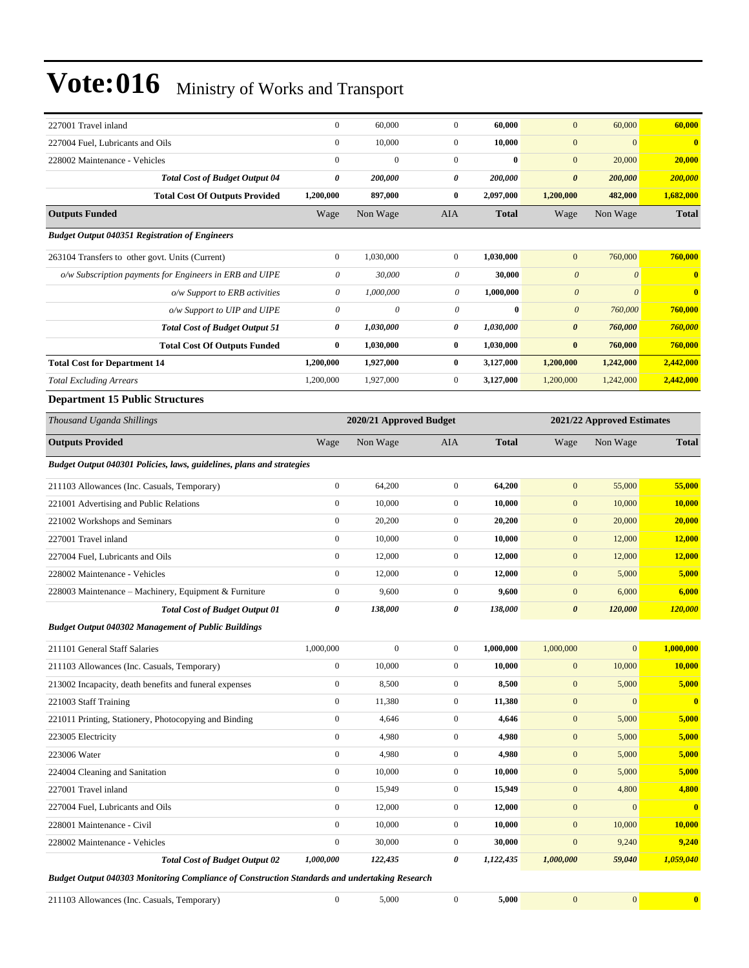| 227001 Travel inland                                                                          | $\boldsymbol{0}$          | 60,000                  | $\mathbf{0}$          | 60,000       | $\mathbf{0}$          | 60,000                     | 60,000                  |  |  |  |
|-----------------------------------------------------------------------------------------------|---------------------------|-------------------------|-----------------------|--------------|-----------------------|----------------------------|-------------------------|--|--|--|
| 227004 Fuel, Lubricants and Oils                                                              | $\boldsymbol{0}$          | 10,000                  | $\boldsymbol{0}$      | 10,000       | $\mathbf{0}$          | $\mathbf{0}$               | $\overline{\mathbf{0}}$ |  |  |  |
| 228002 Maintenance - Vehicles                                                                 | $\boldsymbol{0}$          | $\mathbf{0}$            | $\boldsymbol{0}$      | $\bf{0}$     | $\mathbf{0}$          | 20,000                     | 20,000                  |  |  |  |
| <b>Total Cost of Budget Output 04</b>                                                         | 0                         | 200,000                 | 0                     | 200,000      | $\boldsymbol{\theta}$ | 200,000                    | 200,000                 |  |  |  |
| <b>Total Cost Of Outputs Provided</b>                                                         | 1,200,000                 | 897,000                 | $\bf{0}$              | 2,097,000    | 1,200,000             | 482,000                    | 1,682,000               |  |  |  |
| <b>Outputs Funded</b>                                                                         | Wage                      | Non Wage                | AIA                   | <b>Total</b> | Wage                  | Non Wage                   | <b>Total</b>            |  |  |  |
| <b>Budget Output 040351 Registration of Engineers</b>                                         |                           |                         |                       |              |                       |                            |                         |  |  |  |
| 263104 Transfers to other govt. Units (Current)                                               | $\boldsymbol{0}$          | 1.030.000               | $\mathbf{0}$          | 1,030,000    | $\mathbf{0}$          | 760,000                    | 760,000                 |  |  |  |
| o/w Subscription payments for Engineers in ERB and UIPE                                       | $\boldsymbol{\mathit{0}}$ | 30,000                  | 0                     | 30,000       | $\boldsymbol{\theta}$ | $\boldsymbol{\mathit{0}}$  | $\bf{0}$                |  |  |  |
| o/w Support to ERB activities                                                                 | $\boldsymbol{\mathit{0}}$ | 1,000,000               | 0                     | 1,000,000    | $\boldsymbol{\theta}$ | $\boldsymbol{\theta}$      | $\bf{0}$                |  |  |  |
| o/w Support to UIP and UIPE                                                                   | $\boldsymbol{\mathit{0}}$ | $\theta$                | $\boldsymbol{\theta}$ | $\bf{0}$     | $\boldsymbol{\theta}$ | 760,000                    | 760,000                 |  |  |  |
| <b>Total Cost of Budget Output 51</b>                                                         | 0                         | 1,030,000               | 0                     | 1,030,000    | $\boldsymbol{\theta}$ | 760,000                    | 760,000                 |  |  |  |
| <b>Total Cost Of Outputs Funded</b>                                                           | 0                         | 1,030,000               | $\bf{0}$              | 1,030,000    | $\bf{0}$              | 760,000                    | 760,000                 |  |  |  |
| <b>Total Cost for Department 14</b>                                                           | 1,200,000                 | 1,927,000               | $\bf{0}$              | 3,127,000    | 1,200,000             | 1,242,000                  | 2,442,000               |  |  |  |
| <b>Total Excluding Arrears</b>                                                                | 1,200,000                 | 1,927,000               | $\boldsymbol{0}$      | 3,127,000    | 1,200,000             | 1,242,000                  | 2,442,000               |  |  |  |
| <b>Department 15 Public Structures</b>                                                        |                           |                         |                       |              |                       |                            |                         |  |  |  |
| Thousand Uganda Shillings                                                                     |                           | 2020/21 Approved Budget |                       |              |                       | 2021/22 Approved Estimates |                         |  |  |  |
| <b>Outputs Provided</b>                                                                       | Wage                      | Non Wage                | AIA                   | <b>Total</b> | Wage                  | Non Wage                   | <b>Total</b>            |  |  |  |
| Budget Output 040301 Policies, laws, guidelines, plans and strategies                         |                           |                         |                       |              |                       |                            |                         |  |  |  |
| 211103 Allowances (Inc. Casuals, Temporary)                                                   | $\boldsymbol{0}$          | 64,200                  | $\boldsymbol{0}$      | 64,200       | $\mathbf{0}$          | 55,000                     | 55,000                  |  |  |  |
| 221001 Advertising and Public Relations                                                       | $\boldsymbol{0}$          | 10,000                  | $\mathbf{0}$          | 10,000       | $\mathbf{0}$          | 10,000                     | 10,000                  |  |  |  |
| 221002 Workshops and Seminars                                                                 | $\boldsymbol{0}$          | 20,200                  | $\mathbf{0}$          | 20,200       | $\mathbf{0}$          | 20,000                     | 20,000                  |  |  |  |
| 227001 Travel inland                                                                          | $\boldsymbol{0}$          | 10,000                  | $\boldsymbol{0}$      | 10,000       | $\boldsymbol{0}$      | 12,000                     | <b>12,000</b>           |  |  |  |
| 227004 Fuel, Lubricants and Oils                                                              | $\boldsymbol{0}$          | 12,000                  | $\boldsymbol{0}$      | 12,000       | $\mathbf{0}$          | 12,000                     | <b>12,000</b>           |  |  |  |
| 228002 Maintenance - Vehicles                                                                 | $\boldsymbol{0}$          | 12,000                  | $\mathbf{0}$          | 12,000       | $\mathbf{0}$          | 5,000                      | 5,000                   |  |  |  |
| 228003 Maintenance - Machinery, Equipment & Furniture                                         | $\boldsymbol{0}$          | 9,600                   | $\mathbf{0}$          | 9,600        | $\mathbf{0}$          | 6,000                      | 6,000                   |  |  |  |
| <b>Total Cost of Budget Output 01</b>                                                         | 0                         | 138,000                 | 0                     | 138,000      | $\boldsymbol{\theta}$ | 120,000                    | 120,000                 |  |  |  |
| <b>Budget Output 040302 Management of Public Buildings</b>                                    |                           |                         |                       |              |                       |                            |                         |  |  |  |
| 211101 General Staff Salaries                                                                 | 1,000,000                 | $\boldsymbol{0}$        | $\mathbf{0}$          | 1,000,000    | 1,000,000             | $\mathbf{0}$               | 1,000,000               |  |  |  |
| 211103 Allowances (Inc. Casuals, Temporary)                                                   | $\boldsymbol{0}$          | 10,000                  | $\boldsymbol{0}$      | 10,000       | $\boldsymbol{0}$      | 10,000                     | 10,000                  |  |  |  |
| 213002 Incapacity, death benefits and funeral expenses                                        | $\boldsymbol{0}$          | 8,500                   | $\boldsymbol{0}$      | 8,500        | $\boldsymbol{0}$      | 5,000                      | 5,000                   |  |  |  |
| 221003 Staff Training                                                                         | $\boldsymbol{0}$          | 11,380                  | $\boldsymbol{0}$      | 11,380       | $\boldsymbol{0}$      | $\mathbf{0}$               | $\overline{\mathbf{0}}$ |  |  |  |
| 221011 Printing, Stationery, Photocopying and Binding                                         | $\boldsymbol{0}$          | 4,646                   | $\boldsymbol{0}$      | 4,646        | $\bf{0}$              | 5,000                      | 5,000                   |  |  |  |
| 223005 Electricity                                                                            | $\boldsymbol{0}$          | 4,980                   | $\boldsymbol{0}$      | 4,980        | $\boldsymbol{0}$      | 5,000                      | 5,000                   |  |  |  |
| 223006 Water                                                                                  | $\boldsymbol{0}$          | 4,980                   | $\boldsymbol{0}$      | 4,980        | $\boldsymbol{0}$      | 5,000                      | 5,000                   |  |  |  |
| 224004 Cleaning and Sanitation                                                                | $\boldsymbol{0}$          | 10,000                  | $\boldsymbol{0}$      | 10,000       | $\bf{0}$              | 5,000                      | 5,000                   |  |  |  |
| 227001 Travel inland                                                                          | $\boldsymbol{0}$          | 15,949                  | $\boldsymbol{0}$      | 15,949       | $\boldsymbol{0}$      | 4,800                      | 4,800                   |  |  |  |
| 227004 Fuel, Lubricants and Oils                                                              | $\boldsymbol{0}$          | 12,000                  | $\boldsymbol{0}$      | 12,000       | $\boldsymbol{0}$      | $\mathbf{0}$               | $\mathbf{0}$            |  |  |  |
| 228001 Maintenance - Civil                                                                    | $\boldsymbol{0}$          | 10,000                  | $\boldsymbol{0}$      | 10,000       | $\boldsymbol{0}$      | 10,000                     | 10,000                  |  |  |  |
| 228002 Maintenance - Vehicles                                                                 | $\boldsymbol{0}$          | 30,000                  | $\boldsymbol{0}$      | 30,000       | $\boldsymbol{0}$      | 9,240                      | 9,240                   |  |  |  |
| <b>Total Cost of Budget Output 02</b>                                                         | 1,000,000                 | 122,435                 | 0                     | 1,122,435    | 1,000,000             | 59,040                     | 1,059,040               |  |  |  |
| Budget Output 040303 Monitoring Compliance of Construction Standards and undertaking Research |                           |                         |                       |              |                       |                            |                         |  |  |  |

211103 Allowances (Inc. Casuals, Temporary) 0 5,000 0 **5,000** 0 0 **0**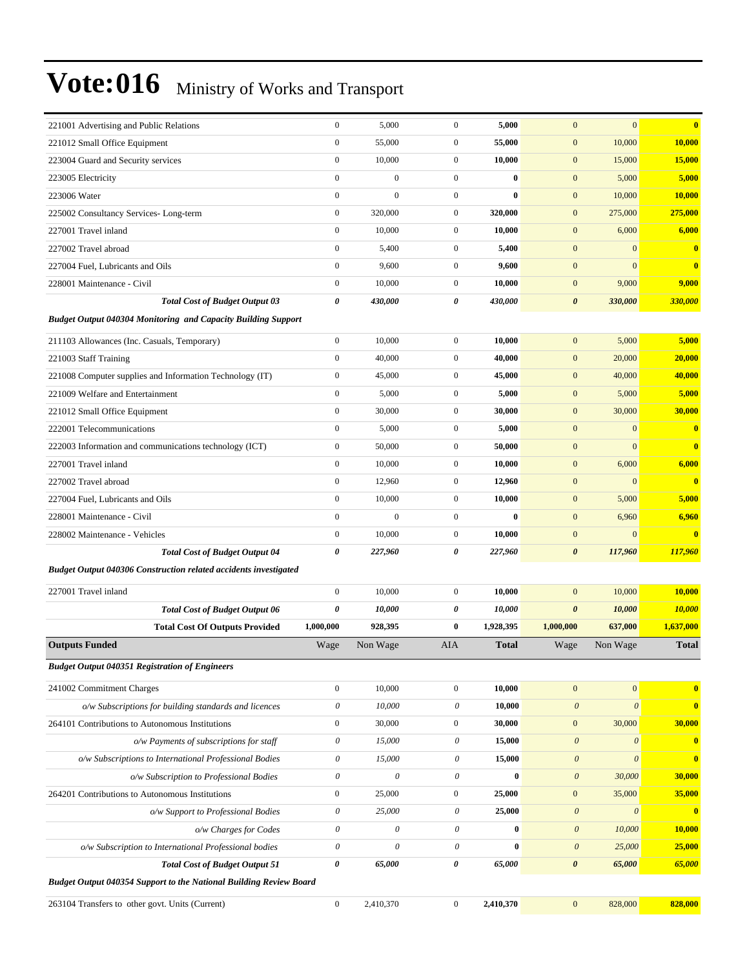| 221001 Advertising and Public Relations                                   | $\boldsymbol{0}$          | 5,000                 | $\mathbf{0}$              | 5,000        | $\mathbf{0}$              | $\mathbf{0}$          | $\bf{0}$                |
|---------------------------------------------------------------------------|---------------------------|-----------------------|---------------------------|--------------|---------------------------|-----------------------|-------------------------|
| 221012 Small Office Equipment                                             | $\boldsymbol{0}$          | 55,000                | $\boldsymbol{0}$          | 55,000       | $\boldsymbol{0}$          | 10,000                | 10,000                  |
| 223004 Guard and Security services                                        | $\boldsymbol{0}$          | 10,000                | $\boldsymbol{0}$          | 10,000       | $\boldsymbol{0}$          | 15,000                | 15,000                  |
| 223005 Electricity                                                        | $\boldsymbol{0}$          | $\boldsymbol{0}$      | $\overline{0}$            | $\bf{0}$     | $\boldsymbol{0}$          | 5,000                 | 5,000                   |
| 223006 Water                                                              | $\mathbf{0}$              | $\mathbf{0}$          | $\overline{0}$            | $\bf{0}$     | $\boldsymbol{0}$          | 10,000                | 10,000                  |
| 225002 Consultancy Services-Long-term                                     | $\boldsymbol{0}$          | 320,000               | $\mathbf{0}$              | 320,000      | $\boldsymbol{0}$          | 275,000               | 275,000                 |
| 227001 Travel inland                                                      | $\mathbf{0}$              | 10,000                | $\overline{0}$            | 10,000       | $\boldsymbol{0}$          | 6,000                 | 6,000                   |
| 227002 Travel abroad                                                      | $\mathbf{0}$              | 5,400                 | $\mathbf{0}$              | 5,400        | $\boldsymbol{0}$          | $\mathbf{0}$          | $\bf{0}$                |
| 227004 Fuel, Lubricants and Oils                                          | $\boldsymbol{0}$          | 9,600                 | $\overline{0}$            | 9,600        | $\boldsymbol{0}$          | $\mathbf{0}$          | $\bf{0}$                |
| 228001 Maintenance - Civil                                                | $\boldsymbol{0}$          | 10,000                | $\mathbf{0}$              | 10,000       | $\boldsymbol{0}$          | 9,000                 | 9,000                   |
| <b>Total Cost of Budget Output 03</b>                                     | $\boldsymbol{\theta}$     | 430,000               | 0                         | 430,000      | $\boldsymbol{\theta}$     | 330,000               | 330,000                 |
| <b>Budget Output 040304 Monitoring and Capacity Building Support</b>      |                           |                       |                           |              |                           |                       |                         |
| 211103 Allowances (Inc. Casuals, Temporary)                               | $\mathbf{0}$              | 10,000                | $\overline{0}$            | 10,000       | $\mathbf{0}$              | 5,000                 | 5,000                   |
| 221003 Staff Training                                                     | $\mathbf{0}$              | 40,000                | $\boldsymbol{0}$          | 40,000       | $\mathbf{0}$              | 20,000                | 20,000                  |
| 221008 Computer supplies and Information Technology (IT)                  | $\boldsymbol{0}$          | 45,000                | $\mathbf{0}$              | 45,000       | $\boldsymbol{0}$          | 40,000                | 40,000                  |
| 221009 Welfare and Entertainment                                          | $\mathbf{0}$              | 5,000                 | $\overline{0}$            | 5,000        | $\boldsymbol{0}$          | 5,000                 | 5,000                   |
| 221012 Small Office Equipment                                             | $\boldsymbol{0}$          | 30,000                | $\mathbf{0}$              | 30,000       | $\boldsymbol{0}$          | 30,000                | 30,000                  |
| 222001 Telecommunications                                                 | $\mathbf{0}$              | 5,000                 | $\overline{0}$            | 5,000        | $\boldsymbol{0}$          | $\mathbf{0}$          | $\bf{0}$                |
| 222003 Information and communications technology (ICT)                    | $\boldsymbol{0}$          | 50,000                | $\mathbf{0}$              | 50,000       | $\boldsymbol{0}$          | $\mathbf{0}$          | $\mathbf{0}$            |
| 227001 Travel inland                                                      | $\boldsymbol{0}$          | 10,000                | $\overline{0}$            | 10,000       | $\boldsymbol{0}$          | 6,000                 | 6,000                   |
| 227002 Travel abroad                                                      | $\mathbf{0}$              | 12,960                | $\mathbf{0}$              | 12,960       | $\boldsymbol{0}$          | $\boldsymbol{0}$      | $\overline{\mathbf{0}}$ |
| 227004 Fuel, Lubricants and Oils                                          | $\mathbf{0}$              | 10,000                | $\mathbf{0}$              | 10,000       | $\boldsymbol{0}$          | 5,000                 | 5,000                   |
| 228001 Maintenance - Civil                                                | $\mathbf{0}$              | $\overline{0}$        | $\overline{0}$            | $\bf{0}$     | $\boldsymbol{0}$          | 6,960                 | 6,960                   |
| 228002 Maintenance - Vehicles                                             | $\mathbf{0}$              | 10,000                | $\mathbf{0}$              | 10,000       | $\boldsymbol{0}$          | $\mathbf{0}$          | $\mathbf{0}$            |
| <b>Total Cost of Budget Output 04</b>                                     | $\boldsymbol{\theta}$     | 227,960               | 0                         | 227,960      | $\boldsymbol{\theta}$     | 117,960               | 117,960                 |
| <b>Budget Output 040306 Construction related accidents investigated</b>   |                           |                       |                           |              |                           |                       |                         |
| 227001 Travel inland                                                      | $\mathbf{0}$              | 10,000                | $\mathbf{0}$              | 10,000       | $\mathbf{0}$              | 10,000                | 10,000                  |
| <b>Total Cost of Budget Output 06</b>                                     | $\boldsymbol{\theta}$     | 10,000                | 0                         | 10,000       | $\boldsymbol{\theta}$     | 10,000                | 10,000                  |
| <b>Total Cost Of Outputs Provided</b>                                     | 1,000,000                 | 928,395               | 0                         | 1,928,395    | 1,000,000                 | 637,000               | 1,637,000               |
| <b>Outputs Funded</b>                                                     | Wage                      | Non Wage              | AIA                       | <b>Total</b> | Wage                      | Non Wage              | <b>Total</b>            |
| <b>Budget Output 040351 Registration of Engineers</b>                     |                           |                       |                           |              |                           |                       |                         |
| 241002 Commitment Charges                                                 | $\mathbf{0}$              | 10,000                | $\overline{0}$            | 10,000       | $\boldsymbol{0}$          | $\boldsymbol{0}$      | $\bf{0}$                |
| o/w Subscriptions for building standards and licences                     | $\boldsymbol{\mathit{0}}$ | 10,000                | $\boldsymbol{\mathit{0}}$ | 10,000       | $\theta$                  | $\boldsymbol{\theta}$ | $\bf{0}$                |
| 264101 Contributions to Autonomous Institutions                           | $\boldsymbol{0}$          | 30,000                | $\boldsymbol{0}$          | 30,000       | $\boldsymbol{0}$          | 30,000                | 30,000                  |
| o/w Payments of subscriptions for staff                                   | 0                         | 15,000                | $\theta$                  | 15,000       | $\boldsymbol{\theta}$     | $\boldsymbol{\theta}$ | $\bf{0}$                |
| o/w Subscriptions to International Professional Bodies                    | $\boldsymbol{\mathit{0}}$ | 15,000                | $\boldsymbol{\mathit{0}}$ | 15,000       | $\boldsymbol{0}$          | $\boldsymbol{\theta}$ | $\bf{0}$                |
| o/w Subscription to Professional Bodies                                   | $\boldsymbol{\mathit{0}}$ | 0                     | $\boldsymbol{\mathit{0}}$ | $\bf{0}$     | $\boldsymbol{\theta}$     | 30,000                | 30,000                  |
| 264201 Contributions to Autonomous Institutions                           | $\boldsymbol{0}$          | 25,000                | $\boldsymbol{0}$          | 25,000       | $\boldsymbol{0}$          | 35,000                | 35,000                  |
| o/w Support to Professional Bodies                                        | 0                         | 25,000                | $\theta$                  | 25,000       | $\boldsymbol{\theta}$     | $\boldsymbol{\theta}$ | $\bf{0}$                |
| o/w Charges for Codes                                                     | 0                         | $\boldsymbol{\theta}$ | $\boldsymbol{\mathit{0}}$ | $\bf{0}$     | $\boldsymbol{\mathit{0}}$ | 10,000                | 10,000                  |
| o/w Subscription to International Professional bodies                     | $\boldsymbol{\mathit{0}}$ | $\mathcal O$          | $\boldsymbol{\mathit{0}}$ | $\bf{0}$     | $\boldsymbol{0}$          | 25,000                | 25,000                  |
| <b>Total Cost of Budget Output 51</b>                                     | $\boldsymbol{\theta}$     | 65,000                | 0                         | 65,000       | $\boldsymbol{\theta}$     | 65,000                | 65,000                  |
| <b>Budget Output 040354 Support to the National Building Review Board</b> |                           |                       |                           |              |                           |                       |                         |
|                                                                           |                           |                       |                           |              |                           |                       |                         |
| 263104 Transfers to other govt. Units (Current)                           | $\boldsymbol{0}$          | 2,410,370             | $\boldsymbol{0}$          | 2,410,370    | $\boldsymbol{0}$          | 828,000               | 828,000                 |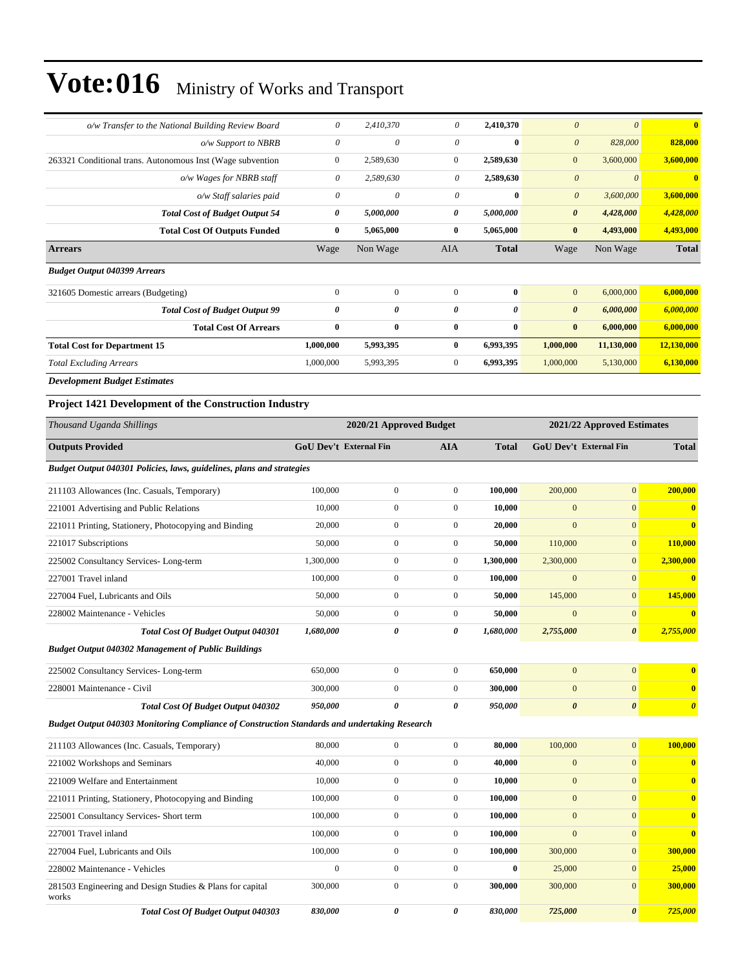works

| o/w Transfer to the National Building Review Board                                            | 0                             | 2,410,370               | 0                     | 2,410,370    | $\boldsymbol{\theta}$ | $\mathcal{O}$              | $\overline{\mathbf{0}}$ |
|-----------------------------------------------------------------------------------------------|-------------------------------|-------------------------|-----------------------|--------------|-----------------------|----------------------------|-------------------------|
| o/w Support to NBRB                                                                           | $\boldsymbol{\theta}$         | 0                       | $\theta$              | $\bf{0}$     | $\boldsymbol{\theta}$ | 828,000                    | 828,000                 |
| 263321 Conditional trans. Autonomous Inst (Wage subvention                                    | $\boldsymbol{0}$              | 2,589,630               | $\mathbf{0}$          | 2,589,630    | $\mathbf{0}$          | 3,600,000                  | 3,600,000               |
| o/w Wages for NBRB staff                                                                      | $\theta$                      | 2,589,630               | 0                     | 2,589,630    | $\boldsymbol{\theta}$ | $\boldsymbol{\theta}$      | $\mathbf{0}$            |
| o/w Staff salaries paid                                                                       | $\theta$                      | $\theta$                | 0                     | $\bf{0}$     | $\boldsymbol{\theta}$ | 3,600,000                  | 3,600,000               |
| <b>Total Cost of Budget Output 54</b>                                                         | 0                             | 5,000,000               | 0                     | 5,000,000    | 0                     | 4,428,000                  | 4,428,000               |
| <b>Total Cost Of Outputs Funded</b>                                                           | $\bf{0}$                      | 5,065,000               | $\bf{0}$              | 5,065,000    | $\bf{0}$              | 4,493,000                  | 4,493,000               |
| <b>Arrears</b>                                                                                | Wage                          | Non Wage                | AIA                   | <b>Total</b> | Wage                  | Non Wage                   | <b>Total</b>            |
| <b>Budget Output 040399 Arrears</b>                                                           |                               |                         |                       |              |                       |                            |                         |
| 321605 Domestic arrears (Budgeting)                                                           | $\boldsymbol{0}$              | $\boldsymbol{0}$        | $\mathbf{0}$          | $\bf{0}$     | $\mathbf{0}$          | 6,000,000                  | 6,000,000               |
| <b>Total Cost of Budget Output 99</b>                                                         | 0                             | 0                       | 0                     | 0            | $\boldsymbol{\theta}$ | 6,000,000                  | 6,000,000               |
| <b>Total Cost Of Arrears</b>                                                                  | $\bf{0}$                      | $\bf{0}$                | $\bf{0}$              | $\bf{0}$     | $\bf{0}$              | 6,000,000                  | 6,000,000               |
| <b>Total Cost for Department 15</b>                                                           | 1,000,000                     | 5,993,395               | $\bf{0}$              | 6,993,395    | 1,000,000             | 11,130,000                 | 12,130,000              |
| <b>Total Excluding Arrears</b>                                                                | 1,000,000                     | 5,993,395               | $\boldsymbol{0}$      | 6,993,395    | 1,000,000             | 5,130,000                  | 6,130,000               |
| <b>Development Budget Estimates</b>                                                           |                               |                         |                       |              |                       |                            |                         |
| <b>Project 1421 Development of the Construction Industry</b>                                  |                               |                         |                       |              |                       |                            |                         |
| Thousand Uganda Shillings                                                                     |                               | 2020/21 Approved Budget |                       |              |                       | 2021/22 Approved Estimates |                         |
| <b>Outputs Provided</b>                                                                       | <b>GoU Dev't External Fin</b> |                         | <b>AIA</b>            | <b>Total</b> |                       | GoU Dev't External Fin     | <b>Total</b>            |
| Budget Output 040301 Policies, laws, guidelines, plans and strategies                         |                               |                         |                       |              |                       |                            |                         |
| 211103 Allowances (Inc. Casuals, Temporary)                                                   | 100,000                       | $\boldsymbol{0}$        | $\mathbf{0}$          | 100,000      | 200,000               | $\mathbf{0}$               | 200,000                 |
| 221001 Advertising and Public Relations                                                       | 10,000                        | $\boldsymbol{0}$        | $\overline{0}$        | 10,000       | $\mathbf{0}$          | $\overline{0}$             | $\bf{0}$                |
| 221011 Printing, Stationery, Photocopying and Binding                                         | 20,000                        | $\mathbf{0}$            | $\overline{0}$        | 20,000       | $\mathbf{0}$          | $\overline{0}$             | $\bf{0}$                |
| 221017 Subscriptions                                                                          | 50,000                        | $\boldsymbol{0}$        | $\mathbf{0}$          | 50,000       | 110,000               | $\mathbf{0}$               | 110,000                 |
| 225002 Consultancy Services-Long-term                                                         | 1,300,000                     | $\mathbf{0}$            | $\boldsymbol{0}$      | 1,300,000    | 2,300,000             | $\mathbf{0}$               | 2,300,000               |
| 227001 Travel inland                                                                          | 100,000                       | $\boldsymbol{0}$        | $\mathbf{0}$          | 100,000      | $\mathbf{0}$          | $\mathbf{0}$               | $\bf{0}$                |
| 227004 Fuel, Lubricants and Oils                                                              | 50,000                        | $\boldsymbol{0}$        | $\overline{0}$        | 50,000       | 145,000               | $\mathbf{0}$               | 145,000                 |
| 228002 Maintenance - Vehicles                                                                 | 50,000                        | $\mathbf{0}$            | $\mathbf{0}$          | 50,000       | $\mathbf{0}$          | $\mathbf{0}$               |                         |
| Total Cost Of Budget Output 040301                                                            | 1,680,000                     | 0                       | 0                     | 1,680,000    | 2,755,000             | 0                          | 2,755,000               |
| <b>Budget Output 040302 Management of Public Buildings</b>                                    |                               |                         |                       |              |                       |                            |                         |
| 225002 Consultancy Services-Long-term                                                         | 650,000                       | $\boldsymbol{0}$        | $\boldsymbol{0}$      | 650,000      | $\boldsymbol{0}$      | $\overline{0}$             | $\bf{0}$                |
| 228001 Maintenance - Civil                                                                    | 300,000                       | $\boldsymbol{0}$        | $\mathbf{0}$          | 300,000      | $\boldsymbol{0}$      | $\boldsymbol{0}$           | $\bf{0}$                |
| Total Cost Of Budget Output 040302                                                            | 950,000                       | 0                       | $\boldsymbol{\theta}$ | 950,000      | $\boldsymbol{\theta}$ | 0                          | $\boldsymbol{\theta}$   |
| Budget Output 040303 Monitoring Compliance of Construction Standards and undertaking Research |                               |                         |                       |              |                       |                            |                         |
| 211103 Allowances (Inc. Casuals, Temporary)                                                   | 80,000                        | $\boldsymbol{0}$        | $\mathbf{0}$          | 80,000       | 100,000               | $\boldsymbol{0}$           | 100,000                 |
| 221002 Workshops and Seminars                                                                 | 40,000                        | $\boldsymbol{0}$        | $\boldsymbol{0}$      | 40,000       | $\boldsymbol{0}$      | $\boldsymbol{0}$           | $\bf{0}$                |
| 221009 Welfare and Entertainment                                                              | 10,000                        | $\boldsymbol{0}$        | $\boldsymbol{0}$      | 10,000       | $\boldsymbol{0}$      | $\overline{0}$             | $\bf{0}$                |
| 221011 Printing, Stationery, Photocopying and Binding                                         | 100,000                       | $\boldsymbol{0}$        | $\mathbf{0}$          | 100,000      | $\boldsymbol{0}$      | $\mathbf{0}$               | $\bf{0}$                |
| 225001 Consultancy Services- Short term                                                       | 100,000                       | $\boldsymbol{0}$        | $\mathbf{0}$          | 100,000      | $\boldsymbol{0}$      | $\overline{0}$             | $\bf{0}$                |
| 227001 Travel inland                                                                          | 100,000                       | $\boldsymbol{0}$        | $\mathbf{0}$          | 100,000      | $\mathbf{0}$          | $\overline{0}$             | $\bf{0}$                |
| 227004 Fuel, Lubricants and Oils                                                              | 100,000                       | $\boldsymbol{0}$        | $\boldsymbol{0}$      | 100,000      | 300,000               | $\boldsymbol{0}$           | 300,000                 |
| 228002 Maintenance - Vehicles                                                                 | $\boldsymbol{0}$              | $\boldsymbol{0}$        | $\boldsymbol{0}$      | $\bf{0}$     | 25,000                | $\boldsymbol{0}$           | 25,000                  |
| 281503 Engineering and Design Studies & Plans for capital                                     | 300,000                       | $\mathbf{0}$            | $\boldsymbol{0}$      | 300,000      | 300,000               | $\boldsymbol{0}$           | 300,000                 |

*Total Cost Of Budget Output 040303 830,000 0 0 830,000 725,000 0 725,000*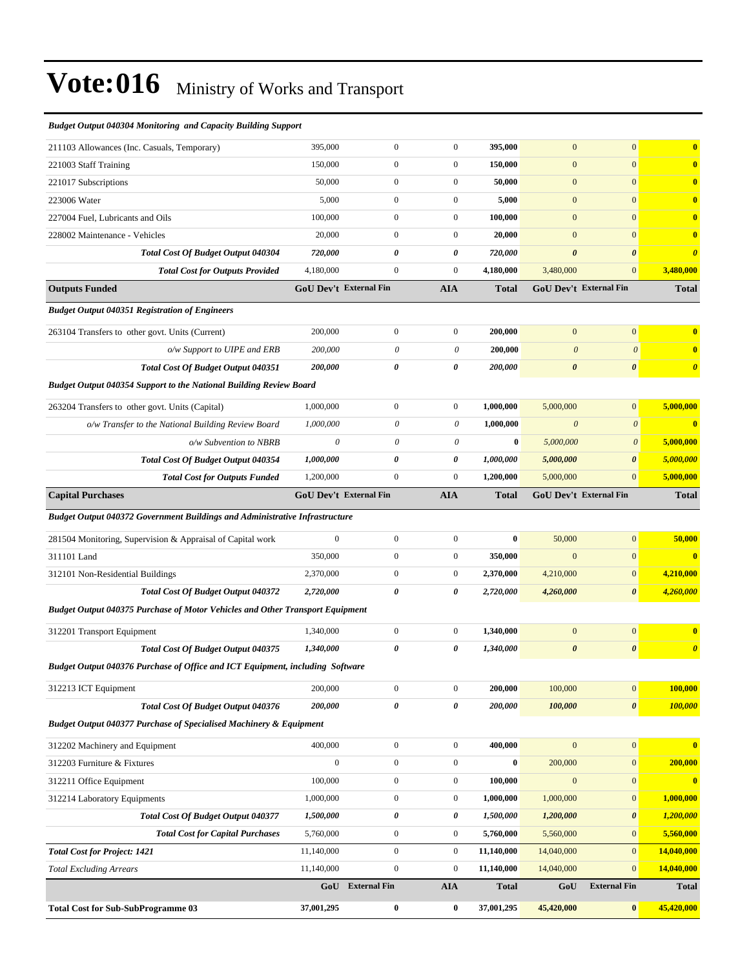| <b>Budget Output 040304 Monitoring and Capacity Building Support</b>          |                               |                               |                           |              |                       |                        |                         |
|-------------------------------------------------------------------------------|-------------------------------|-------------------------------|---------------------------|--------------|-----------------------|------------------------|-------------------------|
| 211103 Allowances (Inc. Casuals, Temporary)                                   | 395,000                       | $\mathbf{0}$                  | $\boldsymbol{0}$          | 395,000      | $\mathbf{0}$          | $\mathbf{0}$           | $\mathbf{0}$            |
| 221003 Staff Training                                                         | 150,000                       | 0                             | $\boldsymbol{0}$          | 150,000      | $\mathbf{0}$          | $\overline{0}$         | $\mathbf{0}$            |
| 221017 Subscriptions                                                          | 50,000                        | $\boldsymbol{0}$              | $\boldsymbol{0}$          | 50,000       | $\mathbf{0}$          | $\overline{0}$         | $\bf{0}$                |
| 223006 Water                                                                  | 5,000                         | $\mathbf{0}$                  | $\boldsymbol{0}$          | 5,000        | $\mathbf{0}$          | $\mathbf{0}$           | $\mathbf{0}$            |
| 227004 Fuel, Lubricants and Oils                                              | 100,000                       | $\boldsymbol{0}$              | $\boldsymbol{0}$          | 100,000      | $\mathbf{0}$          | $\overline{0}$         | $\bf{0}$                |
| 228002 Maintenance - Vehicles                                                 | 20,000                        | $\boldsymbol{0}$              | $\boldsymbol{0}$          | 20,000       | $\mathbf{0}$          | $\mathbf{0}$           | $\bf{0}$                |
| Total Cost Of Budget Output 040304                                            | 720,000                       | 0                             | 0                         | 720,000      | $\boldsymbol{\theta}$ | $\boldsymbol{\theta}$  | $\boldsymbol{\theta}$   |
| <b>Total Cost for Outputs Provided</b>                                        | 4,180,000                     | $\boldsymbol{0}$              | $\boldsymbol{0}$          | 4,180,000    | 3,480,000             | $\mathbf{0}$           | 3,480,000               |
| <b>Outputs Funded</b>                                                         | <b>GoU Dev't External Fin</b> |                               | AIA                       | <b>Total</b> |                       | GoU Dev't External Fin | <b>Total</b>            |
| <b>Budget Output 040351 Registration of Engineers</b>                         |                               |                               |                           |              |                       |                        |                         |
| 263104 Transfers to other govt. Units (Current)                               | 200,000                       | $\boldsymbol{0}$              | $\boldsymbol{0}$          | 200,000      | $\mathbf{0}$          | $\mathbf{0}$           | $\overline{\mathbf{0}}$ |
| o/w Support to UIPE and ERB                                                   | 200,000                       | $\boldsymbol{\theta}$         | $\boldsymbol{\mathit{0}}$ | 200,000      | $\theta$              | $\theta$               | $\bf{0}$                |
| <b>Total Cost Of Budget Output 040351</b>                                     | 200,000                       | 0                             | 0                         | 200,000      | $\boldsymbol{\theta}$ | $\boldsymbol{\theta}$  | $\boldsymbol{\theta}$   |
| <b>Budget Output 040354 Support to the National Building Review Board</b>     |                               |                               |                           |              |                       |                        |                         |
| 263204 Transfers to other govt. Units (Capital)                               | 1,000,000                     | 0                             | $\boldsymbol{0}$          | 1,000,000    | 5,000,000             | $\overline{0}$         | 5,000,000               |
| o/w Transfer to the National Building Review Board                            | 1,000,000                     | $\boldsymbol{\theta}$         | $\boldsymbol{\theta}$     | 1,000,000    | $\boldsymbol{\theta}$ | $\boldsymbol{\theta}$  | $\bf{0}$                |
| o/w Subvention to NBRB                                                        | $\theta$                      | 0                             | $\boldsymbol{\theta}$     | $\bf{0}$     | 5,000,000             | $\boldsymbol{\theta}$  | 5,000,000               |
| Total Cost Of Budget Output 040354                                            | 1,000,000                     | 0                             | 0                         | 1,000,000    | 5,000,000             | $\boldsymbol{\theta}$  | 5,000,000               |
| <b>Total Cost for Outputs Funded</b>                                          | 1,200,000                     | $\boldsymbol{0}$              | $\mathbf{0}$              | 1,200,000    | 5,000,000             | $\overline{0}$         | 5,000,000               |
| <b>Capital Purchases</b>                                                      |                               | <b>GoU Dev't External Fin</b> | <b>AIA</b>                | <b>Total</b> |                       | GoU Dev't External Fin | <b>Total</b>            |
| Budget Output 040372 Government Buildings and Administrative Infrastructure   |                               |                               |                           |              |                       |                        |                         |
| 281504 Monitoring, Supervision & Appraisal of Capital work                    | $\boldsymbol{0}$              | $\boldsymbol{0}$              | $\boldsymbol{0}$          | $\bf{0}$     | 50,000                | $\mathbf{0}$           | 50,000                  |
| 311101 Land                                                                   | 350,000                       | $\boldsymbol{0}$              | $\boldsymbol{0}$          | 350,000      | $\mathbf{0}$          | $\boldsymbol{0}$       | $\bf{0}$                |
| 312101 Non-Residential Buildings                                              | 2,370,000                     | $\mathbf{0}$                  | $\boldsymbol{0}$          | 2,370,000    | 4,210,000             | $\overline{0}$         | 4,210,000               |
| Total Cost Of Budget Output 040372                                            | 2,720,000                     | 0                             | 0                         | 2,720,000    | 4,260,000             | $\theta$               | 4,260,000               |
| Budget Output 040375 Purchase of Motor Vehicles and Other Transport Equipment |                               |                               |                           |              |                       |                        |                         |
| 312201 Transport Equipment                                                    | 1,340,000                     | $\boldsymbol{0}$              | $\boldsymbol{0}$          | 1,340,000    | $\mathbf{0}$          | $\mathbf{0}$           | $\bf{0}$                |
| Total Cost Of Budget Output 040375                                            | 1,340,000                     | 0                             | 0                         | 1,340,000    | $\boldsymbol{\theta}$ | $\boldsymbol{\theta}$  | $\boldsymbol{\theta}$   |
| Budget Output 040376 Purchase of Office and ICT Equipment, including Software |                               |                               |                           |              |                       |                        |                         |
| 312213 ICT Equipment                                                          | 200,000                       | $\boldsymbol{0}$              | $\boldsymbol{0}$          | 200,000      | 100,000               | $\mathbf{0}$           | 100,000                 |
| <b>Total Cost Of Budget Output 040376</b>                                     | 200,000                       | $\pmb{\theta}$                | 0                         | 200,000      | 100,000               | $\boldsymbol{\theta}$  | 100,000                 |
| <b>Budget Output 040377 Purchase of Specialised Machinery &amp; Equipment</b> |                               |                               |                           |              |                       |                        |                         |
| 312202 Machinery and Equipment                                                | 400,000                       | $\boldsymbol{0}$              | $\boldsymbol{0}$          | 400,000      | $\mathbf{0}$          | $\mathbf{0}$           | $\bf{0}$                |
| 312203 Furniture & Fixtures                                                   | $\boldsymbol{0}$              | $\boldsymbol{0}$              | $\boldsymbol{0}$          | $\bf{0}$     | 200,000               | $\mathbf{0}$           | 200,000                 |
| 312211 Office Equipment                                                       | 100,000                       | $\boldsymbol{0}$              | $\boldsymbol{0}$          | 100,000      | $\mathbf{0}$          | $\overline{0}$         | $\bf{0}$                |
| 312214 Laboratory Equipments                                                  | 1,000,000                     | $\boldsymbol{0}$              | $\boldsymbol{0}$          | 1,000,000    | 1,000,000             | $\mathbf{0}$           | 1,000,000               |
| Total Cost Of Budget Output 040377                                            | 1,500,000                     | 0                             | 0                         | 1,500,000    | 1,200,000             | 0                      | 1,200,000               |
| <b>Total Cost for Capital Purchases</b>                                       | 5,760,000                     | $\boldsymbol{0}$              | $\boldsymbol{0}$          | 5,760,000    | 5,560,000             | $\mathbf{0}$           | 5,560,000               |
| <b>Total Cost for Project: 1421</b>                                           | 11,140,000                    | $\boldsymbol{0}$              | $\boldsymbol{0}$          | 11,140,000   | 14,040,000            | $\mathbf{0}$           | 14,040,000              |
| <b>Total Excluding Arrears</b>                                                | 11,140,000                    | $\boldsymbol{0}$              | $\boldsymbol{0}$          | 11,140,000   | 14,040,000            | $\mathbf{0}$           | 14,040,000              |
|                                                                               | GoU                           | <b>External Fin</b>           | <b>AIA</b>                | <b>Total</b> | GoU                   | <b>External Fin</b>    | <b>Total</b>            |
| <b>Total Cost for Sub-SubProgramme 03</b>                                     | 37,001,295                    | $\bf{0}$                      | $\bf{0}$                  | 37,001,295   | 45,420,000            | $\boldsymbol{0}$       | 45,420,000              |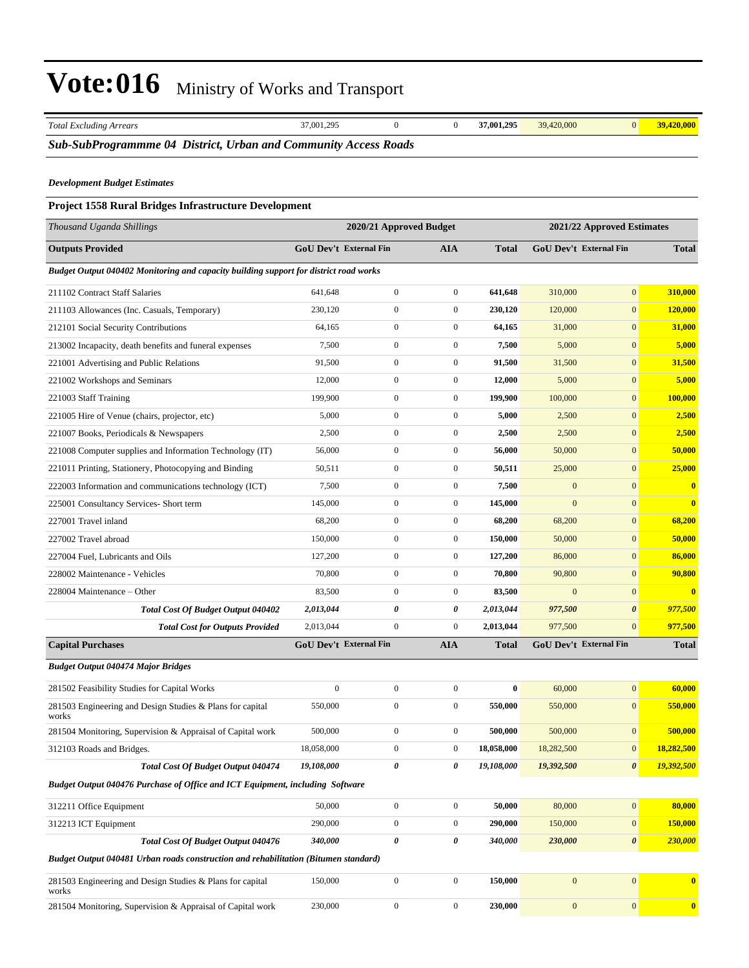| <b>Total Excluding Arrears</b>                                                        | 37,001,295       | $\overline{0}$                | $\mathbf{0}$            | 37,001,295   | 39,420,000   | $\mathbf{0}$                  | 39,420,000              |
|---------------------------------------------------------------------------------------|------------------|-------------------------------|-------------------------|--------------|--------------|-------------------------------|-------------------------|
| Sub-SubProgrammme 04 District, Urban and Community Access Roads                       |                  |                               |                         |              |              |                               |                         |
| <b>Development Budget Estimates</b>                                                   |                  |                               |                         |              |              |                               |                         |
| Project 1558 Rural Bridges Infrastructure Development                                 |                  |                               |                         |              |              |                               |                         |
| Thousand Uganda Shillings                                                             |                  |                               | 2020/21 Approved Budget |              |              | 2021/22 Approved Estimates    |                         |
| <b>Outputs Provided</b>                                                               |                  | <b>GoU Dev't External Fin</b> | <b>AIA</b>              | <b>Total</b> |              | <b>GoU Dev't External Fin</b> | <b>Total</b>            |
|                                                                                       |                  |                               |                         |              |              |                               |                         |
| Budget Output 040402 Monitoring and capacity building support for district road works |                  |                               |                         |              |              |                               |                         |
| 211102 Contract Staff Salaries                                                        | 641,648          | $\mathbf{0}$                  | $\boldsymbol{0}$        | 641,648      | 310,000      | $\mathbf{0}$                  | 310,000                 |
| 211103 Allowances (Inc. Casuals, Temporary)                                           | 230,120          | $\boldsymbol{0}$              | $\boldsymbol{0}$        | 230,120      | 120,000      | $\boldsymbol{0}$              | 120,000                 |
| 212101 Social Security Contributions                                                  | 64,165           | $\boldsymbol{0}$              | $\boldsymbol{0}$        | 64,165       | 31,000       | $\boldsymbol{0}$              | 31,000                  |
| 213002 Incapacity, death benefits and funeral expenses                                | 7,500            | $\mathbf{0}$                  | $\boldsymbol{0}$        | 7,500        | 5,000        | $\boldsymbol{0}$              | 5,000                   |
| 221001 Advertising and Public Relations                                               | 91,500           | $\mathbf{0}$                  | $\boldsymbol{0}$        | 91,500       | 31,500       | $\boldsymbol{0}$              | 31,500                  |
| 221002 Workshops and Seminars                                                         | 12,000           | $\mathbf{0}$                  | $\boldsymbol{0}$        | 12,000       | 5,000        | $\boldsymbol{0}$              | 5,000                   |
| 221003 Staff Training                                                                 | 199,900          | $\boldsymbol{0}$              | $\boldsymbol{0}$        | 199,900      | 100,000      | $\mathbf{0}$                  | 100,000                 |
| 221005 Hire of Venue (chairs, projector, etc)                                         | 5,000            | $\boldsymbol{0}$              | $\boldsymbol{0}$        | 5,000        | 2,500        | $\boldsymbol{0}$              | 2,500                   |
| 221007 Books, Periodicals & Newspapers                                                | 2,500            | $\mathbf{0}$                  | $\boldsymbol{0}$        | 2,500        | 2,500        | $\boldsymbol{0}$              | 2,500                   |
| 221008 Computer supplies and Information Technology (IT)                              | 56,000           | $\overline{0}$                | $\boldsymbol{0}$        | 56,000       | 50,000       | $\mathbf{0}$                  | 50,000                  |
| 221011 Printing, Stationery, Photocopying and Binding                                 | 50,511           | $\mathbf{0}$                  | $\boldsymbol{0}$        | 50,511       | 25,000       | $\boldsymbol{0}$              | 25,000                  |
| 222003 Information and communications technology (ICT)                                | 7,500            | $\boldsymbol{0}$              | $\boldsymbol{0}$        | 7,500        | $\mathbf{0}$ | $\mathbf{0}$                  | $\bf{0}$                |
| 225001 Consultancy Services- Short term                                               | 145,000          | $\boldsymbol{0}$              | $\boldsymbol{0}$        | 145,000      | $\mathbf{0}$ | $\boldsymbol{0}$              | $\overline{\mathbf{0}}$ |
| 227001 Travel inland                                                                  | 68,200           | $\mathbf{0}$                  | $\boldsymbol{0}$        | 68,200       | 68,200       | $\boldsymbol{0}$              | 68,200                  |
| 227002 Travel abroad                                                                  | 150,000          | $\overline{0}$                | $\boldsymbol{0}$        | 150,000      | 50,000       | $\mathbf{0}$                  | 50,000                  |
| 227004 Fuel, Lubricants and Oils                                                      | 127,200          | $\mathbf{0}$                  | $\boldsymbol{0}$        | 127,200      | 86,000       | $\boldsymbol{0}$              | 86,000                  |
| 228002 Maintenance - Vehicles                                                         | 70,800           | $\boldsymbol{0}$              | $\boldsymbol{0}$        | 70,800       | 90,800       | $\boldsymbol{0}$              | 90,800                  |
| 228004 Maintenance – Other                                                            | 83,500           | $\boldsymbol{0}$              | $\boldsymbol{0}$        | 83,500       | $\mathbf{0}$ | $\mathbf{0}$                  | $\overline{\mathbf{0}}$ |
| Total Cost Of Budget Output 040402                                                    | 2,013,044        | 0                             | 0                       | 2,013,044    | 977,500      | $\boldsymbol{\theta}$         | 977,500                 |
| <b>Total Cost for Outputs Provided</b>                                                | 2,013,044        | $\overline{0}$                | $\mathbf{0}$            | 2,013,044    | 977,500      | $\overline{0}$                | 977,500                 |
| <b>Capital Purchases</b>                                                              |                  | <b>GoU Dev't External Fin</b> | <b>AIA</b>              | <b>Total</b> |              | <b>GoU Dev't External Fin</b> | <b>Total</b>            |
| <b>Budget Output 040474 Major Bridges</b>                                             |                  |                               |                         |              |              |                               |                         |
| 281502 Feasibility Studies for Capital Works                                          | $\boldsymbol{0}$ | $\boldsymbol{0}$              | $\boldsymbol{0}$        | $\bf{0}$     | 60,000       | $\boldsymbol{0}$              | 60,000                  |
| 281503 Engineering and Design Studies & Plans for capital<br>works                    | 550,000          | $\boldsymbol{0}$              | $\boldsymbol{0}$        | 550,000      | 550,000      | $\boldsymbol{0}$              | 550,000                 |
| 281504 Monitoring, Supervision & Appraisal of Capital work                            | 500,000          | $\boldsymbol{0}$              | $\boldsymbol{0}$        | 500,000      | 500,000      | $\boldsymbol{0}$              | 500,000                 |
| 312103 Roads and Bridges.                                                             | 18,058,000       | $\boldsymbol{0}$              | $\boldsymbol{0}$        | 18,058,000   | 18,282,500   | $\boldsymbol{0}$              | 18,282,500              |
| Total Cost Of Budget Output 040474                                                    | 19,108,000       | 0                             | 0                       | 19,108,000   | 19,392,500   | 0                             | 19,392,500              |
| Budget Output 040476 Purchase of Office and ICT Equipment, including Software         |                  |                               |                         |              |              |                               |                         |
| 312211 Office Equipment                                                               | 50,000           | $\boldsymbol{0}$              | $\boldsymbol{0}$        | 50,000       | 80,000       | $\boldsymbol{0}$              | 80,000                  |
| 312213 ICT Equipment                                                                  | 290,000          | $\boldsymbol{0}$              | $\boldsymbol{0}$        | 290,000      | 150,000      | $\boldsymbol{0}$              | 150,000                 |
| Total Cost Of Budget Output 040476                                                    | 340,000          | $\pmb{\theta}$                | $\pmb{\theta}$          | 340,000      | 230,000      | $\pmb{\theta}$                | 230,000                 |
| Budget Output 040481 Urban roads construction and rehabilitation (Bitumen standard)   |                  |                               |                         |              |              |                               |                         |
| 281503 Engineering and Design Studies & Plans for capital<br>works                    | 150,000          | $\boldsymbol{0}$              | $\boldsymbol{0}$        | 150,000      | $\mathbf{0}$ | $\boldsymbol{0}$              | $\bf{0}$                |
| 281504 Monitoring, Supervision & Appraisal of Capital work                            | 230,000          | $\boldsymbol{0}$              | $\boldsymbol{0}$        | 230,000      | $\mathbf{0}$ | $\boldsymbol{0}$              | $\bf{0}$                |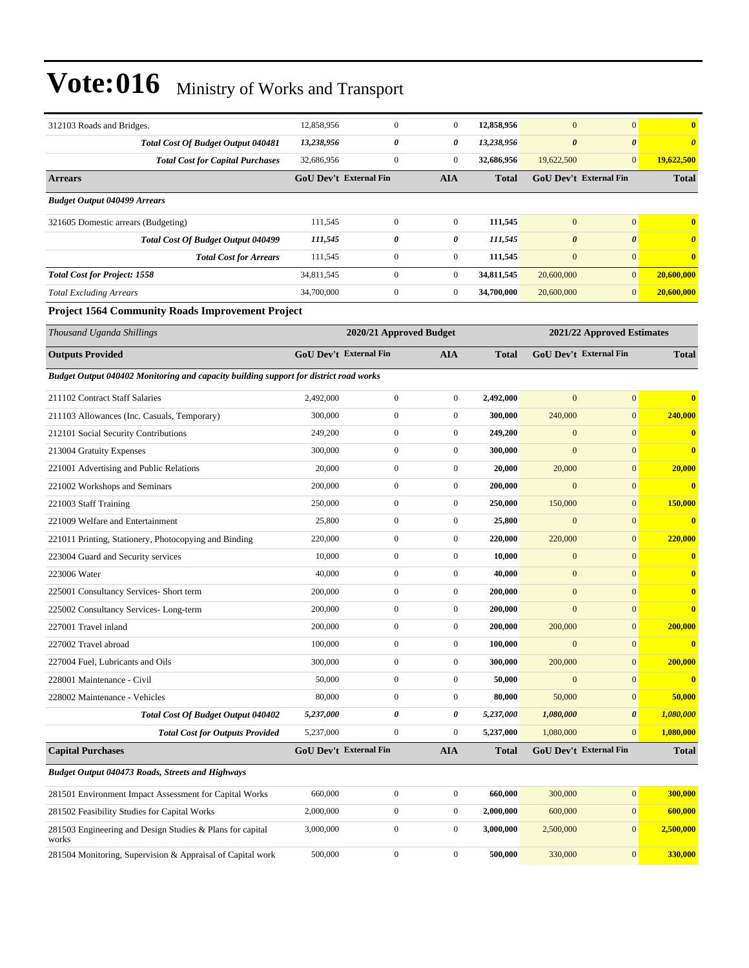| 312103 Roads and Bridges.                                                             | 12,858,956 | $\boldsymbol{0}$              |                  | $\boldsymbol{0}$ | 12,858,956   | $\mathbf{0}$          | $\mathbf{0}$                  | $\bf{0}$              |
|---------------------------------------------------------------------------------------|------------|-------------------------------|------------------|------------------|--------------|-----------------------|-------------------------------|-----------------------|
| Total Cost Of Budget Output 040481                                                    | 13,238,956 |                               | 0                | 0                | 13,238,956   | $\boldsymbol{\theta}$ | $\boldsymbol{\theta}$         | $\boldsymbol{\theta}$ |
| <b>Total Cost for Capital Purchases</b>                                               | 32,686,956 |                               | $\mathbf{0}$     | $\boldsymbol{0}$ | 32,686,956   | 19,622,500            | $\mathbf{0}$                  | 19,622,500            |
| <b>Arrears</b>                                                                        |            | <b>GoU Dev't External Fin</b> |                  | <b>AIA</b>       | Total        |                       | <b>GoU Dev't External Fin</b> | <b>Total</b>          |
| <b>Budget Output 040499 Arrears</b>                                                   |            |                               |                  |                  |              |                       |                               |                       |
| 321605 Domestic arrears (Budgeting)                                                   | 111,545    |                               | $\boldsymbol{0}$ | $\mathbf{0}$     | 111,545      | $\mathbf{0}$          | $\mathbf{0}$                  | $\bf{0}$              |
| <b>Total Cost Of Budget Output 040499</b>                                             | 111,545    |                               | 0                | 0                | 111,545      | $\boldsymbol{\theta}$ | $\boldsymbol{\theta}$         | O                     |
| <b>Total Cost for Arrears</b>                                                         | 111,545    |                               | $\boldsymbol{0}$ | $\boldsymbol{0}$ | 111,545      | $\mathbf{0}$          | $\mathbf{0}$                  | $\bf{0}$              |
| <b>Total Cost for Project: 1558</b>                                                   | 34,811,545 |                               | $\boldsymbol{0}$ | $\boldsymbol{0}$ | 34,811,545   | 20,600,000            | $\mathbf{0}$                  | 20,600,000            |
| <b>Total Excluding Arrears</b>                                                        | 34,700,000 |                               | $\boldsymbol{0}$ | $\mathbf{0}$     | 34,700,000   | 20,600,000            | $\mathbf{0}$                  | 20,600,000            |
| <b>Project 1564 Community Roads Improvement Project</b>                               |            |                               |                  |                  |              |                       |                               |                       |
| Thousand Uganda Shillings                                                             |            | 2020/21 Approved Budget       |                  |                  |              |                       | 2021/22 Approved Estimates    |                       |
| <b>Outputs Provided</b>                                                               |            | GoU Dev't External Fin        |                  | <b>AIA</b>       | <b>Total</b> |                       | <b>GoU Dev't External Fin</b> | <b>Total</b>          |
| Budget Output 040402 Monitoring and capacity building support for district road works |            |                               |                  |                  |              |                       |                               |                       |
| 211102 Contract Staff Salaries                                                        | 2,492,000  |                               | $\mathbf{0}$     | $\boldsymbol{0}$ | 2,492,000    | $\mathbf{0}$          | $\mathbf{0}$                  | 0                     |
| 211103 Allowances (Inc. Casuals, Temporary)                                           | 300,000    |                               | $\boldsymbol{0}$ | $\boldsymbol{0}$ | 300,000      | 240,000               | $\mathbf{0}$                  | 240,000               |
| 212101 Social Security Contributions                                                  | 249,200    |                               | $\boldsymbol{0}$ | $\boldsymbol{0}$ | 249,200      | $\mathbf{0}$          | $\mathbf{0}$                  | $\bf{0}$              |
| 213004 Gratuity Expenses                                                              | 300,000    |                               | $\mathbf{0}$     | $\boldsymbol{0}$ | 300,000      | $\mathbf{0}$          | $\mathbf{0}$                  | $\bf{0}$              |
| 221001 Advertising and Public Relations                                               | 20,000     |                               | $\boldsymbol{0}$ | $\overline{0}$   | 20,000       | 20,000                | $\mathbf{0}$                  | 20,000                |
| 221002 Workshops and Seminars                                                         | 200,000    |                               | $\boldsymbol{0}$ | $\boldsymbol{0}$ | 200,000      | $\mathbf{0}$          | $\mathbf{0}$                  | $\bf{0}$              |
| 221003 Staff Training                                                                 | 250,000    |                               | $\boldsymbol{0}$ | $\boldsymbol{0}$ | 250,000      | 150,000               | $\mathbf{0}$                  | 150,000               |
| 221009 Welfare and Entertainment                                                      | 25,800     |                               | $\boldsymbol{0}$ | $\boldsymbol{0}$ | 25,800       | $\mathbf{0}$          | $\mathbf{0}$                  | $\bf{0}$              |
| 221011 Printing, Stationery, Photocopying and Binding                                 | 220,000    |                               | $\mathbf{0}$     | $\boldsymbol{0}$ | 220,000      | 220,000               | $\mathbf{0}$                  | 220,000               |
| 223004 Guard and Security services                                                    | 10,000     |                               | $\boldsymbol{0}$ | $\boldsymbol{0}$ | 10,000       | $\mathbf{0}$          | $\mathbf{0}$                  | $\bf{0}$              |
| 223006 Water                                                                          | 40,000     |                               | $\boldsymbol{0}$ | $\boldsymbol{0}$ | 40,000       | $\mathbf{0}$          | $\mathbf{0}$                  | $\bf{0}$              |
| 225001 Consultancy Services- Short term                                               | 200,000    |                               | $\boldsymbol{0}$ | $\boldsymbol{0}$ | 200,000      | $\mathbf{0}$          | $\mathbf{0}$                  | $\mathbf{0}$          |
| 225002 Consultancy Services-Long-term                                                 | 200,000    |                               | $\boldsymbol{0}$ | $\mathbf{0}$     | 200,000      | $\mathbf{0}$          | $\mathbf{0}$                  | $\bf{0}$              |
| 227001 Travel inland                                                                  | 200,000    |                               | $\mathbf{0}$     | $\boldsymbol{0}$ | 200,000      | 200,000               | $\mathbf{0}$                  | 200,000               |
| 227002 Travel abroad                                                                  | 100,000    |                               | $\mathbf{0}$     | $\boldsymbol{0}$ | 100,000      | $\mathbf{0}$          | $\mathbf{0}$                  | $\bf{0}$              |
| 227004 Fuel, Lubricants and Oils                                                      | 300,000    |                               | $\boldsymbol{0}$ | $\boldsymbol{0}$ | 300,000      | 200,000               | $\boldsymbol{0}$              | 200,000               |
| 228001 Maintenance - Civil                                                            | 50,000     |                               | $\boldsymbol{0}$ | $\boldsymbol{0}$ | 50,000       | $\boldsymbol{0}$      | $\mathbf{0}$                  | $\bf{0}$              |
| 228002 Maintenance - Vehicles                                                         | 80,000     |                               | $\boldsymbol{0}$ | $\boldsymbol{0}$ | 80,000       | 50,000                | $\boldsymbol{0}$              | 50,000                |
| Total Cost Of Budget Output 040402                                                    | 5,237,000  |                               | $\pmb{\theta}$   | 0                | 5,237,000    | 1,080,000             | $\boldsymbol{\theta}$         | 1,080,000             |
| <b>Total Cost for Outputs Provided</b>                                                | 5,237,000  |                               | $\boldsymbol{0}$ | $\boldsymbol{0}$ | 5,237,000    | 1,080,000             | $\mathbf{0}$                  | 1,080,000             |
| <b>Capital Purchases</b>                                                              |            | <b>GoU Dev't External Fin</b> |                  | <b>AIA</b>       | <b>Total</b> |                       | GoU Dev't External Fin        | <b>Total</b>          |
| <b>Budget Output 040473 Roads, Streets and Highways</b>                               |            |                               |                  |                  |              |                       |                               |                       |
| 281501 Environment Impact Assessment for Capital Works                                | 660,000    |                               | $\boldsymbol{0}$ | $\boldsymbol{0}$ | 660,000      | 300,000               | $\boldsymbol{0}$              | 300,000               |
| 281502 Feasibility Studies for Capital Works                                          | 2,000,000  |                               | $\boldsymbol{0}$ | $\boldsymbol{0}$ | 2,000,000    | 600,000               | $\mathbf{0}$                  | 600,000               |
| 281503 Engineering and Design Studies & Plans for capital<br>works                    | 3,000,000  |                               | $\boldsymbol{0}$ | $\boldsymbol{0}$ | 3,000,000    | 2,500,000             | $\mathbf{0}$                  | 2,500,000             |
| 281504 Monitoring, Supervision & Appraisal of Capital work                            | 500,000    |                               | $\overline{0}$   | $\boldsymbol{0}$ | 500,000      | 330,000               | 0                             | 330,000               |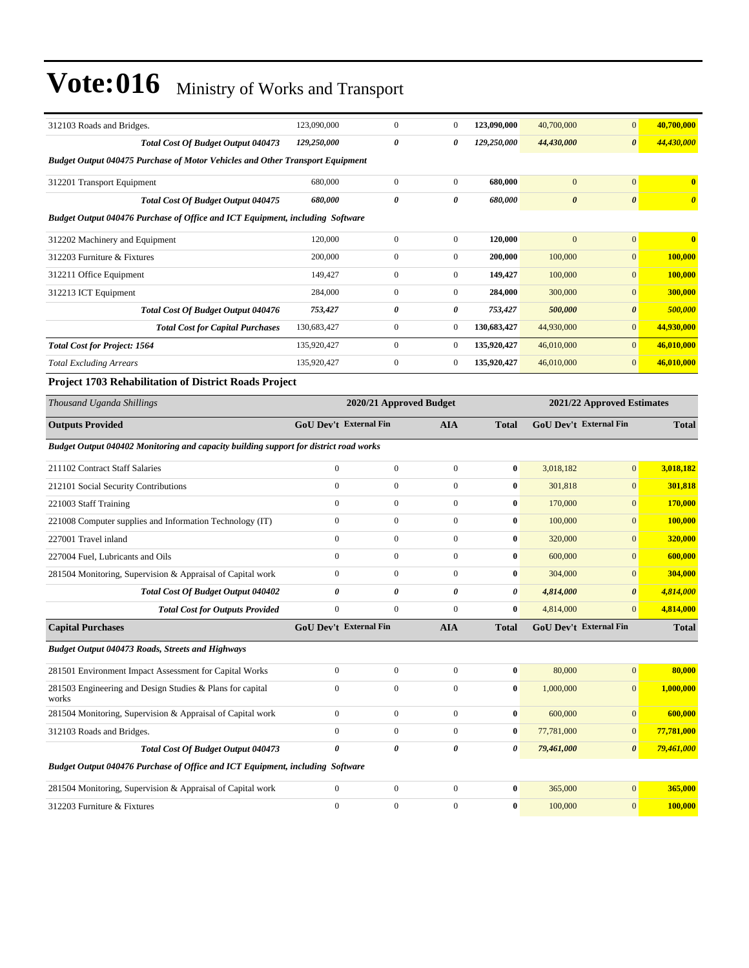| 312103 Roads and Bridges.                                                             | 123,090,000                   | $\boldsymbol{0}$        | 0                | 123,090,000      | 40,700,000     | $\mathbf{0}$                  | 40,700,000            |
|---------------------------------------------------------------------------------------|-------------------------------|-------------------------|------------------|------------------|----------------|-------------------------------|-----------------------|
| Total Cost Of Budget Output 040473                                                    | 129,250,000                   | $\pmb{\theta}$          | 0                | 129,250,000      | 44,430,000     | $\boldsymbol{\theta}$         | 44,430,000            |
| <b>Budget Output 040475 Purchase of Motor Vehicles and Other Transport Equipment</b>  |                               |                         |                  |                  |                |                               |                       |
| 312201 Transport Equipment                                                            | 680,000                       | $\boldsymbol{0}$        | $\boldsymbol{0}$ | 680,000          | $\mathbf{0}$   | $\mathbf{0}$                  | $\bf{0}$              |
| <b>Total Cost Of Budget Output 040475</b>                                             | 680,000                       | 0                       | 0                | 680,000          | $\pmb{\theta}$ | $\boldsymbol{\theta}$         | $\boldsymbol{\theta}$ |
| Budget Output 040476 Purchase of Office and ICT Equipment, including Software         |                               |                         |                  |                  |                |                               |                       |
| 312202 Machinery and Equipment                                                        | 120,000                       | $\boldsymbol{0}$        | $\boldsymbol{0}$ | 120,000          | $\mathbf{0}$   | $\mathbf{0}$                  | $\bf{0}$              |
| 312203 Furniture & Fixtures                                                           | 200,000                       | $\boldsymbol{0}$        | $\boldsymbol{0}$ | 200,000          | 100,000        | $\mathbf{0}$                  | 100,000               |
| 312211 Office Equipment                                                               | 149,427                       | $\boldsymbol{0}$        | $\boldsymbol{0}$ | 149,427          | 100,000        | $\mathbf{0}$                  | 100,000               |
| 312213 ICT Equipment                                                                  | 284,000                       | $\boldsymbol{0}$        | $\boldsymbol{0}$ | 284,000          | 300,000        | $\mathbf{0}$                  | 300,000               |
| Total Cost Of Budget Output 040476                                                    | 753,427                       | 0                       | 0                | 753,427          | 500,000        | $\boldsymbol{\theta}$         | 500,000               |
| <b>Total Cost for Capital Purchases</b>                                               | 130,683,427                   | $\boldsymbol{0}$        | $\boldsymbol{0}$ | 130,683,427      | 44,930,000     | $\mathbf{0}$                  | 44,930,000            |
| <b>Total Cost for Project: 1564</b>                                                   | 135,920,427                   | $\boldsymbol{0}$        | $\boldsymbol{0}$ | 135,920,427      | 46,010,000     | $\mathbf{0}$                  | 46,010,000            |
| <b>Total Excluding Arrears</b>                                                        | 135,920,427                   | $\boldsymbol{0}$        | $\boldsymbol{0}$ | 135,920,427      | 46,010,000     | $\mathbf{0}$                  | 46,010,000            |
| <b>Project 1703 Rehabilitation of District Roads Project</b>                          |                               |                         |                  |                  |                |                               |                       |
| Thousand Uganda Shillings                                                             |                               | 2020/21 Approved Budget |                  |                  |                | 2021/22 Approved Estimates    |                       |
| <b>Outputs Provided</b>                                                               | <b>GoU Dev't External Fin</b> |                         | <b>AIA</b>       | <b>Total</b>     |                | <b>GoU Dev't External Fin</b> | <b>Total</b>          |
| Budget Output 040402 Monitoring and capacity building support for district road works |                               |                         |                  |                  |                |                               |                       |
| 211102 Contract Staff Salaries                                                        | $\boldsymbol{0}$              | $\boldsymbol{0}$        | $\boldsymbol{0}$ | $\bf{0}$         | 3,018,182      | $\mathbf{0}$                  | 3,018,182             |
| 212101 Social Security Contributions                                                  | $\mathbf{0}$                  | $\mathbf{0}$            | $\boldsymbol{0}$ | $\bf{0}$         | 301,818        | $\mathbf{0}$                  | 301,818               |
| 221003 Staff Training                                                                 | $\mathbf{0}$                  | $\mathbf{0}$            | $\boldsymbol{0}$ | $\bf{0}$         | 170,000        | $\mathbf{0}$                  | 170,000               |
| 221008 Computer supplies and Information Technology (IT)                              | $\boldsymbol{0}$              | $\boldsymbol{0}$        | $\boldsymbol{0}$ | $\bf{0}$         | 100,000        | $\mathbf{0}$                  | <b>100,000</b>        |
| 227001 Travel inland                                                                  | $\boldsymbol{0}$              | $\boldsymbol{0}$        | $\boldsymbol{0}$ | $\bf{0}$         | 320,000        | $\mathbf{0}$                  | 320,000               |
| 227004 Fuel, Lubricants and Oils                                                      | $\mathbf{0}$                  | $\boldsymbol{0}$        | $\boldsymbol{0}$ | $\bf{0}$         | 600,000        | $\mathbf{0}$                  | 600,000               |
| 281504 Monitoring, Supervision & Appraisal of Capital work                            | $\boldsymbol{0}$              | $\mathbf{0}$            | $\overline{0}$   | $\bf{0}$         | 304,000        | $\mathbf{0}$                  | 304,000               |
| Total Cost Of Budget Output 040402                                                    | 0                             | 0                       | 0                | 0                | 4,814,000      | $\boldsymbol{\theta}$         | 4,814,000             |
| <b>Total Cost for Outputs Provided</b>                                                | $\boldsymbol{0}$              | $\mathbf{0}$            | $\boldsymbol{0}$ | $\bf{0}$         | 4,814,000      | $\mathbf{0}$                  | 4,814,000             |
| <b>Capital Purchases</b>                                                              | <b>GoU Dev't External Fin</b> |                         | AIA              | <b>Total</b>     |                | <b>GoU Dev't External Fin</b> | <b>Total</b>          |
| <b>Budget Output 040473 Roads, Streets and Highways</b>                               |                               |                         |                  |                  |                |                               |                       |
| 281501 Environment Impact Assessment for Capital Works                                | $\boldsymbol{0}$              | $\boldsymbol{0}$        | $\boldsymbol{0}$ | $\pmb{0}$        | 80,000         | $\mathbf{0}$                  | 80,000                |
| 281503 Engineering and Design Studies & Plans for capital<br>works                    | $\boldsymbol{0}$              | $\boldsymbol{0}$        | $\overline{0}$   | $\bf{0}$         | 1,000,000      | $\mathbf{0}$                  | 1,000,000             |
| 281504 Monitoring, Supervision & Appraisal of Capital work                            | $\boldsymbol{0}$              | $\boldsymbol{0}$        | $\boldsymbol{0}$ | $\bf{0}$         | 600,000        | $\mathbf{0}$                  | 600,000               |
| 312103 Roads and Bridges.                                                             | $\boldsymbol{0}$              | $\boldsymbol{0}$        | $\boldsymbol{0}$ | $\boldsymbol{0}$ | 77,781,000     | $\mathbf{0}$                  | 77,781,000            |
| Total Cost Of Budget Output 040473                                                    | $\pmb{\theta}$                | 0                       | 0                | 0                | 79,461,000     | $\boldsymbol{\theta}$         | 79,461,000            |
| Budget Output 040476 Purchase of Office and ICT Equipment, including Software         |                               |                         |                  |                  |                |                               |                       |
| 281504 Monitoring, Supervision & Appraisal of Capital work                            | $\boldsymbol{0}$              | $\boldsymbol{0}$        | $\boldsymbol{0}$ | $\bf{0}$         | 365,000        | 0                             | 365,000               |
|                                                                                       |                               |                         |                  |                  |                |                               |                       |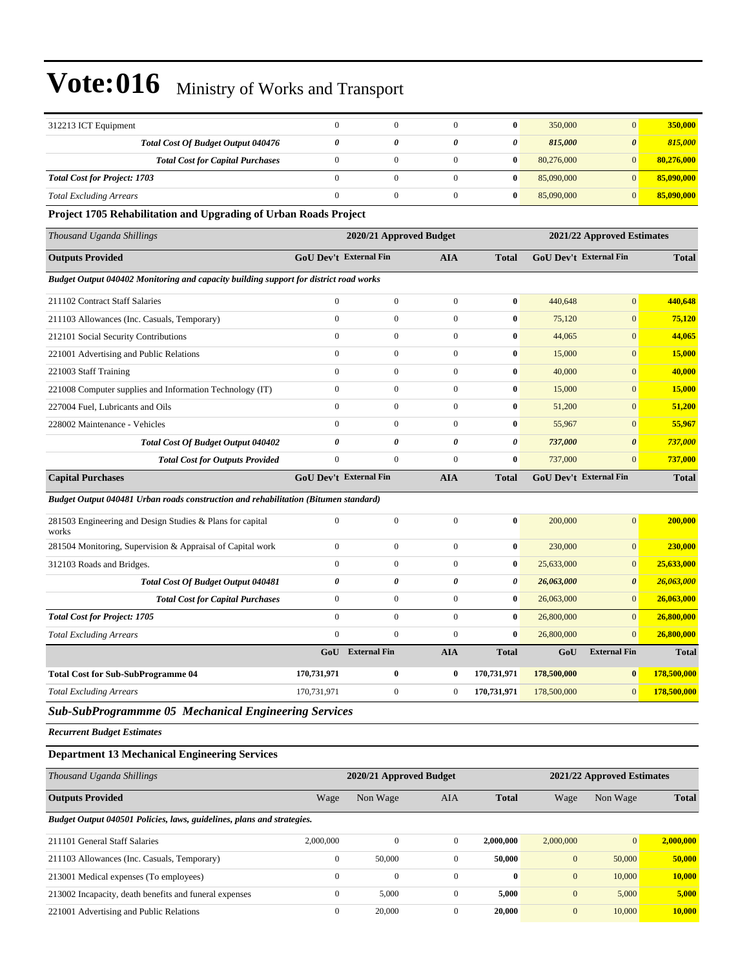| 312213 ICT Equipment                                                                  | $\mathbf{0}$           | $\mathbf{0}$            | $\boldsymbol{0}$      | $\bf{0}$              | 350,000                | $\mathbf{0}$               | 350,000       |
|---------------------------------------------------------------------------------------|------------------------|-------------------------|-----------------------|-----------------------|------------------------|----------------------------|---------------|
| Total Cost Of Budget Output 040476                                                    | 0                      | 0                       | $\boldsymbol{\theta}$ | $\boldsymbol{\theta}$ | 815,000                | $\boldsymbol{\theta}$      | 815,000       |
| <b>Total Cost for Capital Purchases</b>                                               | $\mathbf{0}$           | $\mathbf{0}$            | $\boldsymbol{0}$      | $\bf{0}$              | 80,276,000             | $\mathbf{0}$               | 80,276,000    |
| <b>Total Cost for Project: 1703</b>                                                   | $\mathbf{0}$           | $\boldsymbol{0}$        | $\mathbf{0}$          | $\bf{0}$              | 85,090,000             | $\mathbf{0}$               | 85,090,000    |
| <b>Total Excluding Arrears</b>                                                        | $\boldsymbol{0}$       | $\boldsymbol{0}$        | $\boldsymbol{0}$      | $\bf{0}$              | 85,090,000             | $\mathbf{0}$               | 85,090,000    |
| Project 1705 Rehabilitation and Upgrading of Urban Roads Project                      |                        |                         |                       |                       |                        |                            |               |
| Thousand Uganda Shillings                                                             |                        | 2020/21 Approved Budget |                       |                       |                        | 2021/22 Approved Estimates |               |
| <b>Outputs Provided</b>                                                               | GoU Dev't External Fin |                         | <b>AIA</b>            | <b>Total</b>          | GoU Dev't External Fin |                            | <b>Total</b>  |
| Budget Output 040402 Monitoring and capacity building support for district road works |                        |                         |                       |                       |                        |                            |               |
| 211102 Contract Staff Salaries                                                        | $\mathbf{0}$           | $\boldsymbol{0}$        | $\boldsymbol{0}$      | $\bf{0}$              | 440,648                | $\mathbf{0}$               | 440,648       |
| 211103 Allowances (Inc. Casuals, Temporary)                                           | $\mathbf{0}$           | $\boldsymbol{0}$        | $\mathbf{0}$          | $\bf{0}$              | 75,120                 | $\mathbf{0}$               | 75,120        |
| 212101 Social Security Contributions                                                  | $\mathbf{0}$           | $\mathbf{0}$            | $\boldsymbol{0}$      | $\bf{0}$              | 44,065                 | $\mathbf{0}$               | 44,065        |
| 221001 Advertising and Public Relations                                               | $\mathbf{0}$           | $\boldsymbol{0}$        | $\boldsymbol{0}$      | $\bf{0}$              | 15,000                 | $\mathbf{0}$               | 15,000        |
| 221003 Staff Training                                                                 | $\mathbf{0}$           | $\mathbf{0}$            | $\boldsymbol{0}$      | $\bf{0}$              | 40,000                 | $\mathbf{0}$               | 40,000        |
| 221008 Computer supplies and Information Technology (IT)                              | $\mathbf{0}$           | $\mathbf{0}$            | $\boldsymbol{0}$      | $\bf{0}$              | 15,000                 | $\mathbf{0}$               | 15,000        |
| 227004 Fuel, Lubricants and Oils                                                      | $\mathbf{0}$           | $\boldsymbol{0}$        | $\mathbf{0}$          | $\bf{0}$              | 51,200                 | $\mathbf{0}$               | 51,200        |
| 228002 Maintenance - Vehicles                                                         | $\mathbf{0}$           | $\mathbf{0}$            | $\mathbf{0}$          | $\bf{0}$              | 55,967                 | $\mathbf{0}$               | 55,967        |
| <b>Total Cost Of Budget Output 040402</b>                                             | 0                      | 0                       | $\boldsymbol{\theta}$ | 0                     | 737,000                | $\boldsymbol{\theta}$      | 737,000       |
| <b>Total Cost for Outputs Provided</b>                                                | $\boldsymbol{0}$       | $\boldsymbol{0}$        | $\boldsymbol{0}$      | $\bf{0}$              | 737,000                | $\mathbf{0}$               | 737,000       |
| <b>Capital Purchases</b>                                                              | GoU Dev't External Fin |                         | <b>AIA</b>            | <b>Total</b>          | GoU Dev't External Fin |                            | <b>Total</b>  |
|                                                                                       |                        |                         |                       |                       |                        |                            |               |
| Budget Output 040481 Urban roads construction and rehabilitation (Bitumen standard)   |                        |                         |                       |                       |                        |                            |               |
| 281503 Engineering and Design Studies & Plans for capital<br>works                    | $\boldsymbol{0}$       | $\boldsymbol{0}$        | $\boldsymbol{0}$      | $\bf{0}$              | 200,000                | $\mathbf{0}$               | 200,000       |
| 281504 Monitoring, Supervision & Appraisal of Capital work                            | $\boldsymbol{0}$       | $\boldsymbol{0}$        | $\boldsymbol{0}$      | $\bf{0}$              | 230,000                | $\mathbf{0}$               | 230,000       |
| 312103 Roads and Bridges.                                                             | $\boldsymbol{0}$       | $\boldsymbol{0}$        | $\boldsymbol{0}$      | $\bf{0}$              | 25,633,000             | $\mathbf{0}$               | 25,633,000    |
| <b>Total Cost Of Budget Output 040481</b>                                             | $\pmb{\theta}$         | 0                       | $\boldsymbol{\theta}$ | 0                     | 26,063,000             | $\boldsymbol{\theta}$      | 26,063,000    |
| <b>Total Cost for Capital Purchases</b>                                               | $\mathbf{0}$           | $\boldsymbol{0}$        | $\boldsymbol{0}$      | $\bf{0}$              | 26,063,000             | $\mathbf{0}$               | 26,063,000    |
| <b>Total Cost for Project: 1705</b>                                                   | $\mathbf{0}$           | $\mathbf{0}$            | $\boldsymbol{0}$      | $\bf{0}$              | 26,800,000             | $\mathbf{0}$               | 26,800,000    |
| <b>Total Excluding Arrears</b>                                                        | $\mathbf{0}$           | $\boldsymbol{0}$        | $\boldsymbol{0}$      | $\bf{0}$              | 26,800,000             | $\mathbf{0}$               | 26,800,000    |
|                                                                                       | GoU                    | <b>External Fin</b>     | <b>AIA</b>            | <b>Total</b>          | GoU                    | <b>External Fin</b>        | <b>Total</b>  |
| <b>Total Cost for Sub-SubProgramme 04</b>                                             | 170,731,971            | $\bf{0}$                | $\bf{0}$              | 170,731,971           | 178,500,000            | $\bf{0}$                   | 178,500,000   |
| <b>Total Excluding Arrears</b>                                                        | 170,731,971            | $\boldsymbol{0}$        | $\boldsymbol{0}$      | 170,731,971           | 178,500,000            | $\mathbf{0}$               | 178,500,000   |
| <b>Sub-SubProgrammme 05 Mechanical Engineering Services</b>                           |                        |                         |                       |                       |                        |                            |               |
| <b>Recurrent Budget Estimates</b>                                                     |                        |                         |                       |                       |                        |                            |               |
| <b>Department 13 Mechanical Engineering Services</b>                                  |                        |                         |                       |                       |                        |                            |               |
| Thousand Uganda Shillings                                                             |                        | 2020/21 Approved Budget |                       |                       |                        | 2021/22 Approved Estimates |               |
| <b>Outputs Provided</b>                                                               | Wage                   | Non Wage                | AIA                   | <b>Total</b>          | Wage                   | Non Wage                   | Total         |
| Budget Output 040501 Policies, laws, guidelines, plans and strategies.                |                        |                         |                       |                       |                        |                            |               |
| 211101 General Staff Salaries                                                         | 2,000,000              | $\boldsymbol{0}$        | $\mathbf{0}$          | 2,000,000             | 2,000,000              | $\mathbf{0}$               | 2,000,000     |
| 211103 Allowances (Inc. Casuals, Temporary)                                           | $\boldsymbol{0}$       | 50,000                  | $\mathbf{0}$          | 50,000                | $\mathbf{0}$           | 50,000                     | 50,000        |
| 213001 Medical expenses (To employees)                                                | $\boldsymbol{0}$       | $\boldsymbol{0}$        | $\boldsymbol{0}$      | $\bf{0}$              | $\mathbf{0}$           | 10,000                     | <b>10,000</b> |
| 213002 Incapacity, death benefits and funeral expenses                                | $\boldsymbol{0}$       | 5,000                   | $\mathbf{0}$          | 5,000                 | $\mathbf{0}$           | 5,000                      | 5,000         |
| 221001 Advertising and Public Relations                                               | $\boldsymbol{0}$       | 20,000                  | $\boldsymbol{0}$      | 20,000                | $\mathbf{0}$           | 10,000                     | 10,000        |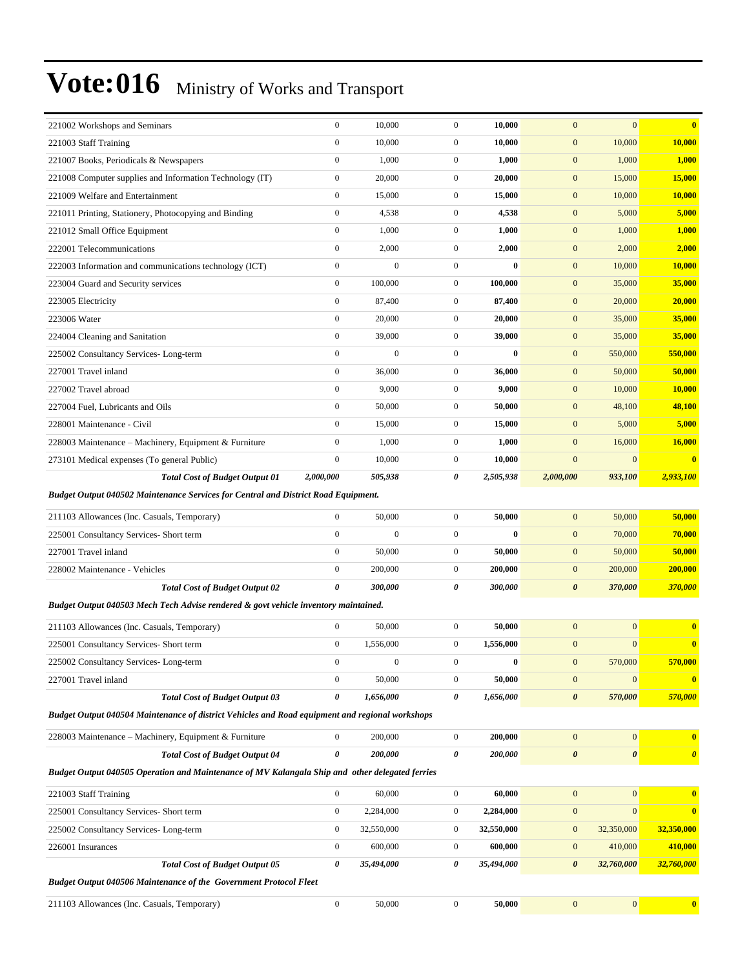| 221002 Workshops and Seminars                                                                   | $\boldsymbol{0}$ | 10,000           | $\mathbf{0}$     | 10,000     | $\mathbf{0}$          | $\mathbf{0}$          | $\bf{0}$              |
|-------------------------------------------------------------------------------------------------|------------------|------------------|------------------|------------|-----------------------|-----------------------|-----------------------|
| 221003 Staff Training                                                                           | $\boldsymbol{0}$ | 10,000           | $\mathbf{0}$     | 10,000     | $\boldsymbol{0}$      | 10,000                | 10,000                |
| 221007 Books, Periodicals & Newspapers                                                          | $\boldsymbol{0}$ | 1,000            | $\mathbf{0}$     | 1,000      | $\boldsymbol{0}$      | 1,000                 | 1,000                 |
| 221008 Computer supplies and Information Technology (IT)                                        | $\boldsymbol{0}$ | 20,000           | $\mathbf{0}$     | 20,000     | $\boldsymbol{0}$      | 15,000                | 15,000                |
| 221009 Welfare and Entertainment                                                                | $\boldsymbol{0}$ | 15,000           | $\mathbf{0}$     | 15,000     | $\mathbf{0}$          | 10,000                | 10,000                |
| 221011 Printing, Stationery, Photocopying and Binding                                           | $\boldsymbol{0}$ | 4,538            | $\mathbf{0}$     | 4,538      | $\mathbf{0}$          | 5,000                 | 5,000                 |
| 221012 Small Office Equipment                                                                   | $\boldsymbol{0}$ | 1,000            | $\mathbf{0}$     | 1,000      | $\boldsymbol{0}$      | 1,000                 | 1,000                 |
| 222001 Telecommunications                                                                       | $\boldsymbol{0}$ | 2,000            | $\mathbf{0}$     | 2,000      | $\mathbf{0}$          | 2,000                 | 2,000                 |
| 222003 Information and communications technology (ICT)                                          | $\boldsymbol{0}$ | $\overline{0}$   | $\boldsymbol{0}$ | $\bf{0}$   | $\mathbf{0}$          | 10,000                | 10,000                |
| 223004 Guard and Security services                                                              | $\mathbf{0}$     | 100,000          | $\mathbf{0}$     | 100,000    | $\mathbf{0}$          | 35,000                | 35,000                |
| 223005 Electricity                                                                              | $\boldsymbol{0}$ | 87,400           | $\mathbf{0}$     | 87,400     | $\mathbf{0}$          | 20,000                | 20,000                |
| 223006 Water                                                                                    | $\boldsymbol{0}$ | 20,000           | $\mathbf{0}$     | 20,000     | $\boldsymbol{0}$      | 35,000                | 35,000                |
| 224004 Cleaning and Sanitation                                                                  | $\boldsymbol{0}$ | 39,000           | $\mathbf{0}$     | 39,000     | $\boldsymbol{0}$      | 35,000                | 35,000                |
| 225002 Consultancy Services-Long-term                                                           | $\mathbf{0}$     | $\boldsymbol{0}$ | $\boldsymbol{0}$ | $\bf{0}$   | $\mathbf{0}$          | 550,000               | 550,000               |
| 227001 Travel inland                                                                            | $\mathbf{0}$     | 36,000           | $\mathbf{0}$     | 36,000     | $\mathbf{0}$          | 50,000                | 50,000                |
| 227002 Travel abroad                                                                            | $\boldsymbol{0}$ | 9,000            | $\mathbf{0}$     | 9,000      | $\mathbf{0}$          | 10,000                | 10,000                |
| 227004 Fuel, Lubricants and Oils                                                                | $\mathbf{0}$     | 50,000           | $\mathbf{0}$     | 50,000     | $\boldsymbol{0}$      | 48,100                | 48,100                |
| 228001 Maintenance - Civil                                                                      | $\boldsymbol{0}$ | 15,000           | $\mathbf{0}$     | 15,000     | $\mathbf{0}$          | 5,000                 | 5,000                 |
| 228003 Maintenance - Machinery, Equipment & Furniture                                           | $\mathbf{0}$     | 1,000            | $\mathbf{0}$     | 1,000      | $\mathbf{0}$          | 16,000                | 16,000                |
| 273101 Medical expenses (To general Public)                                                     | $\mathbf{0}$     | 10,000           | $\mathbf{0}$     | 10,000     | $\mathbf{0}$          | $\mathbf{0}$          | $\mathbf{0}$          |
| <b>Total Cost of Budget Output 01</b>                                                           | 2,000,000        | 505,938          | 0                | 2,505,938  | 2,000,000             | 933,100               | 2,933,100             |
| <b>Budget Output 040502 Maintenance Services for Central and District Road Equipment.</b>       |                  |                  |                  |            |                       |                       |                       |
| 211103 Allowances (Inc. Casuals, Temporary)                                                     | $\overline{0}$   | 50,000           | $\mathbf{0}$     | 50,000     | $\mathbf{0}$          | 50,000                | 50,000                |
| 225001 Consultancy Services- Short term                                                         | $\mathbf{0}$     | $\overline{0}$   | $\mathbf{0}$     | 0          | $\mathbf{0}$          | 70,000                | 70,000                |
| 227001 Travel inland                                                                            | $\mathbf{0}$     | 50,000           | $\mathbf{0}$     | 50,000     | $\mathbf{0}$          | 50,000                | 50,000                |
| 228002 Maintenance - Vehicles                                                                   | $\boldsymbol{0}$ | 200,000          | $\mathbf{0}$     | 200,000    | $\mathbf{0}$          | 200,000               | 200,000               |
| <b>Total Cost of Budget Output 02</b>                                                           | 0                | 300,000          | 0                | 300,000    | $\boldsymbol{\theta}$ | 370,000               | 370,000               |
| Budget Output 040503 Mech Tech Advise rendered & govt vehicle inventory maintained.             |                  |                  |                  |            |                       |                       |                       |
| 211103 Allowances (Inc. Casuals, Temporary)                                                     | $\mathbf{0}$     | 50,000           | $\mathbf{0}$     | 50,000     | $\mathbf{0}$          | $\mathbf{0}$          | $\bf{0}$              |
| 225001 Consultancy Services- Short term                                                         | $\boldsymbol{0}$ | 1,556,000        | $\mathbf{0}$     | 1,556,000  | $\mathbf{0}$          | $\mathbf{0}$          | $\mathbf{0}$          |
| 225002 Consultancy Services-Long-term                                                           | $\boldsymbol{0}$ | $\Omega$         | $\overline{0}$   | $\bf{0}$   | $\mathbf{0}$          | 570,000               | 570,000               |
| 227001 Travel inland                                                                            | $\boldsymbol{0}$ | 50,000           | $\boldsymbol{0}$ | 50,000     | $\boldsymbol{0}$      | $\mathbf{0}$          | $\bf{0}$              |
| <b>Total Cost of Budget Output 03</b>                                                           | $\pmb{\theta}$   | 1,656,000        | 0                | 1,656,000  | $\boldsymbol{\theta}$ | 570,000               | 570,000               |
| Budget Output 040504 Maintenance of district Vehicles and Road equipment and regional workshops |                  |                  |                  |            |                       |                       |                       |
| 228003 Maintenance - Machinery, Equipment & Furniture                                           | $\boldsymbol{0}$ | 200,000          | $\boldsymbol{0}$ | 200,000    | $\boldsymbol{0}$      | $\boldsymbol{0}$      | $\bf{0}$              |
| <b>Total Cost of Budget Output 04</b>                                                           | $\pmb{\theta}$   | 200,000          | 0                | 200,000    | $\pmb{\theta}$        | $\boldsymbol{\theta}$ | $\boldsymbol{\theta}$ |
| Budget Output 040505 Operation and Maintenance of MV Kalangala Ship and other delegated ferries |                  |                  |                  |            |                       |                       |                       |
| 221003 Staff Training                                                                           | $\boldsymbol{0}$ | 60,000           | $\boldsymbol{0}$ | 60,000     | $\mathbf{0}$          | $\boldsymbol{0}$      | $\mathbf{0}$          |
| 225001 Consultancy Services- Short term                                                         | $\boldsymbol{0}$ | 2,284,000        | $\boldsymbol{0}$ | 2,284,000  | $\boldsymbol{0}$      | $\mathbf{0}$          | $\bf{0}$              |
| 225002 Consultancy Services-Long-term                                                           | $\boldsymbol{0}$ | 32,550,000       | $\boldsymbol{0}$ | 32,550,000 | $\boldsymbol{0}$      | 32,350,000            | 32,350,000            |
| 226001 Insurances                                                                               | $\boldsymbol{0}$ | 600,000          | $\boldsymbol{0}$ | 600,000    | $\boldsymbol{0}$      | 410,000               | 410,000               |
| <b>Total Cost of Budget Output 05</b>                                                           | $\pmb{\theta}$   | 35,494,000       | 0                | 35,494,000 | $\pmb{\theta}$        | 32,760,000            | 32,760,000            |
| <b>Budget Output 040506 Maintenance of the Government Protocol Fleet</b>                        |                  |                  |                  |            |                       |                       |                       |
| 211103 Allowances (Inc. Casuals, Temporary)                                                     | $\boldsymbol{0}$ | 50,000           | $\mathbf{0}$     | 50,000     | $\boldsymbol{0}$      | $\boldsymbol{0}$      | $\bf{0}$              |
|                                                                                                 |                  |                  |                  |            |                       |                       |                       |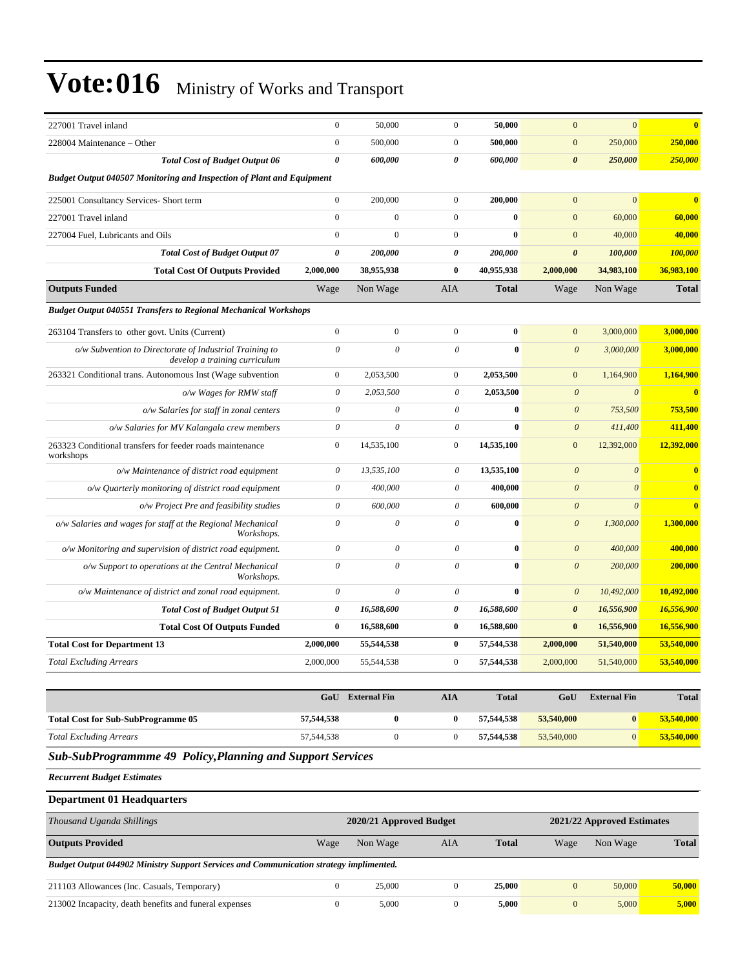| 227001 Travel inland                                                                     | $\boldsymbol{0}$      | 50,000         | $\boldsymbol{0}$ | 50,000       | $\mathbf{0}$          | $\mathbf{0}$          | $\overline{\mathbf{0}}$ |
|------------------------------------------------------------------------------------------|-----------------------|----------------|------------------|--------------|-----------------------|-----------------------|-------------------------|
| 228004 Maintenance - Other                                                               | $\boldsymbol{0}$      | 500,000        | $\boldsymbol{0}$ | 500,000      | $\mathbf{0}$          | 250,000               | 250,000                 |
| <b>Total Cost of Budget Output 06</b>                                                    | $\boldsymbol{\theta}$ | 600,000        | 0                | 600,000      | $\boldsymbol{\theta}$ | 250,000               | 250,000                 |
| <b>Budget Output 040507 Monitoring and Inspection of Plant and Equipment</b>             |                       |                |                  |              |                       |                       |                         |
| 225001 Consultancy Services- Short term                                                  | $\overline{0}$        | 200,000        | $\mathbf{0}$     | 200,000      | $\Omega$              | $\mathbf{0}$          | $\overline{\mathbf{0}}$ |
| 227001 Travel inland                                                                     | $\mathbf{0}$          | $\overline{0}$ | $\mathbf{0}$     | $\bf{0}$     | $\mathbf{0}$          | 60,000                | 60,000                  |
| 227004 Fuel. Lubricants and Oils                                                         | $\theta$              | $\theta$       | $\mathbf{0}$     | $\mathbf{0}$ | $\mathbf{0}$          | 40,000                | 40,000                  |
| <b>Total Cost of Budget Output 07</b>                                                    | $\boldsymbol{\theta}$ | 200,000        | 0                | 200,000      | $\boldsymbol{\theta}$ | 100,000               | 100,000                 |
| <b>Total Cost Of Outputs Provided</b>                                                    | 2,000,000             | 38,955,938     | $\bf{0}$         | 40,955,938   | 2,000,000             | 34,983,100            | 36,983,100              |
| <b>Outputs Funded</b>                                                                    | Wage                  | Non Wage       | AIA              | <b>Total</b> | Wage                  | Non Wage              | <b>Total</b>            |
| <b>Budget Output 040551 Transfers to Regional Mechanical Workshops</b>                   |                       |                |                  |              |                       |                       |                         |
| 263104 Transfers to other govt. Units (Current)                                          | $\mathbf{0}$          | $\overline{0}$ | $\mathbf{0}$     | $\bf{0}$     | $\mathbf{0}$          | 3,000,000             | 3,000,000               |
| o/w Subvention to Directorate of Industrial Training to<br>develop a training curriculum | $\theta$              | $\theta$       | $\theta$         | $\mathbf{0}$ | $\theta$              | 3,000,000             | 3,000,000               |
| 263321 Conditional trans. Autonomous Inst (Wage subvention                               | $\mathbf{0}$          | 2,053,500      | $\overline{0}$   | 2,053,500    | $\mathbf{0}$          | 1,164,900             | 1,164,900               |
| o/w Wages for RMW staff                                                                  | $\theta$              | 2,053,500      | $\theta$         | 2,053,500    | $\boldsymbol{\theta}$ | $\theta$              | $\overline{\mathbf{0}}$ |
| o/w Salaries for staff in zonal centers                                                  | $\theta$              | $\theta$       | $\theta$         | $\mathbf{0}$ | $\theta$              | 753,500               | 753,500                 |
| o/w Salaries for MV Kalangala crew members                                               | $\theta$              | $\theta$       | $\theta$         | $\mathbf{0}$ | $\theta$              | 411,400               | 411,400                 |
| 263323 Conditional transfers for feeder roads maintenance<br>workshops                   | $\mathbf{0}$          | 14,535,100     | $\mathbf{0}$     | 14,535,100   | $\mathbf{0}$          | 12,392,000            | 12,392,000              |
| o/w Maintenance of district road equipment                                               | 0                     | 13,535,100     | 0                | 13,535,100   | $\theta$              | $\boldsymbol{\theta}$ | $\overline{\mathbf{0}}$ |
| o/w Quarterly monitoring of district road equipment                                      | $\theta$              | 400,000        | $\theta$         | 400,000      | $\theta$              | $\theta$              | $\overline{\mathbf{0}}$ |
| o/w Project Pre and feasibility studies                                                  | $\theta$              | 600,000        | $\theta$         | 600,000      | $\boldsymbol{\theta}$ | $\theta$              | $\overline{\mathbf{0}}$ |
| o/w Salaries and wages for staff at the Regional Mechanical<br>Workshops.                | $\theta$              | $\theta$       | $\theta$         | $\theta$     | $\theta$              | 1,300,000             | 1,300,000               |
| o/w Monitoring and supervision of district road equipment.                               | $\theta$              | $\theta$       | $\theta$         | $\bf{0}$     | $\theta$              | 400,000               | 400,000                 |
| o/w Support to operations at the Central Mechanical<br>Workshops.                        | $\theta$              | $\theta$       | $\theta$         | $\theta$     | $\boldsymbol{\theta}$ | 200,000               | 200,000                 |
| o/w Maintenance of district and zonal road equipment.                                    | $\theta$              | $\theta$       | $\theta$         | $\mathbf{0}$ | $\theta$              | 10,492,000            | 10,492,000              |
| <b>Total Cost of Budget Output 51</b>                                                    | $\boldsymbol{\theta}$ | 16,588,600     | 0                | 16,588,600   | $\boldsymbol{\theta}$ | 16,556,900            | 16,556,900              |
| <b>Total Cost Of Outputs Funded</b>                                                      | $\bf{0}$              | 16,588,600     | $\bf{0}$         | 16,588,600   | $\bf{0}$              | 16,556,900            | 16,556,900              |
| <b>Total Cost for Department 13</b>                                                      | 2,000,000             | 55,544,538     | $\bf{0}$         | 57,544,538   | 2,000,000             | 51,540,000            | 53,540,000              |
| <b>Total Excluding Arrears</b>                                                           | 2,000,000             | 55,544,538     | $\overline{0}$   | 57,544,538   | 2,000,000             | 51,540,000            | 53,540,000              |

|                                           | GoU               | <b>External Fin</b> | AIA | <b>Total</b> | GoU        | <b>External Fin</b> | <b>Total</b> |
|-------------------------------------------|-------------------|---------------------|-----|--------------|------------|---------------------|--------------|
| <b>Total Cost for Sub-SubProgramme 05</b> | ___<br>57,544,538 |                     |     | 57.544.538   | 53,540,000 | $\mathbf{0}$        | 53,540,000   |
| <b>Total Excluding Arrears</b>            | 57,544,538        |                     |     | 57.544.538   | 53,540,000 | $\overline{0}$      | 53,540,000   |

#### *Sub-SubProgrammme 49 Policy,Planning and Support Services*

*Recurrent Budget Estimates*

#### **Department 01 Headquarters**

| Thousand Uganda Shillings                                                              | 2020/21 Approved Budget |          |     | 2021/22 Approved Estimates |              |          |              |
|----------------------------------------------------------------------------------------|-------------------------|----------|-----|----------------------------|--------------|----------|--------------|
| <b>Outputs Provided</b>                                                                | Wage                    | Non Wage | AIA | <b>Total</b>               | Wage         | Non Wage | <b>Total</b> |
| Budget Output 044902 Ministry Support Services and Communication strategy implimented. |                         |          |     |                            |              |          |              |
| 211103 Allowances (Inc. Casuals, Temporary)                                            |                         | 25,000   |     | 25,000                     | $\mathbf{0}$ | 50,000   | 50,000       |
| 213002 Incapacity, death benefits and funeral expenses                                 |                         | 5,000    |     | 5,000                      | $\mathbf{0}$ | 5,000    | 5,000        |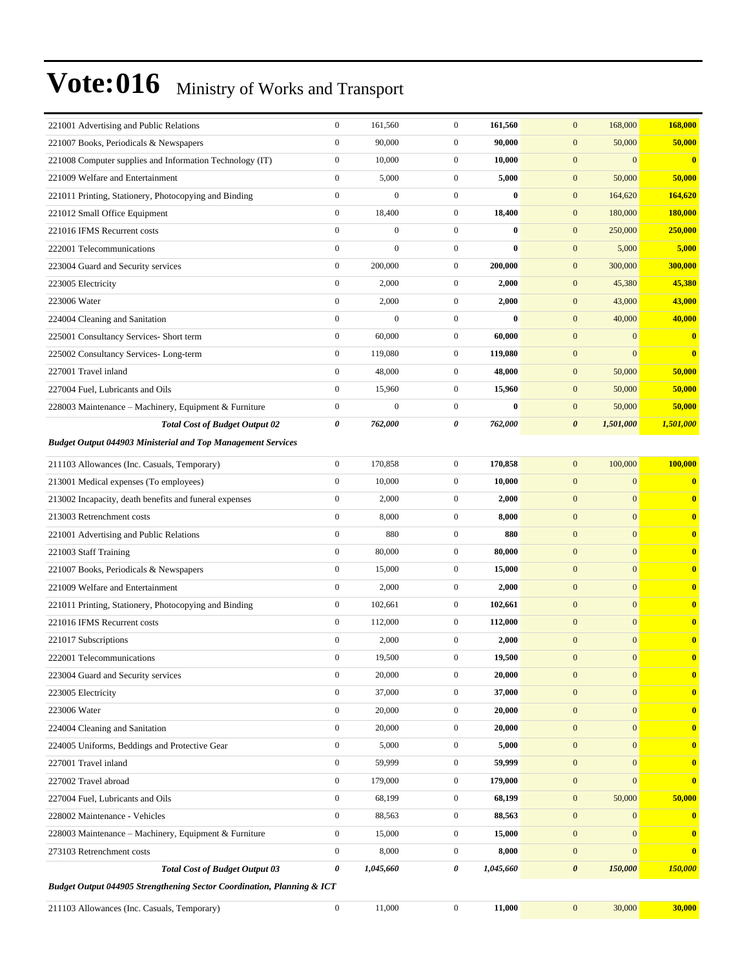| 221001 Advertising and Public Relations                                           | $\boldsymbol{0}$      | 161,560          | $\boldsymbol{0}$ | 161,560   | $\mathbf{0}$<br>168,000              | 168,000      |
|-----------------------------------------------------------------------------------|-----------------------|------------------|------------------|-----------|--------------------------------------|--------------|
| 221007 Books, Periodicals & Newspapers                                            | $\boldsymbol{0}$      | 90,000           | $\overline{0}$   | 90,000    | 50,000<br>$\mathbf{0}$               | 50,000       |
| 221008 Computer supplies and Information Technology (IT)                          | $\boldsymbol{0}$      | 10,000           | $\mathbf{0}$     | 10,000    | $\mathbf{0}$<br>$\mathbf{0}$         | $\bf{0}$     |
| 221009 Welfare and Entertainment                                                  | $\boldsymbol{0}$      | 5,000            | $\mathbf{0}$     | 5,000     | $\mathbf{0}$<br>50,000               | 50,000       |
| 221011 Printing, Stationery, Photocopying and Binding                             | $\boldsymbol{0}$      | $\boldsymbol{0}$ | $\overline{0}$   | $\bf{0}$  | $\mathbf{0}$<br>164,620              | 164,620      |
| 221012 Small Office Equipment                                                     | $\boldsymbol{0}$      | 18,400           | $\mathbf{0}$     | 18,400    | $\mathbf{0}$<br>180,000              | 180,000      |
| 221016 IFMS Recurrent costs                                                       | $\boldsymbol{0}$      | $\boldsymbol{0}$ | $\overline{0}$   | $\bf{0}$  | $\mathbf{0}$<br>250,000              | 250,000      |
| 222001 Telecommunications                                                         | $\mathbf{0}$          | $\boldsymbol{0}$ | $\overline{0}$   | $\bf{0}$  | $\mathbf{0}$<br>5,000                | 5,000        |
| 223004 Guard and Security services                                                | $\boldsymbol{0}$      | 200,000          | $\mathbf{0}$     | 200,000   | $\mathbf{0}$<br>300,000              | 300,000      |
| 223005 Electricity                                                                | $\boldsymbol{0}$      | 2,000            | $\overline{0}$   | 2,000     | $\mathbf{0}$<br>45,380               | 45,380       |
| 223006 Water                                                                      | $\boldsymbol{0}$      | 2,000            | $\mathbf{0}$     | 2,000     | $\mathbf{0}$<br>43,000               | 43,000       |
| 224004 Cleaning and Sanitation                                                    | $\boldsymbol{0}$      | $\overline{0}$   | $\overline{0}$   | $\bf{0}$  | 40,000<br>$\mathbf{0}$               | 40,000       |
| 225001 Consultancy Services- Short term                                           | $\boldsymbol{0}$      | 60,000           | $\mathbf{0}$     | 60,000    | $\mathbf{0}$<br>$\boldsymbol{0}$     | $\bf{0}$     |
| 225002 Consultancy Services-Long-term                                             | $\boldsymbol{0}$      | 119,080          | $\mathbf{0}$     | 119,080   | $\mathbf{0}$<br>$\mathbf{0}$         | $\bf{0}$     |
| 227001 Travel inland                                                              | $\boldsymbol{0}$      | 48,000           | $\overline{0}$   | 48,000    | $\mathbf{0}$<br>50,000               | 50,000       |
| 227004 Fuel, Lubricants and Oils                                                  | $\boldsymbol{0}$      | 15,960           | $\mathbf{0}$     | 15,960    | $\mathbf{0}$<br>50,000               | 50,000       |
| 228003 Maintenance - Machinery, Equipment & Furniture                             | $\boldsymbol{0}$      | $\overline{0}$   | $\overline{0}$   | $\bf{0}$  | $\mathbf{0}$<br>50,000               | 50,000       |
| <b>Total Cost of Budget Output 02</b>                                             | 0                     | 762,000          | 0                | 762,000   | $\boldsymbol{\theta}$<br>1,501,000   | 1,501,000    |
| <b>Budget Output 044903 Ministerial and Top Management Services</b>               |                       |                  |                  |           |                                      |              |
| 211103 Allowances (Inc. Casuals, Temporary)                                       | $\boldsymbol{0}$      | 170,858          | $\mathbf{0}$     | 170,858   | 100,000<br>$\mathbf{0}$              | 100,000      |
| 213001 Medical expenses (To employees)                                            | $\boldsymbol{0}$      | 10,000           | $\overline{0}$   | 10,000    | $\boldsymbol{0}$<br>$\boldsymbol{0}$ | $\bf{0}$     |
| 213002 Incapacity, death benefits and funeral expenses                            | $\boldsymbol{0}$      | 2,000            | $\mathbf{0}$     | 2,000     | $\mathbf{0}$<br>$\mathbf{0}$         | $\bf{0}$     |
| 213003 Retrenchment costs                                                         | $\boldsymbol{0}$      | 8,000            | $\overline{0}$   | 8,000     | $\mathbf{0}$<br>$\mathbf{0}$         | $\bf{0}$     |
| 221001 Advertising and Public Relations                                           | $\boldsymbol{0}$      | 880              | $\mathbf{0}$     | 880       | $\mathbf{0}$<br>$\mathbf{0}$         | $\bf{0}$     |
| 221003 Staff Training                                                             | $\boldsymbol{0}$      | 80,000           | $\mathbf{0}$     | 80,000    | $\mathbf{0}$<br>$\mathbf{0}$         | $\bf{0}$     |
| 221007 Books, Periodicals & Newspapers                                            | $\boldsymbol{0}$      | 15,000           | $\overline{0}$   | 15,000    | $\boldsymbol{0}$<br>$\mathbf{0}$     | $\bf{0}$     |
| 221009 Welfare and Entertainment                                                  | $\boldsymbol{0}$      | 2,000            | $\mathbf{0}$     | 2,000     | $\mathbf{0}$<br>$\mathbf{0}$         | $\bf{0}$     |
| 221011 Printing, Stationery, Photocopying and Binding                             | $\boldsymbol{0}$      | 102,661          | $\mathbf{0}$     | 102,661   | $\mathbf{0}$<br>$\mathbf{0}$         | $\bf{0}$     |
| 221016 IFMS Recurrent costs                                                       | $\boldsymbol{0}$      | 112,000          | $\mathbf{0}$     | 112,000   | $\mathbf{0}$<br>$\mathbf{0}$         | $\bf{0}$     |
| 221017 Subscriptions                                                              | $\boldsymbol{0}$      | 2,000            | $\mathbf{0}$     | 2,000     | $\mathbf{0}$<br>$\mathbf{0}$         | $\bf{0}$     |
| 222001 Telecommunications                                                         | $\boldsymbol{0}$      | 19,500           | $\overline{0}$   | 19,500    | $\mathbf{0}$<br>$\mathbf{0}$         | $\bf{0}$     |
| 223004 Guard and Security services                                                | $\boldsymbol{0}$      | 20,000           | $\overline{0}$   | 20,000    | $\mathbf{0}$<br>$\bf{0}$             | $\bf{0}$     |
| 223005 Electricity                                                                | $\boldsymbol{0}$      | 37,000           | $\overline{0}$   | 37,000    | $\mathbf{0}$<br>$\mathbf{0}$         | $\bf{0}$     |
| 223006 Water                                                                      | $\boldsymbol{0}$      | 20,000           | $\boldsymbol{0}$ | 20,000    | $\mathbf{0}$<br>$\mathbf{0}$         | $\mathbf{0}$ |
| 224004 Cleaning and Sanitation                                                    | $\boldsymbol{0}$      | 20,000           | $\mathbf{0}$     | 20,000    | $\mathbf{0}$<br>$\mathbf{0}$         | $\bf{0}$     |
| 224005 Uniforms, Beddings and Protective Gear                                     | $\boldsymbol{0}$      | 5,000            | $\boldsymbol{0}$ | 5,000     | $\boldsymbol{0}$<br>$\mathbf{0}$     | $\bf{0}$     |
| 227001 Travel inland                                                              | $\boldsymbol{0}$      | 59,999           | $\mathbf{0}$     | 59,999    | $\mathbf{0}$<br>$\mathbf{0}$         | $\bf{0}$     |
| 227002 Travel abroad                                                              | $\boldsymbol{0}$      | 179,000          | $\boldsymbol{0}$ | 179,000   | $\mathbf{0}$<br>$\mathbf{0}$         | $\bf{0}$     |
| 227004 Fuel, Lubricants and Oils                                                  | $\boldsymbol{0}$      | 68,199           | $\boldsymbol{0}$ | 68,199    | $\boldsymbol{0}$<br>50,000           | 50,000       |
| 228002 Maintenance - Vehicles                                                     | $\boldsymbol{0}$      | 88,563           | $\mathbf{0}$     | 88,563    | $\mathbf{0}$<br>$\mathbf{0}$         | $\bf{0}$     |
| 228003 Maintenance – Machinery, Equipment & Furniture                             | $\boldsymbol{0}$      | 15,000           | $\boldsymbol{0}$ | 15,000    | $\boldsymbol{0}$<br>$\mathbf{0}$     | $\bf{0}$     |
| 273103 Retrenchment costs                                                         | $\boldsymbol{0}$      | 8,000            | $\boldsymbol{0}$ | 8,000     | $\mathbf{0}$<br>$\mathbf{0}$         | $\bf{0}$     |
| <b>Total Cost of Budget Output 03</b>                                             | $\boldsymbol{\theta}$ | 1,045,660        | 0                | 1,045,660 | $\boldsymbol{\theta}$<br>150,000     | 150,000      |
| <b>Budget Output 044905 Strengthening Sector Coordination, Planning &amp; ICT</b> |                       |                  |                  |           |                                      |              |
| 211103 Allowances (Inc. Casuals, Temporary)                                       | $\boldsymbol{0}$      | 11,000           | $\boldsymbol{0}$ | 11,000    | $\mathbf{0}$<br>30,000               | 30,000       |
|                                                                                   |                       |                  |                  |           |                                      |              |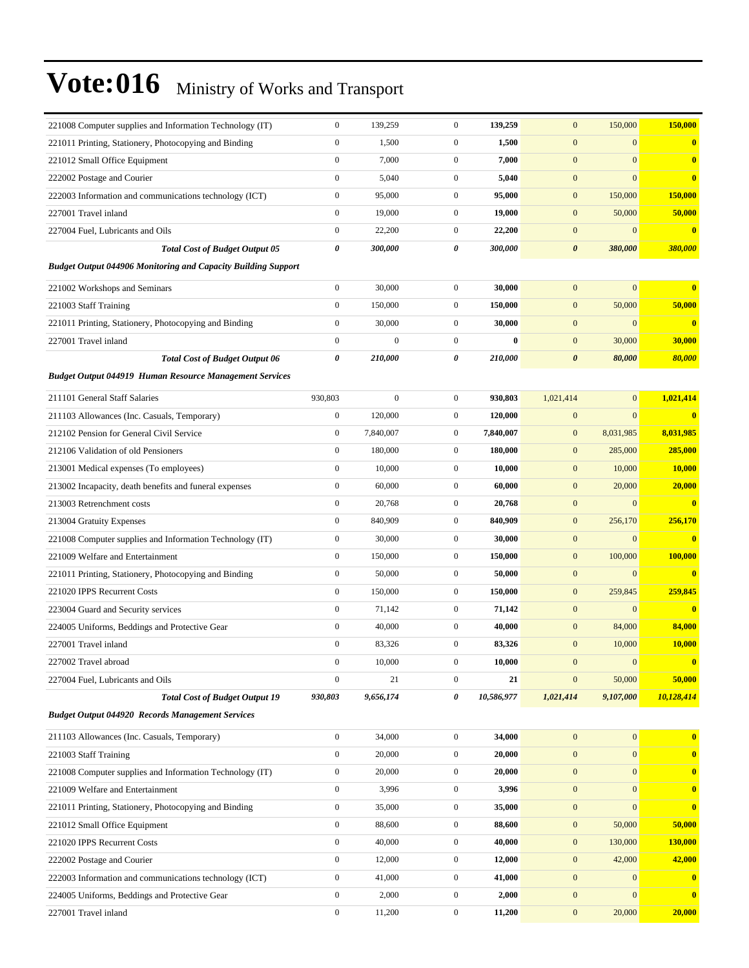| 221008 Computer supplies and Information Technology (IT)             | $\boldsymbol{0}$ | 139,259          | $\mathbf{0}$     | 139,259      | $\mathbf{0}$          | 150,000          | 150,000    |
|----------------------------------------------------------------------|------------------|------------------|------------------|--------------|-----------------------|------------------|------------|
| 221011 Printing, Stationery, Photocopying and Binding                | $\boldsymbol{0}$ | 1,500            | $\mathbf{0}$     | 1,500        | $\mathbf{0}$          | $\mathbf{0}$     | $\bf{0}$   |
| 221012 Small Office Equipment                                        | $\boldsymbol{0}$ | 7,000            | $\mathbf{0}$     | 7,000        | $\mathbf{0}$          | $\mathbf{0}$     | $\bf{0}$   |
| 222002 Postage and Courier                                           | $\boldsymbol{0}$ | 5,040            | $\boldsymbol{0}$ | 5,040        | $\mathbf{0}$          | $\mathbf{0}$     | $\bf{0}$   |
| 222003 Information and communications technology (ICT)               | $\boldsymbol{0}$ | 95,000           | $\mathbf{0}$     | 95,000       | $\mathbf{0}$          | 150,000          | 150,000    |
| 227001 Travel inland                                                 | $\boldsymbol{0}$ | 19,000           | $\mathbf{0}$     | 19,000       | $\boldsymbol{0}$      | 50,000           | 50,000     |
| 227004 Fuel, Lubricants and Oils                                     | $\boldsymbol{0}$ | 22,200           | $\mathbf{0}$     | 22,200       | $\boldsymbol{0}$      | $\mathbf{0}$     | $\bf{0}$   |
| <b>Total Cost of Budget Output 05</b>                                | 0                | 300,000          | 0                | 300,000      | $\boldsymbol{\theta}$ | 380,000          | 380,000    |
| <b>Budget Output 044906 Monitoring and Capacity Building Support</b> |                  |                  |                  |              |                       |                  |            |
| 221002 Workshops and Seminars                                        | $\overline{0}$   | 30,000           | $\mathbf{0}$     | 30,000       | $\mathbf{0}$          | $\mathbf{0}$     | $\bf{0}$   |
| 221003 Staff Training                                                | $\boldsymbol{0}$ | 150,000          | $\mathbf{0}$     | 150,000      | $\mathbf{0}$          | 50,000           | 50,000     |
| 221011 Printing, Stationery, Photocopying and Binding                | $\boldsymbol{0}$ | 30,000           | $\mathbf{0}$     | 30,000       | $\mathbf{0}$          | $\mathbf{0}$     | $\bf{0}$   |
| 227001 Travel inland                                                 | $\boldsymbol{0}$ | $\overline{0}$   | $\mathbf{0}$     | $\mathbf{0}$ | $\boldsymbol{0}$      | 30,000           | 30,000     |
| <b>Total Cost of Budget Output 06</b>                                | 0                | 210,000          | 0                | 210,000      | $\boldsymbol{\theta}$ | 80,000           | 80,000     |
| <b>Budget Output 044919 Human Resource Management Services</b>       |                  |                  |                  |              |                       |                  |            |
| 211101 General Staff Salaries                                        | 930,803          | $\boldsymbol{0}$ | $\boldsymbol{0}$ | 930,803      | 1,021,414             | $\mathbf{0}$     | 1,021,414  |
| 211103 Allowances (Inc. Casuals, Temporary)                          | $\boldsymbol{0}$ | 120,000          | $\mathbf{0}$     | 120,000      | $\mathbf{0}$          | $\mathbf{0}$     | $\bf{0}$   |
| 212102 Pension for General Civil Service                             | $\boldsymbol{0}$ | 7,840,007        | $\mathbf{0}$     | 7,840,007    | $\boldsymbol{0}$      | 8,031,985        | 8,031,985  |
| 212106 Validation of old Pensioners                                  | $\boldsymbol{0}$ | 180,000          | $\mathbf{0}$     | 180,000      | $\mathbf{0}$          | 285,000          | 285,000    |
| 213001 Medical expenses (To employees)                               | $\boldsymbol{0}$ | 10,000           | $\mathbf{0}$     | 10,000       | $\mathbf{0}$          | 10,000           | 10,000     |
| 213002 Incapacity, death benefits and funeral expenses               | $\boldsymbol{0}$ | 60,000           | $\mathbf{0}$     | 60,000       | $\boldsymbol{0}$      | 20,000           | 20,000     |
| 213003 Retrenchment costs                                            | $\boldsymbol{0}$ | 20,768           | $\mathbf{0}$     | 20,768       | $\boldsymbol{0}$      | $\mathbf{0}$     | $\bf{0}$   |
| 213004 Gratuity Expenses                                             | $\boldsymbol{0}$ | 840,909          | $\mathbf{0}$     | 840,909      | $\boldsymbol{0}$      | 256,170          | 256,170    |
| 221008 Computer supplies and Information Technology (IT)             | $\boldsymbol{0}$ | 30,000           | $\mathbf{0}$     | 30,000       | $\boldsymbol{0}$      | $\mathbf{0}$     | $\bf{0}$   |
| 221009 Welfare and Entertainment                                     | $\boldsymbol{0}$ | 150,000          | $\mathbf{0}$     | 150,000      | $\mathbf{0}$          | 100,000          | 100,000    |
| 221011 Printing, Stationery, Photocopying and Binding                | $\boldsymbol{0}$ | 50,000           | $\mathbf{0}$     | 50,000       | $\mathbf{0}$          | $\mathbf{0}$     | $\bf{0}$   |
| 221020 IPPS Recurrent Costs                                          | $\boldsymbol{0}$ | 150,000          | $\mathbf{0}$     | 150,000      | $\mathbf{0}$          | 259,845          | 259,845    |
| 223004 Guard and Security services                                   | $\boldsymbol{0}$ | 71,142           | $\mathbf{0}$     | 71,142       | $\mathbf{0}$          | $\mathbf{0}$     | $\bf{0}$   |
| 224005 Uniforms, Beddings and Protective Gear                        | $\boldsymbol{0}$ | 40,000           | $\mathbf{0}$     | 40,000       | $\boldsymbol{0}$      | 84,000           | 84,000     |
| 227001 Travel inland                                                 | $\boldsymbol{0}$ | 83,326           | $\boldsymbol{0}$ | 83,326       | $\mathbf{0}$          | 10,000           | 10,000     |
| 227002 Travel abroad                                                 | $\boldsymbol{0}$ | 10,000           | $\boldsymbol{0}$ | 10,000       | $\mathbf{0}$          | $\mathbf{0}$     |            |
| 227004 Fuel, Lubricants and Oils                                     | $\boldsymbol{0}$ | 21               | $\boldsymbol{0}$ | 21           | $\boldsymbol{0}$      | 50,000           | 50,000     |
| <b>Total Cost of Budget Output 19</b>                                | 930,803          | 9,656,174        | 0                | 10,586,977   | 1,021,414             | 9,107,000        | 10,128,414 |
| <b>Budget Output 044920 Records Management Services</b>              |                  |                  |                  |              |                       |                  |            |
| 211103 Allowances (Inc. Casuals, Temporary)                          | $\boldsymbol{0}$ | 34,000           | $\boldsymbol{0}$ | 34,000       | $\boldsymbol{0}$      | $\boldsymbol{0}$ | $\bf{0}$   |
| 221003 Staff Training                                                | $\boldsymbol{0}$ | 20,000           | $\boldsymbol{0}$ | 20,000       | $\mathbf{0}$          | $\mathbf{0}$     | $\bf{0}$   |
| 221008 Computer supplies and Information Technology (IT)             | $\boldsymbol{0}$ | 20,000           | $\boldsymbol{0}$ | 20,000       | $\mathbf{0}$          | $\mathbf{0}$     | $\bf{0}$   |
| 221009 Welfare and Entertainment                                     | $\boldsymbol{0}$ | 3,996            | $\boldsymbol{0}$ | 3,996        | $\boldsymbol{0}$      | $\mathbf{0}$     | $\bf{0}$   |
| 221011 Printing, Stationery, Photocopying and Binding                | $\boldsymbol{0}$ | 35,000           | $\boldsymbol{0}$ | 35,000       | $\boldsymbol{0}$      | $\mathbf{0}$     | $\bf{0}$   |
| 221012 Small Office Equipment                                        | $\boldsymbol{0}$ | 88,600           | $\boldsymbol{0}$ | 88,600       | $\boldsymbol{0}$      | 50,000           | 50,000     |
| 221020 IPPS Recurrent Costs                                          | $\boldsymbol{0}$ | 40,000           | $\boldsymbol{0}$ | 40,000       | $\boldsymbol{0}$      | 130,000          | 130,000    |
| 222002 Postage and Courier                                           | $\boldsymbol{0}$ | 12,000           | $\boldsymbol{0}$ | 12,000       | $\boldsymbol{0}$      | 42,000           | 42,000     |
| 222003 Information and communications technology (ICT)               | $\boldsymbol{0}$ | 41,000           | $\boldsymbol{0}$ | 41,000       | $\boldsymbol{0}$      | $\mathbf{0}$     | $\bf{0}$   |
| 224005 Uniforms, Beddings and Protective Gear                        | $\boldsymbol{0}$ | 2,000            | $\boldsymbol{0}$ | 2,000        | $\boldsymbol{0}$      | $\mathbf{0}$     | $\bf{0}$   |
| 227001 Travel inland                                                 | $\boldsymbol{0}$ | 11,200           | $\boldsymbol{0}$ | 11,200       | $\boldsymbol{0}$      | 20,000           | 20,000     |
|                                                                      |                  |                  |                  |              |                       |                  |            |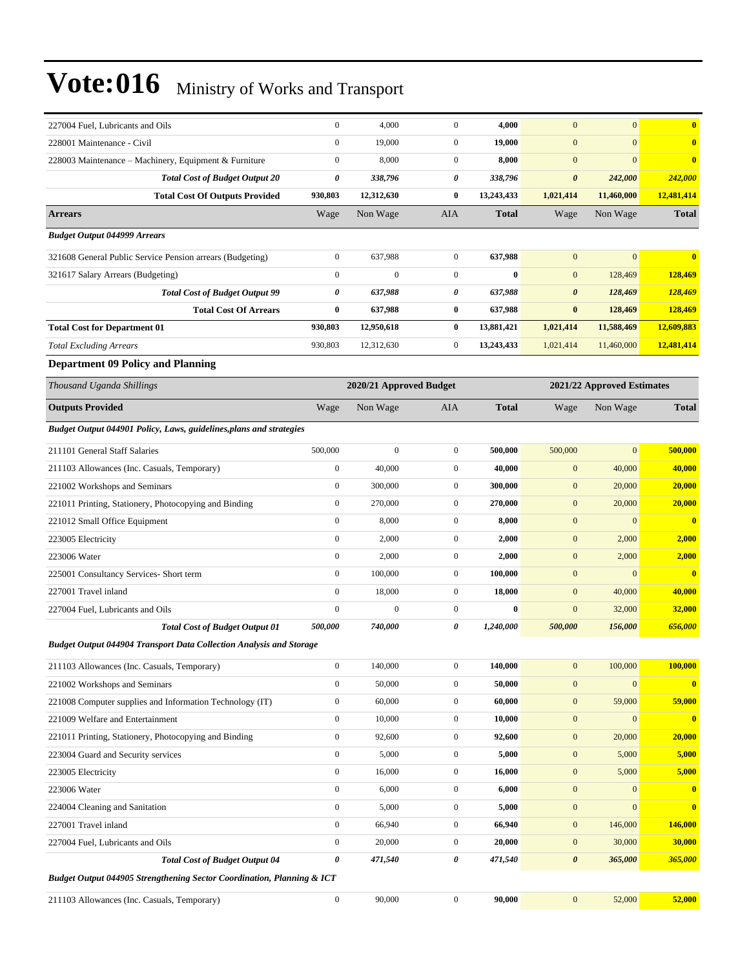| 227004 Fuel, Lubricants and Oils                                           | $\boldsymbol{0}$      | 4,000                   | $\mathbf{0}$     | 4,000        | $\mathbf{0}$          | $\mathbf{0}$               | $\bf{0}$                |
|----------------------------------------------------------------------------|-----------------------|-------------------------|------------------|--------------|-----------------------|----------------------------|-------------------------|
| 228001 Maintenance - Civil                                                 | $\boldsymbol{0}$      | 19,000                  | $\mathbf{0}$     | 19,000       | $\mathbf{0}$          | $\mathbf{0}$               | $\bf{0}$                |
| 228003 Maintenance – Machinery, Equipment & Furniture                      | $\boldsymbol{0}$      | 8,000                   | $\boldsymbol{0}$ | 8,000        | $\mathbf{0}$          | $\mathbf{0}$               | $\bf{0}$                |
| <b>Total Cost of Budget Output 20</b>                                      | 0                     | 338,796                 | 0                | 338,796      | $\pmb{\theta}$        | 242,000                    | 242,000                 |
| <b>Total Cost Of Outputs Provided</b>                                      | 930,803               | 12,312,630              | $\bf{0}$         | 13,243,433   | 1,021,414             | 11,460,000                 | 12,481,414              |
| <b>Arrears</b>                                                             | Wage                  | Non Wage                | AIA              | <b>Total</b> | Wage                  | Non Wage                   | <b>Total</b>            |
| <b>Budget Output 044999 Arrears</b>                                        |                       |                         |                  |              |                       |                            |                         |
| 321608 General Public Service Pension arrears (Budgeting)                  | $\boldsymbol{0}$      | 637,988                 | $\boldsymbol{0}$ | 637,988      | $\mathbf{0}$          | $\mathbf{0}$               | $\mathbf{0}$            |
| 321617 Salary Arrears (Budgeting)                                          | $\boldsymbol{0}$      | $\boldsymbol{0}$        | $\overline{0}$   | $\bf{0}$     | $\mathbf{0}$          | 128,469                    | 128,469                 |
| <b>Total Cost of Budget Output 99</b>                                      | 0                     | 637,988                 | 0                | 637,988      | $\boldsymbol{\theta}$ | 128,469                    | 128,469                 |
| <b>Total Cost Of Arrears</b>                                               | $\bf{0}$              | 637,988                 | $\bf{0}$         | 637,988      | $\bf{0}$              | 128,469                    | 128,469                 |
| <b>Total Cost for Department 01</b>                                        | 930,803               | 12,950,618              | $\bf{0}$         | 13,881,421   | 1,021,414             | 11,588,469                 | 12,609,883              |
| <b>Total Excluding Arrears</b>                                             | 930,803               | 12,312,630              | $\boldsymbol{0}$ | 13,243,433   | 1,021,414             | 11,460,000                 | 12,481,414              |
| <b>Department 09 Policy and Planning</b>                                   |                       |                         |                  |              |                       |                            |                         |
| Thousand Uganda Shillings                                                  |                       | 2020/21 Approved Budget |                  |              |                       | 2021/22 Approved Estimates |                         |
| <b>Outputs Provided</b>                                                    | Wage                  | Non Wage                | AIA              | <b>Total</b> | Wage                  | Non Wage                   | <b>Total</b>            |
| Budget Output 044901 Policy, Laws, guidelines, plans and strategies        |                       |                         |                  |              |                       |                            |                         |
| 211101 General Staff Salaries                                              | 500,000               | $\boldsymbol{0}$        | $\mathbf{0}$     | 500,000      | 500,000               | $\boldsymbol{0}$           | 500,000                 |
| 211103 Allowances (Inc. Casuals, Temporary)                                | $\boldsymbol{0}$      | 40,000                  | $\boldsymbol{0}$ | 40,000       | $\mathbf{0}$          | 40,000                     | 40,000                  |
| 221002 Workshops and Seminars                                              | $\mathbf{0}$          | 300,000                 | $\overline{0}$   | 300,000      | $\mathbf{0}$          | 20,000                     | 20,000                  |
| 221011 Printing, Stationery, Photocopying and Binding                      | $\boldsymbol{0}$      | 270,000                 | $\mathbf{0}$     | 270,000      | $\mathbf{0}$          | 20,000                     | 20,000                  |
| 221012 Small Office Equipment                                              | $\boldsymbol{0}$      | 8,000                   | $\boldsymbol{0}$ | 8,000        | $\mathbf{0}$          | $\mathbf{0}$               | $\bf{0}$                |
| 223005 Electricity                                                         | $\boldsymbol{0}$      | 2,000                   | $\overline{0}$   | 2,000        | $\mathbf{0}$          | 2,000                      | 2,000                   |
| 223006 Water                                                               | $\boldsymbol{0}$      | 2,000                   | $\boldsymbol{0}$ | 2,000        | $\mathbf{0}$          | 2,000                      | 2,000                   |
| 225001 Consultancy Services- Short term                                    | $\mathbf{0}$          | 100,000                 | $\overline{0}$   | 100,000      | $\mathbf{0}$          | $\mathbf{0}$               | $\overline{\mathbf{0}}$ |
| 227001 Travel inland                                                       | $\boldsymbol{0}$      | 18,000                  | $\mathbf{0}$     | 18,000       | $\mathbf{0}$          | 40,000                     | 40,000                  |
| 227004 Fuel, Lubricants and Oils                                           | $\boldsymbol{0}$      | $\boldsymbol{0}$        | $\boldsymbol{0}$ | $\bf{0}$     | $\mathbf{0}$          | 32,000                     | 32,000                  |
| <b>Total Cost of Budget Output 01</b>                                      | <i><b>500,000</b></i> | 740,000                 | 0                | 1,240,000    | 500,000               | 156,000                    | 656,000                 |
| <b>Budget Output 044904 Transport Data Collection Analysis and Storage</b> |                       |                         |                  |              |                       |                            |                         |
| 211103 Allowances (Inc. Casuals, Temporary)                                | $\boldsymbol{0}$      | 140,000                 | $\boldsymbol{0}$ | 140,000      | $\boldsymbol{0}$      | 100,000                    | 100,000                 |
| 221002 Workshops and Seminars                                              | $\boldsymbol{0}$      | 50,000                  | $\overline{0}$   | 50,000       | $\boldsymbol{0}$      | $\boldsymbol{0}$           | $\bf{0}$                |
| 221008 Computer supplies and Information Technology (IT)                   | $\boldsymbol{0}$      | 60,000                  | $\boldsymbol{0}$ | 60,000       | $\boldsymbol{0}$      | 59,000                     | 59,000                  |
| 221009 Welfare and Entertainment                                           | $\boldsymbol{0}$      | 10,000                  | $\boldsymbol{0}$ | 10,000       | $\boldsymbol{0}$      | $\mathbf{0}$               | $\bf{0}$                |
| 221011 Printing, Stationery, Photocopying and Binding                      | $\boldsymbol{0}$      | 92,600                  | $\boldsymbol{0}$ | 92,600       | $\boldsymbol{0}$      | 20,000                     | 20,000                  |
| 223004 Guard and Security services                                         | $\boldsymbol{0}$      | 5,000                   | $\boldsymbol{0}$ | 5,000        | $\boldsymbol{0}$      | 5,000                      | 5,000                   |
| 223005 Electricity                                                         | $\boldsymbol{0}$      | 16,000                  | $\boldsymbol{0}$ | 16,000       | $\boldsymbol{0}$      | 5,000                      | 5,000                   |
| 223006 Water                                                               | $\boldsymbol{0}$      | 6,000                   | $\boldsymbol{0}$ | 6,000        | $\boldsymbol{0}$      | $\boldsymbol{0}$           | $\bf{0}$                |
| 224004 Cleaning and Sanitation                                             | $\boldsymbol{0}$      | 5,000                   | $\boldsymbol{0}$ | 5,000        | $\boldsymbol{0}$      | $\mathbf{0}$               | $\bf{0}$                |
| 227001 Travel inland                                                       | $\boldsymbol{0}$      | 66,940                  | $\boldsymbol{0}$ | 66,940       | $\boldsymbol{0}$      | 146,000                    | 146,000                 |
| 227004 Fuel, Lubricants and Oils                                           | $\boldsymbol{0}$      | 20,000                  | $\boldsymbol{0}$ | 20,000       | $\boldsymbol{0}$      | 30,000                     | 30,000                  |
| <b>Total Cost of Budget Output 04</b>                                      | 0                     | 471,540                 | 0                | 471,540      | $\pmb{\theta}$        | 365,000                    | <b>365,000</b>          |
| Budget Output 044905 Strengthening Sector Coordination, Planning & ICT     |                       |                         |                  |              |                       |                            |                         |
| 211103 Allowances (Inc. Casuals, Temporary)                                | $\boldsymbol{0}$      | 90,000                  | $\boldsymbol{0}$ | 90,000       | $\boldsymbol{0}$      | 52,000                     | 52,000                  |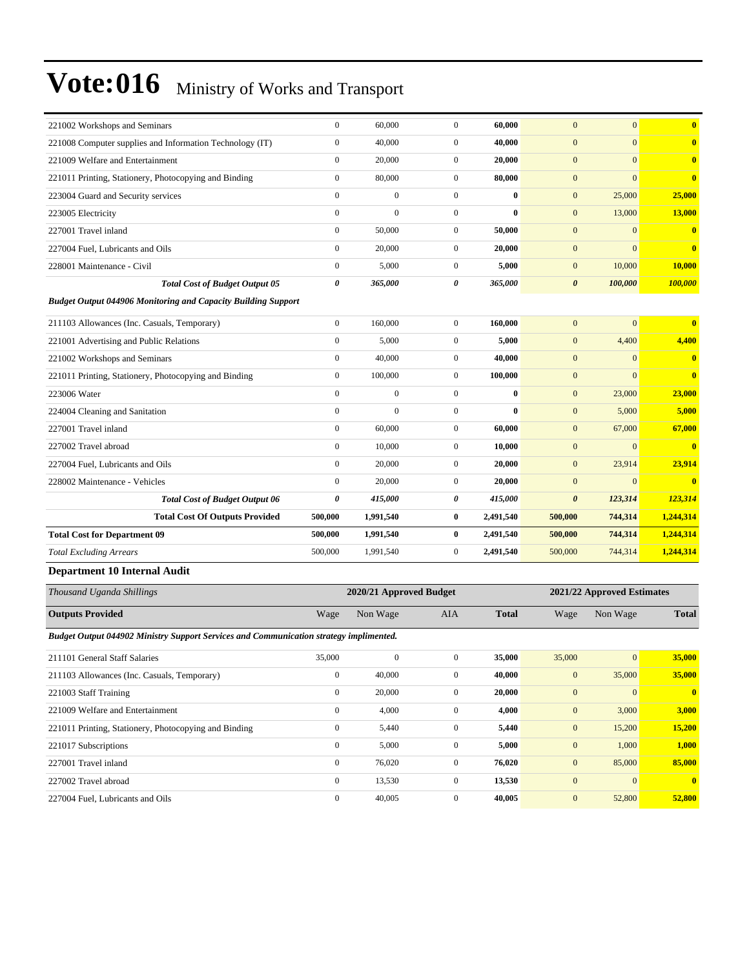| $\boldsymbol{0}$                                                     | 60,000           | $\boldsymbol{0}$                                                                       | 60,000                  | $\mathbf{0}$          | $\mathbf{0}$                                                                                                                                                | $\bf{0}$                         |
|----------------------------------------------------------------------|------------------|----------------------------------------------------------------------------------------|-------------------------|-----------------------|-------------------------------------------------------------------------------------------------------------------------------------------------------------|----------------------------------|
| $\boldsymbol{0}$                                                     | 40,000           | $\boldsymbol{0}$                                                                       | 40,000                  | $\mathbf{0}$          | $\overline{0}$                                                                                                                                              | $\bf{0}$                         |
| $\boldsymbol{0}$                                                     | 20,000           | $\boldsymbol{0}$                                                                       |                         | $\mathbf{0}$          | $\overline{0}$                                                                                                                                              | $\bf{0}$                         |
| $\mathbf{0}$                                                         | 80,000           | $\boldsymbol{0}$                                                                       | 80,000                  | $\mathbf{0}$          | $\overline{0}$                                                                                                                                              | $\bf{0}$                         |
| $\mathbf{0}$                                                         | $\boldsymbol{0}$ | $\boldsymbol{0}$                                                                       |                         | $\boldsymbol{0}$      | 25,000                                                                                                                                                      | 25,000                           |
| $\boldsymbol{0}$                                                     | $\boldsymbol{0}$ | $\boldsymbol{0}$                                                                       |                         | $\mathbf{0}$          | 13,000                                                                                                                                                      | 13,000                           |
| $\mathbf{0}$                                                         | 50,000           | $\boldsymbol{0}$                                                                       | 50,000                  | $\mathbf{0}$          | $\overline{0}$                                                                                                                                              | $\bf{0}$                         |
| $\mathbf{0}$                                                         | 20,000           | $\boldsymbol{0}$                                                                       |                         | $\mathbf{0}$          | $\overline{0}$                                                                                                                                              | $\bf{0}$                         |
| $\mathbf{0}$                                                         | 5,000            | $\boldsymbol{0}$                                                                       | 5,000                   | $\mathbf{0}$          | 10,000                                                                                                                                                      | 10,000                           |
| $\pmb{\theta}$                                                       | 365,000          | 0                                                                                      | 365,000                 | $\boldsymbol{\theta}$ | 100,000                                                                                                                                                     | 100,000                          |
| <b>Budget Output 044906 Monitoring and Capacity Building Support</b> |                  |                                                                                        |                         |                       |                                                                                                                                                             |                                  |
| $\boldsymbol{0}$                                                     | 160,000          | $\boldsymbol{0}$                                                                       | 160,000                 | $\mathbf{0}$          | $\overline{0}$                                                                                                                                              | $\bf{0}$                         |
| $\mathbf{0}$                                                         | 5,000            | $\boldsymbol{0}$                                                                       | 5,000                   | $\boldsymbol{0}$      | 4,400                                                                                                                                                       | 4,400                            |
| $\mathbf{0}$                                                         | 40,000           | $\boldsymbol{0}$                                                                       |                         | $\mathbf{0}$          | $\overline{0}$                                                                                                                                              | $\bf{0}$                         |
| $\mathbf{0}$                                                         | 100,000          | $\boldsymbol{0}$                                                                       |                         | $\mathbf{0}$          | $\overline{0}$                                                                                                                                              | $\bf{0}$                         |
| $\theta$                                                             | $\boldsymbol{0}$ | $\boldsymbol{0}$                                                                       |                         | $\boldsymbol{0}$      | 23,000                                                                                                                                                      | 23,000                           |
| $\mathbf{0}$                                                         | $\mathbf{0}$     | $\boldsymbol{0}$                                                                       |                         | $\mathbf{0}$          | 5,000                                                                                                                                                       | 5,000                            |
| $\theta$                                                             | 60,000           | $\boldsymbol{0}$                                                                       | 60,000                  | $\mathbf{0}$          | 67,000                                                                                                                                                      | 67,000                           |
| $\mathbf{0}$                                                         | 10,000           | $\boldsymbol{0}$                                                                       |                         | $\mathbf{0}$          | $\boldsymbol{0}$                                                                                                                                            | $\bf{0}$                         |
| $\mathbf{0}$                                                         | 20,000           | $\boldsymbol{0}$                                                                       | 20,000                  | $\mathbf{0}$          | 23,914                                                                                                                                                      | 23,914                           |
| $\theta$                                                             | 20,000           | $\boldsymbol{0}$                                                                       | 20,000                  | $\mathbf{0}$          | $\overline{0}$                                                                                                                                              | $\bf{0}$                         |
| 0                                                                    | 415,000          | 0                                                                                      | 415,000                 | $\boldsymbol{\theta}$ | 123,314                                                                                                                                                     | 123,314                          |
| 500,000                                                              | 1,991,540        | $\bf{0}$                                                                               | 2,491,540               | 500,000               | 744,314                                                                                                                                                     | 1,244,314                        |
| 500,000                                                              | 1,991,540        | $\bf{0}$                                                                               | 2,491,540               | 500,000               | 744,314                                                                                                                                                     | 1,244,314                        |
| 500,000                                                              | 1,991,540        | $\boldsymbol{0}$                                                                       | 2,491,540               | 500,000               | 744,314                                                                                                                                                     | 1,244,314                        |
|                                                                      |                  |                                                                                        |                         |                       |                                                                                                                                                             |                                  |
|                                                                      |                  |                                                                                        |                         |                       |                                                                                                                                                             |                                  |
| Wage                                                                 | Non Wage         | AIA                                                                                    | <b>Total</b>            | Wage                  | Non Wage                                                                                                                                                    | <b>Total</b>                     |
|                                                                      |                  |                                                                                        |                         |                       |                                                                                                                                                             |                                  |
| 35,000                                                               | $\boldsymbol{0}$ | $\boldsymbol{0}$                                                                       | 35,000                  | 35,000                |                                                                                                                                                             | <b>35,000</b>                    |
| $\boldsymbol{0}$                                                     | 40,000           | $\boldsymbol{0}$                                                                       |                         | $\boldsymbol{0}$      | 35,000                                                                                                                                                      | 35,000                           |
| $\boldsymbol{0}$                                                     | 20,000           | $\boldsymbol{0}$                                                                       |                         | $\boldsymbol{0}$      | $\boldsymbol{0}$                                                                                                                                            | $\mathbf{0}$                     |
| $\boldsymbol{0}$                                                     | 4,000            | $\boldsymbol{0}$                                                                       |                         | $\mathbf{0}$          | 3,000                                                                                                                                                       | 3,000                            |
| $\boldsymbol{0}$                                                     | 5,440            | 0                                                                                      |                         | $\mathbf{0}$          | 15,200                                                                                                                                                      | 15,200                           |
| $\boldsymbol{0}$                                                     | 5,000            | 0                                                                                      |                         | $\boldsymbol{0}$      | 1,000                                                                                                                                                       | 1,000                            |
| $\boldsymbol{0}$                                                     | 76,020           | $\boldsymbol{0}$                                                                       |                         | $\mathbf{0}$          | 85,000                                                                                                                                                      | 85,000                           |
| $\boldsymbol{0}$                                                     | 13,530           | $\overline{0}$                                                                         |                         | $\boldsymbol{0}$      | $\boldsymbol{0}$                                                                                                                                            | $\boldsymbol{0}$                 |
|                                                                      |                  | Budget Output 044902 Ministry Support Services and Communication strategy implimented. | 2020/21 Approved Budget |                       | 20,000<br>$\bf{0}$<br>$\bf{0}$<br>20,000<br>40,000<br>100,000<br>$\bf{0}$<br>0<br>10,000<br>40,000<br>20,000<br>4,000<br>5,440<br>5,000<br>76,020<br>13,530 | 2021/22 Approved Estimates<br> 0 |

227004 Fuel, Lubricants and Oils 0 40,005 0 **40,005** 0 52,800 **52,800**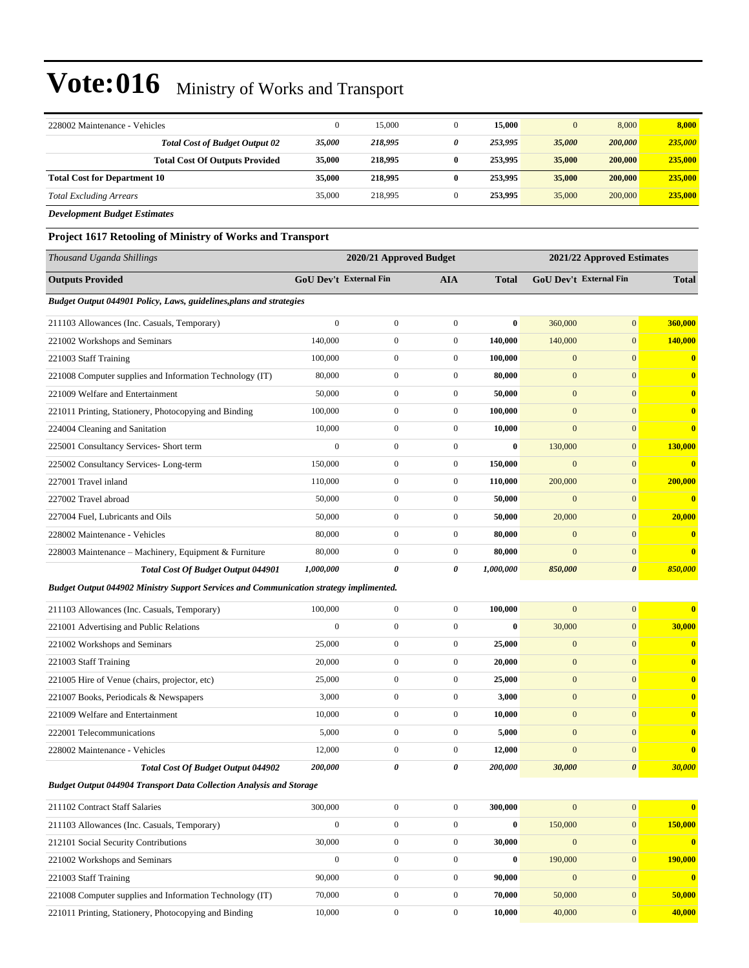| 228002 Maintenance - Vehicles         | 0      | 15,000  |   | 15,000  |        | 8,000   | 8,000   |
|---------------------------------------|--------|---------|---|---------|--------|---------|---------|
| <b>Total Cost of Budget Output 02</b> | 35,000 | 218,995 | 0 | 253,995 | 35,000 | 200,000 | 235,000 |
| <b>Total Cost Of Outputs Provided</b> | 35,000 | 218,995 | 0 | 253,995 | 35,000 | 200,000 | 235,000 |
| <b>Total Cost for Department 10</b>   | 35,000 | 218,995 | 0 | 253,995 | 35,000 | 200,000 | 235,000 |
| <b>Total Excluding Arrears</b>        | 35,000 | 218,995 |   | 253,995 | 35,000 | 200,000 | 235,000 |
| <b>Development Budget Estimates</b>   |        |         |   |         |        |         |         |

**Project 1617 Retooling of Ministry of Works and Transport**

| Thousand Uganda Shillings                                                                     | 2020/21 Approved Budget |                               |                  | 2021/22 Approved Estimates |                  |                               |                         |
|-----------------------------------------------------------------------------------------------|-------------------------|-------------------------------|------------------|----------------------------|------------------|-------------------------------|-------------------------|
| <b>Outputs Provided</b>                                                                       |                         | <b>GoU Dev't External Fin</b> | <b>AIA</b>       | <b>Total</b>               |                  | <b>GoU Dev't External Fin</b> | <b>Total</b>            |
| Budget Output 044901 Policy, Laws, guidelines, plans and strategies                           |                         |                               |                  |                            |                  |                               |                         |
| 211103 Allowances (Inc. Casuals, Temporary)                                                   | $\boldsymbol{0}$        | $\boldsymbol{0}$              | $\boldsymbol{0}$ | $\bf{0}$                   | 360,000          | $\overline{0}$                | 360,000                 |
| 221002 Workshops and Seminars                                                                 | 140,000                 | $\boldsymbol{0}$              | $\mathbf{0}$     | 140,000                    | 140,000          | $\overline{0}$                | 140,000                 |
| 221003 Staff Training                                                                         | 100,000                 | $\boldsymbol{0}$              | $\boldsymbol{0}$ | 100,000                    | $\mathbf{0}$     | $\overline{0}$                | $\bf{0}$                |
| 221008 Computer supplies and Information Technology (IT)                                      | 80,000                  | $\boldsymbol{0}$              | $\boldsymbol{0}$ | 80,000                     | $\mathbf{0}$     | $\mathbf{0}$                  | $\bf{0}$                |
| 221009 Welfare and Entertainment                                                              | 50,000                  | $\boldsymbol{0}$              | $\boldsymbol{0}$ | 50,000                     | $\mathbf{0}$     | $\overline{0}$                | $\bf{0}$                |
| 221011 Printing, Stationery, Photocopying and Binding                                         | 100,000                 | $\boldsymbol{0}$              | $\boldsymbol{0}$ | 100,000                    | $\mathbf{0}$     | $\overline{0}$                | $\bf{0}$                |
| 224004 Cleaning and Sanitation                                                                | 10,000                  | $\overline{0}$                | $\boldsymbol{0}$ | 10,000                     | $\mathbf{0}$     | $\overline{0}$                | $\bf{0}$                |
| 225001 Consultancy Services- Short term                                                       | $\boldsymbol{0}$        | $\mathbf{0}$                  | $\boldsymbol{0}$ | $\bf{0}$                   | 130,000          | $\mathbf{0}$                  | 130,000                 |
| 225002 Consultancy Services-Long-term                                                         | 150,000                 | $\boldsymbol{0}$              | $\boldsymbol{0}$ | 150,000                    | $\mathbf{0}$     | $\mathbf{0}$                  | $\bf{0}$                |
| 227001 Travel inland                                                                          | 110,000                 | $\boldsymbol{0}$              | $\boldsymbol{0}$ | 110,000                    | 200,000          | $\overline{0}$                | 200,000                 |
| 227002 Travel abroad                                                                          | 50,000                  | $\boldsymbol{0}$              | $\boldsymbol{0}$ | 50,000                     | $\mathbf{0}$     | $\mathbf{0}$                  | $\bf{0}$                |
| 227004 Fuel, Lubricants and Oils                                                              | 50,000                  | $\overline{0}$                | $\boldsymbol{0}$ | 50,000                     | 20,000           | $\overline{0}$                | 20,000                  |
| 228002 Maintenance - Vehicles                                                                 | 80,000                  | $\mathbf{0}$                  | $\boldsymbol{0}$ | 80,000                     | $\mathbf{0}$     | $\mathbf{0}$                  | $\bf{0}$                |
| 228003 Maintenance – Machinery, Equipment & Furniture                                         | 80,000                  | $\boldsymbol{0}$              | $\mathbf{0}$     | 80,000                     | $\mathbf{0}$     | $\mathbf{0}$                  | $\bf{0}$                |
| <b>Total Cost Of Budget Output 044901</b>                                                     | 1,000,000               | 0                             | 0                | 1,000,000                  | 850,000          | $\boldsymbol{\theta}$         | 850,000                 |
| <b>Budget Output 044902 Ministry Support Services and Communication strategy implimented.</b> |                         |                               |                  |                            |                  |                               |                         |
| 211103 Allowances (Inc. Casuals, Temporary)                                                   | 100,000                 | $\boldsymbol{0}$              | $\boldsymbol{0}$ | 100,000                    | $\mathbf{0}$     | $\overline{0}$                | $\bf{0}$                |
| 221001 Advertising and Public Relations                                                       | $\boldsymbol{0}$        | $\boldsymbol{0}$              | $\mathbf{0}$     | $\bf{0}$                   | 30,000           | $\overline{0}$                | 30,000                  |
| 221002 Workshops and Seminars                                                                 | 25,000                  | $\boldsymbol{0}$              | $\boldsymbol{0}$ | 25,000                     | $\mathbf{0}$     | $\mathbf{0}$                  | $\overline{\mathbf{0}}$ |
| 221003 Staff Training                                                                         | 20,000                  | $\boldsymbol{0}$              | $\boldsymbol{0}$ | 20,000                     | $\mathbf{0}$     | $\overline{0}$                | $\bf{0}$                |
| 221005 Hire of Venue (chairs, projector, etc)                                                 | 25,000                  | $\boldsymbol{0}$              | $\boldsymbol{0}$ | 25,000                     | $\mathbf{0}$     | $\overline{0}$                | $\bf{0}$                |
| 221007 Books, Periodicals & Newspapers                                                        | 3,000                   | $\boldsymbol{0}$              | $\boldsymbol{0}$ | 3,000                      | $\mathbf{0}$     | $\mathbf{0}$                  | $\mathbf{0}$            |
| 221009 Welfare and Entertainment                                                              | 10,000                  | $\boldsymbol{0}$              | $\boldsymbol{0}$ | 10,000                     | $\boldsymbol{0}$ | $\overline{0}$                | $\mathbf{0}$            |
| 222001 Telecommunications                                                                     | 5,000                   | $\boldsymbol{0}$              | $\boldsymbol{0}$ | 5,000                      | $\mathbf{0}$     | $\overline{0}$                | $\mathbf{0}$            |
| 228002 Maintenance - Vehicles                                                                 | 12,000                  | $\boldsymbol{0}$              | $\boldsymbol{0}$ | 12,000                     | $\overline{0}$   | $\mathbf{0}$                  | $\bf{0}$                |
| Total Cost Of Budget Output 044902                                                            | 200,000                 | 0                             | 0                | 200,000                    | 30,000           | $\boldsymbol{\theta}$         | 30,000                  |
| <b>Budget Output 044904 Transport Data Collection Analysis and Storage</b>                    |                         |                               |                  |                            |                  |                               |                         |
| 211102 Contract Staff Salaries                                                                | 300,000                 | $\boldsymbol{0}$              | $\boldsymbol{0}$ | 300,000                    | $\mathbf{0}$     | $\overline{0}$                | $\bf{0}$                |
| 211103 Allowances (Inc. Casuals, Temporary)                                                   | $\boldsymbol{0}$        | $\boldsymbol{0}$              | $\boldsymbol{0}$ | $\boldsymbol{0}$           | 150,000          | $\mathbf{0}$                  | 150,000                 |
| 212101 Social Security Contributions                                                          | 30,000                  | $\boldsymbol{0}$              | $\boldsymbol{0}$ | 30,000                     | $\boldsymbol{0}$ | $\mathbf{0}$                  | $\bf{0}$                |
| 221002 Workshops and Seminars                                                                 | $\boldsymbol{0}$        | $\boldsymbol{0}$              | $\boldsymbol{0}$ | $\bf{0}$                   | 190,000          | $\mathbf{0}$                  | 190,000                 |
| 221003 Staff Training                                                                         | 90,000                  | $\boldsymbol{0}$              | $\boldsymbol{0}$ | 90,000                     | $\boldsymbol{0}$ | $\mathbf{0}$                  | $\overline{\mathbf{0}}$ |
| 221008 Computer supplies and Information Technology (IT)                                      | 70,000                  | $\boldsymbol{0}$              | $\boldsymbol{0}$ | 70,000                     | 50,000           | $\mathbf{0}$                  | 50,000                  |

221011 Printing, Stationery, Photocopying and Binding 10,000 0 0 **10,000** 40,000 0 **40,000**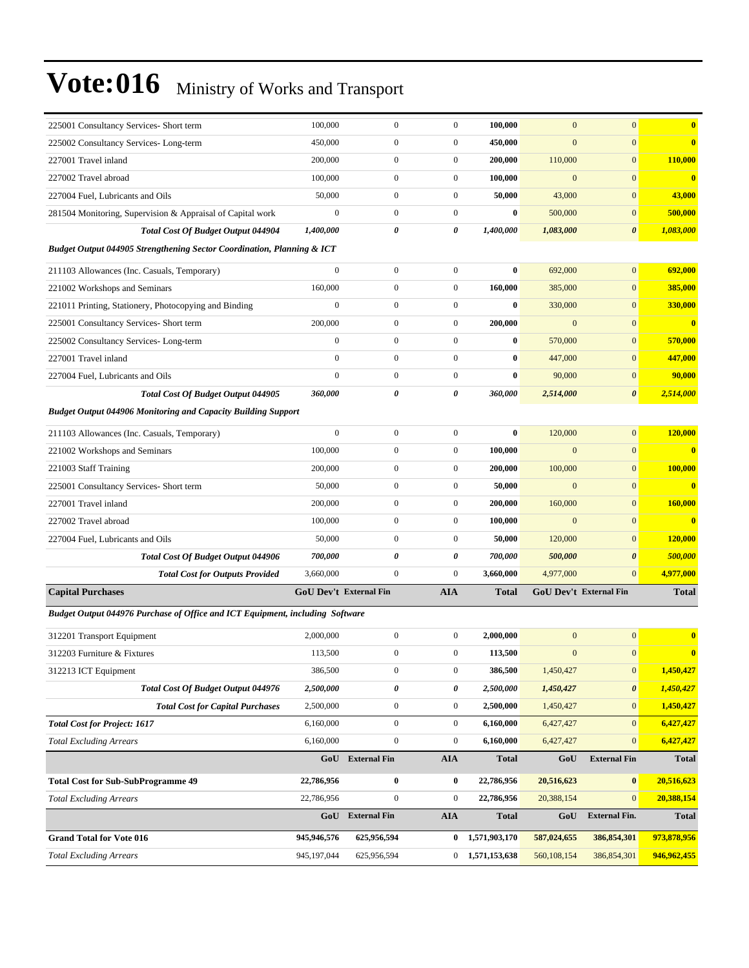| 225001 Consultancy Services- Short term                                       | 100,000                       | $\mathbf{0}$                            | $\mathbf{0}$     | 100,000       | $\mathbf{0}$   | $\mathbf{0}$               | $\bf{0}$                |
|-------------------------------------------------------------------------------|-------------------------------|-----------------------------------------|------------------|---------------|----------------|----------------------------|-------------------------|
| 225002 Consultancy Services-Long-term                                         | 450,000                       | $\boldsymbol{0}$                        | $\boldsymbol{0}$ | 450,000       | $\overline{0}$ | $\mathbf{0}$               | $\bf{0}$                |
| 227001 Travel inland                                                          | 200,000                       | $\boldsymbol{0}$                        | $\boldsymbol{0}$ | 200,000       | 110,000        | $\mathbf{0}$               | 110,000                 |
| 227002 Travel abroad                                                          | 100,000                       | $\boldsymbol{0}$                        | $\boldsymbol{0}$ | 100,000       | $\mathbf{0}$   | $\mathbf{0}$               | $\bf{0}$                |
| 227004 Fuel, Lubricants and Oils                                              | 50,000                        | $\boldsymbol{0}$                        | $\boldsymbol{0}$ | 50,000        | 43,000         | $\overline{0}$             | 43,000                  |
| 281504 Monitoring, Supervision & Appraisal of Capital work                    | $\mathbf{0}$                  | $\mathbf{0}$                            | $\mathbf{0}$     | $\bf{0}$      | 500,000        | $\mathbf{0}$               | 500,000                 |
| <b>Total Cost Of Budget Output 044904</b>                                     | 1,400,000                     | 0                                       | 0                | 1,400,000     | 1,083,000      | $\boldsymbol{\theta}$      | 1,083,000               |
| Budget Output 044905 Strengthening Sector Coordination, Planning & ICT        |                               |                                         |                  |               |                |                            |                         |
| 211103 Allowances (Inc. Casuals, Temporary)                                   | $\mathbf{0}$                  | $\boldsymbol{0}$                        | $\boldsymbol{0}$ | $\bf{0}$      | 692,000        | $\overline{0}$             | 692,000                 |
| 221002 Workshops and Seminars                                                 | 160,000                       | $\boldsymbol{0}$                        | $\boldsymbol{0}$ | 160,000       | 385,000        | $\overline{0}$             | 385,000                 |
| 221011 Printing, Stationery, Photocopying and Binding                         | $\boldsymbol{0}$              | $\boldsymbol{0}$                        | $\boldsymbol{0}$ | $\bf{0}$      | 330,000        | $\overline{0}$             | 330,000                 |
| 225001 Consultancy Services- Short term                                       | 200,000                       | $\boldsymbol{0}$                        | $\mathbf{0}$     | 200,000       | $\mathbf{0}$   | $\mathbf{0}$               | $\bf{0}$                |
| 225002 Consultancy Services-Long-term                                         | $\boldsymbol{0}$              | $\boldsymbol{0}$                        | $\boldsymbol{0}$ | $\bf{0}$      | 570,000        | $\mathbf{0}$               | 570,000                 |
| 227001 Travel inland                                                          | $\mathbf{0}$                  | $\boldsymbol{0}$                        | $\mathbf{0}$     | $\bf{0}$      | 447,000        | $\boldsymbol{0}$           | 447,000                 |
| 227004 Fuel, Lubricants and Oils                                              | $\mathbf{0}$                  | $\boldsymbol{0}$                        | $\boldsymbol{0}$ | $\bf{0}$      | 90,000         | $\overline{0}$             | 90,000                  |
| Total Cost Of Budget Output 044905                                            | 360,000                       | 0                                       | 0                | 360,000       | 2,514,000      | $\boldsymbol{\theta}$      | 2,514,000               |
| <b>Budget Output 044906 Monitoring and Capacity Building Support</b>          |                               |                                         |                  |               |                |                            |                         |
| 211103 Allowances (Inc. Casuals, Temporary)                                   | $\mathbf{0}$                  | $\boldsymbol{0}$                        | $\boldsymbol{0}$ | $\bf{0}$      | 120,000        | $\overline{0}$             | 120,000                 |
| 221002 Workshops and Seminars                                                 | 100,000                       | $\boldsymbol{0}$                        | $\boldsymbol{0}$ | 100,000       | $\overline{0}$ | $\mathbf{0}$               | $\bf{0}$                |
| 221003 Staff Training                                                         | 200,000                       | $\boldsymbol{0}$                        | $\boldsymbol{0}$ | 200,000       | 100,000        | $\boldsymbol{0}$           | 100,000                 |
| 225001 Consultancy Services- Short term                                       | 50,000                        | $\boldsymbol{0}$                        | $\boldsymbol{0}$ | 50,000        | $\mathbf{0}$   | $\mathbf{0}$               | $\bf{0}$                |
| 227001 Travel inland                                                          | 200,000                       | $\boldsymbol{0}$                        | $\boldsymbol{0}$ | 200,000       | 160,000        | $\overline{0}$             | 160,000                 |
| 227002 Travel abroad                                                          | 100,000                       | $\overline{0}$                          | $\boldsymbol{0}$ | 100,000       | $\mathbf{0}$   | $\overline{0}$             | $\overline{\mathbf{0}}$ |
| 227004 Fuel, Lubricants and Oils                                              | 50,000                        | $\boldsymbol{0}$                        | $\boldsymbol{0}$ | 50,000        | 120,000        | $\overline{0}$             | 120,000                 |
| <b>Total Cost Of Budget Output 044906</b>                                     | 700,000                       | 0                                       | 0                | 700,000       | 500,000        | 0                          | 500,000                 |
| <b>Total Cost for Outputs Provided</b>                                        | 3,660,000                     | $\boldsymbol{0}$                        | $\boldsymbol{0}$ | 3,660,000     | 4,977,000      | $\overline{0}$             | 4,977,000               |
| <b>Capital Purchases</b>                                                      | <b>GoU Dev't External Fin</b> |                                         | <b>AIA</b>       | <b>Total</b>  |                | GoU Dev't External Fin     | <b>Total</b>            |
| Budget Output 044976 Purchase of Office and ICT Equipment, including Software |                               |                                         |                  |               |                |                            |                         |
| 312201 Transport Equipment                                                    | 2,000,000                     | $\boldsymbol{0}$                        | $\boldsymbol{0}$ | 2,000,000     | $\mathbf{0}$   | $\mathbf{0}$               | $\bf{0}$                |
| 312203 Furniture & Fixtures                                                   | 113,500                       | $\boldsymbol{0}$                        | $\boldsymbol{0}$ | 113,500       | $\mathbf{0}$   | $\mathbf{0}$               | $\bf{0}$                |
| 312213 ICT Equipment                                                          | 386,500                       | $\boldsymbol{0}$                        | $\boldsymbol{0}$ | 386,500       | 1,450,427      | 0                          | 1,450,427               |
| Total Cost Of Budget Output 044976                                            | 2,500,000                     | 0                                       | 0                | 2,500,000     | 1,450,427      | 0                          | 1,450,427               |
| <b>Total Cost for Capital Purchases</b>                                       | 2,500,000                     | $\boldsymbol{0}$                        | $\boldsymbol{0}$ | 2,500,000     | 1,450,427      | $\overline{0}$             | 1,450,427               |
| <b>Total Cost for Project: 1617</b>                                           | 6,160,000                     | $\boldsymbol{0}$                        | $\boldsymbol{0}$ | 6,160,000     | 6,427,427      | $\vert 0 \vert$            | 6,427,427               |
| <b>Total Excluding Arrears</b>                                                | 6,160,000                     | $\boldsymbol{0}$                        | $\boldsymbol{0}$ | 6,160,000     | 6,427,427      | $\mathbf{0}$               | 6,427,427               |
|                                                                               | GoU                           | <b>External Fin</b>                     | <b>AIA</b>       | <b>Total</b>  | GoU            | <b>External Fin</b>        | <b>Total</b>            |
|                                                                               |                               |                                         |                  |               |                |                            |                         |
| <b>Total Cost for Sub-SubProgramme 49</b>                                     | 22,786,956                    | 0                                       | $\bf{0}$         | 22,786,956    | 20,516,623     | $\bf{0}$<br>$\overline{0}$ | 20,516,623              |
| <b>Total Excluding Arrears</b>                                                | 22,786,956                    | $\boldsymbol{0}$<br><b>External Fin</b> | $\boldsymbol{0}$ | 22,786,956    | 20,388,154     | <b>External Fin.</b>       | 20,388,154              |
|                                                                               | GoU                           |                                         | AIA              | <b>Total</b>  | GoU            |                            | <b>Total</b>            |
| <b>Grand Total for Vote 016</b>                                               | 945,946,576                   | 625,956,594                             | $\mathbf{0}$     | 1,571,903,170 | 587,024,655    | 386, 854, 301              | 973,878,956             |
| <b>Total Excluding Arrears</b>                                                | 945,197,044                   | 625,956,594                             | $\mathbf{0}$     | 1,571,153,638 | 560,108,154    | 386,854,301                | 946,962,455             |